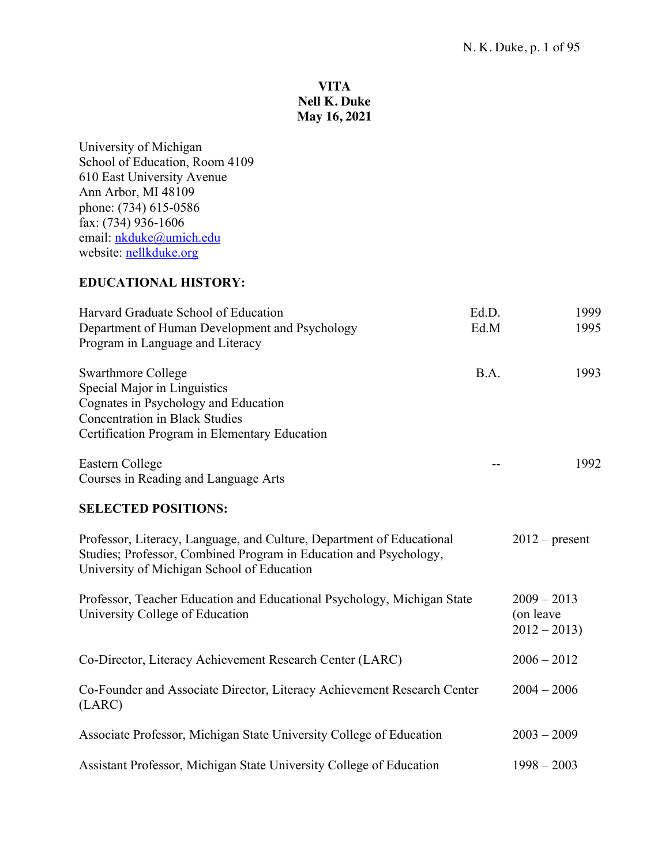## **VITA Nell K. Duke May 16, 2021**

University of Michigan School of Education, Room 4109 610 East University Avenue Ann Arbor, MI 48109 phone: (734) 615-0586 fax: (734) 936-1606 email: nkduke@umich.edu website: <u>nellkduke.org</u>

## **EDUCATIONAL HISTORY:**

| Harvard Graduate School of Education<br>Department of Human Development and Psychology<br>Program in Language and Literacy                                                                  | Ed.D.<br>Ed.M | 1999<br>1995                                |
|---------------------------------------------------------------------------------------------------------------------------------------------------------------------------------------------|---------------|---------------------------------------------|
| <b>Swarthmore College</b><br>Special Major in Linguistics<br>Cognates in Psychology and Education<br><b>Concentration in Black Studies</b><br>Certification Program in Elementary Education | B.A.          | 1993                                        |
| Eastern College<br>Courses in Reading and Language Arts                                                                                                                                     |               | 1992                                        |
| <b>SELECTED POSITIONS:</b>                                                                                                                                                                  |               |                                             |
| Professor, Literacy, Language, and Culture, Department of Educational<br>Studies; Professor, Combined Program in Education and Psychology,<br>University of Michigan School of Education    |               | $2012$ – present                            |
| Professor, Teacher Education and Educational Psychology, Michigan State<br>University College of Education                                                                                  |               | $2009 - 2013$<br>(on leave<br>$2012 - 2013$ |
| Co-Director, Literacy Achievement Research Center (LARC)                                                                                                                                    |               | $2006 - 2012$                               |
| Co-Founder and Associate Director, Literacy Achievement Research Center<br>(LARC)                                                                                                           |               | $2004 - 2006$                               |
| Associate Professor, Michigan State University College of Education                                                                                                                         |               | $2003 - 2009$                               |
| Assistant Professor, Michigan State University College of Education                                                                                                                         |               | $1998 - 2003$                               |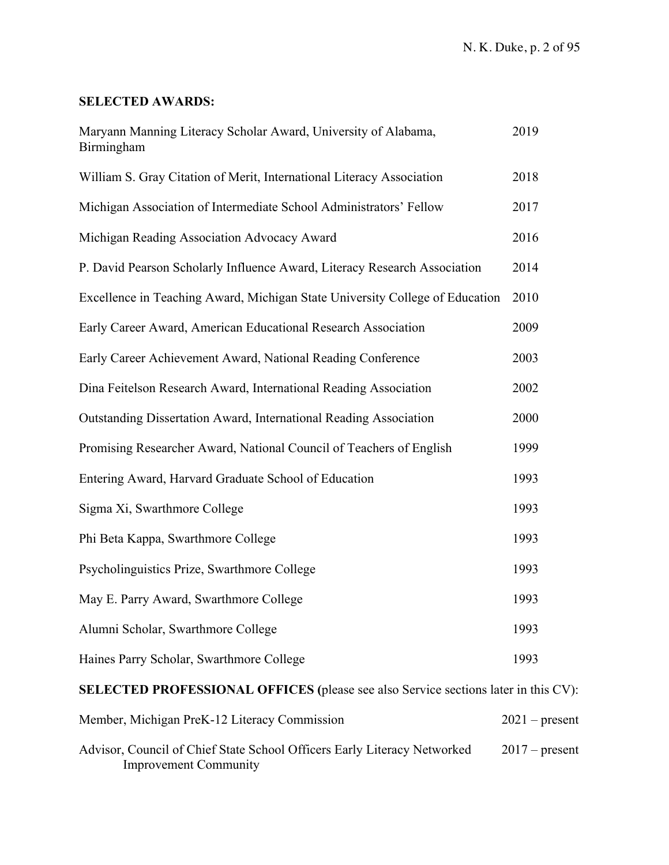# **SELECTED AWARDS:**

| Maryann Manning Literacy Scholar Award, University of Alabama,<br>Birmingham                             | 2019             |  |
|----------------------------------------------------------------------------------------------------------|------------------|--|
| William S. Gray Citation of Merit, International Literacy Association                                    | 2018             |  |
| Michigan Association of Intermediate School Administrators' Fellow                                       | 2017             |  |
| Michigan Reading Association Advocacy Award                                                              | 2016             |  |
| P. David Pearson Scholarly Influence Award, Literacy Research Association                                | 2014             |  |
| Excellence in Teaching Award, Michigan State University College of Education                             | 2010             |  |
| Early Career Award, American Educational Research Association                                            | 2009             |  |
| Early Career Achievement Award, National Reading Conference                                              | 2003             |  |
| Dina Feitelson Research Award, International Reading Association                                         | 2002             |  |
| Outstanding Dissertation Award, International Reading Association                                        | 2000             |  |
| Promising Researcher Award, National Council of Teachers of English                                      | 1999             |  |
| Entering Award, Harvard Graduate School of Education                                                     | 1993             |  |
| Sigma Xi, Swarthmore College                                                                             | 1993             |  |
| Phi Beta Kappa, Swarthmore College                                                                       | 1993             |  |
| Psycholinguistics Prize, Swarthmore College                                                              | 1993             |  |
| May E. Parry Award, Swarthmore College                                                                   | 1993             |  |
| Alumni Scholar, Swarthmore College                                                                       | 1993             |  |
| Haines Parry Scholar, Swarthmore College                                                                 | 1993             |  |
| <b>SELECTED PROFESSIONAL OFFICES</b> (please see also Service sections later in this CV):                |                  |  |
| Member, Michigan PreK-12 Literacy Commission                                                             | $2021$ – present |  |
| Advisor, Council of Chief State School Officers Early Literacy Networked<br><b>Improvement Community</b> | $2017$ – present |  |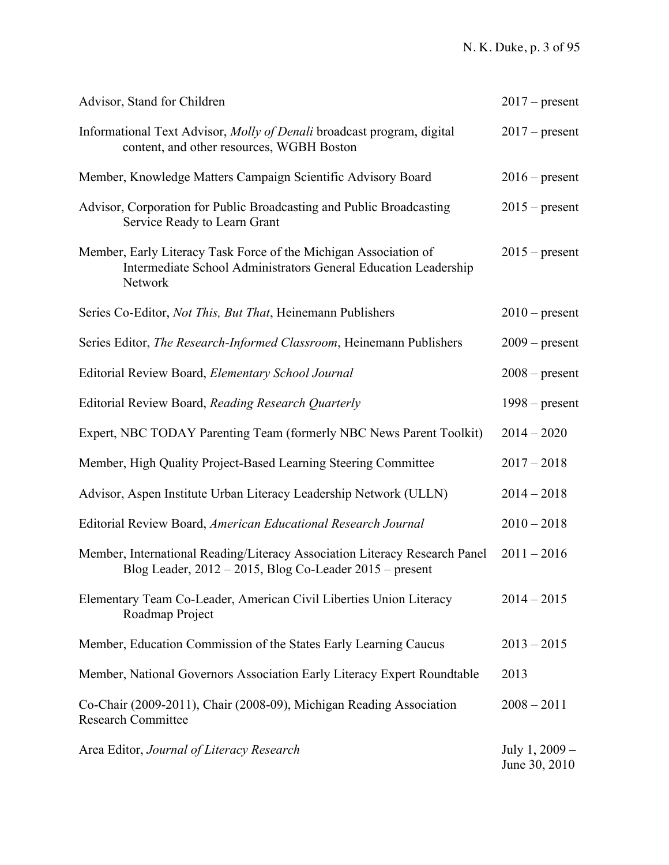| Advisor, Stand for Children                                                                                                                    | $2017$ – present |
|------------------------------------------------------------------------------------------------------------------------------------------------|------------------|
| Informational Text Advisor, Molly of Denali broadcast program, digital<br>content, and other resources, WGBH Boston                            | $2017$ – present |
| Member, Knowledge Matters Campaign Scientific Advisory Board                                                                                   | $2016$ – present |
| Advisor, Corporation for Public Broadcasting and Public Broadcasting<br>Service Ready to Learn Grant                                           | $2015$ – present |
| Member, Early Literacy Task Force of the Michigan Association of<br>Intermediate School Administrators General Education Leadership<br>Network | $2015$ – present |
| Series Co-Editor, <i>Not This, But That</i> , Heinemann Publishers                                                                             | $2010$ – present |
| Series Editor, The Research-Informed Classroom, Heinemann Publishers                                                                           | $2009$ – present |
| Editorial Review Board, Elementary School Journal                                                                                              | $2008$ – present |
| Editorial Review Board, Reading Research Quarterly                                                                                             | $1998$ – present |
| Expert, NBC TODAY Parenting Team (formerly NBC News Parent Toolkit)                                                                            | $2014 - 2020$    |
| Member, High Quality Project-Based Learning Steering Committee                                                                                 | $2017 - 2018$    |
| Advisor, Aspen Institute Urban Literacy Leadership Network (ULLN)                                                                              | $2014 - 2018$    |
| Editorial Review Board, American Educational Research Journal                                                                                  | $2010 - 2018$    |
| Member, International Reading/Literacy Association Literacy Research Panel<br>Blog Leader, $2012 - 2015$ , Blog Co-Leader $2015$ – present     | $2011 - 2016$    |
| Elementary Team Co-Leader, American Civil Liberties Union Literacy<br>Roadmap Project                                                          | $2014 - 2015$    |
| Member, Education Commission of the States Early Learning Caucus                                                                               | $2013 - 2015$    |
| Member, National Governors Association Early Literacy Expert Roundtable                                                                        | 2013             |
| Co-Chair (2009-2011), Chair (2008-09), Michigan Reading Association<br><b>Research Committee</b>                                               | $2008 - 2011$    |
| Area Editor, Journal of Literacy Research                                                                                                      | July 1, 2009 -   |

June 30, 2010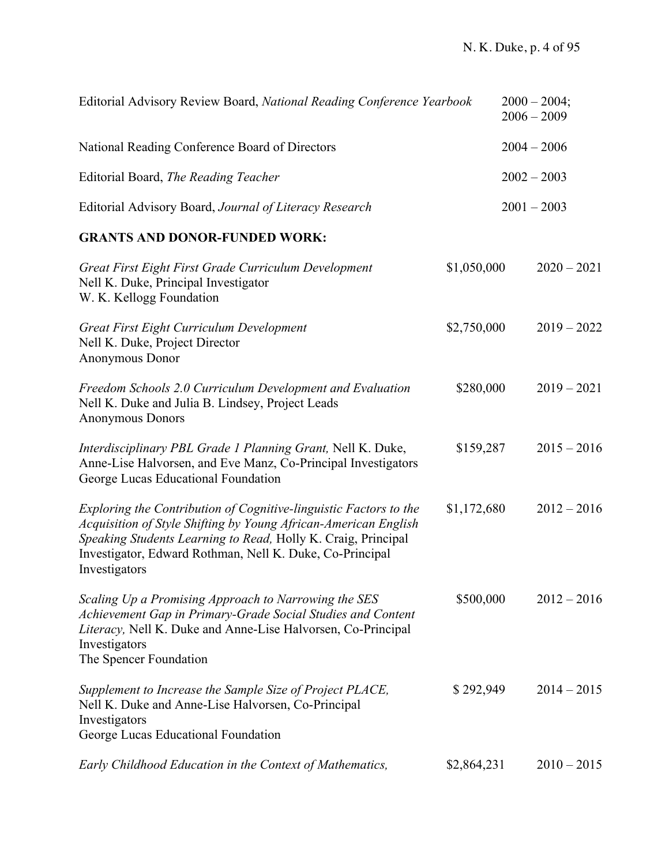| Editorial Advisory Review Board, National Reading Conference Yearbook                                                                                                                                                                                                              |             | $2000 - 2004;$<br>$2006 - 2009$ |
|------------------------------------------------------------------------------------------------------------------------------------------------------------------------------------------------------------------------------------------------------------------------------------|-------------|---------------------------------|
| National Reading Conference Board of Directors                                                                                                                                                                                                                                     |             | $2004 - 2006$                   |
| Editorial Board, The Reading Teacher                                                                                                                                                                                                                                               |             | $2002 - 2003$                   |
| Editorial Advisory Board, Journal of Literacy Research                                                                                                                                                                                                                             |             | $2001 - 2003$                   |
| <b>GRANTS AND DONOR-FUNDED WORK:</b>                                                                                                                                                                                                                                               |             |                                 |
| Great First Eight First Grade Curriculum Development<br>Nell K. Duke, Principal Investigator<br>W. K. Kellogg Foundation                                                                                                                                                           | \$1,050,000 | $2020 - 2021$                   |
| Great First Eight Curriculum Development<br>Nell K. Duke, Project Director<br>Anonymous Donor                                                                                                                                                                                      | \$2,750,000 | $2019 - 2022$                   |
| Freedom Schools 2.0 Curriculum Development and Evaluation<br>Nell K. Duke and Julia B. Lindsey, Project Leads<br><b>Anonymous Donors</b>                                                                                                                                           | \$280,000   | $2019 - 2021$                   |
| Interdisciplinary PBL Grade 1 Planning Grant, Nell K. Duke,<br>Anne-Lise Halvorsen, and Eve Manz, Co-Principal Investigators<br>George Lucas Educational Foundation                                                                                                                | \$159,287   | $2015 - 2016$                   |
| Exploring the Contribution of Cognitive-linguistic Factors to the<br>Acquisition of Style Shifting by Young African-American English<br>Speaking Students Learning to Read, Holly K. Craig, Principal<br>Investigator, Edward Rothman, Nell K. Duke, Co-Principal<br>Investigators | \$1,172,680 | $2012 - 2016$                   |
| Scaling Up a Promising Approach to Narrowing the SES<br>Achievement Gap in Primary-Grade Social Studies and Content<br>Literacy, Nell K. Duke and Anne-Lise Halvorsen, Co-Principal<br>Investigators<br>The Spencer Foundation                                                     | \$500,000   | $2012 - 2016$                   |
| Supplement to Increase the Sample Size of Project PLACE,<br>Nell K. Duke and Anne-Lise Halvorsen, Co-Principal<br>Investigators<br>George Lucas Educational Foundation                                                                                                             | \$292,949   | $2014 - 2015$                   |
| Early Childhood Education in the Context of Mathematics,                                                                                                                                                                                                                           | \$2,864,231 | $2010 - 2015$                   |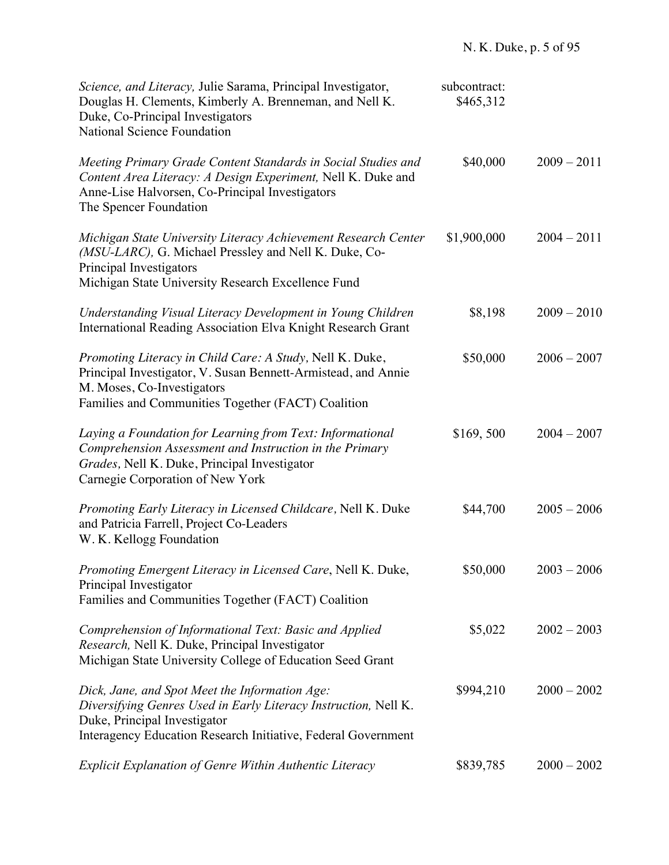| Science, and Literacy, Julie Sarama, Principal Investigator,<br>Douglas H. Clements, Kimberly A. Brenneman, and Nell K.<br>Duke, Co-Principal Investigators<br><b>National Science Foundation</b>                  | subcontract:<br>\$465,312 |               |
|--------------------------------------------------------------------------------------------------------------------------------------------------------------------------------------------------------------------|---------------------------|---------------|
| Meeting Primary Grade Content Standards in Social Studies and<br>Content Area Literacy: A Design Experiment, Nell K. Duke and<br>Anne-Lise Halvorsen, Co-Principal Investigators<br>The Spencer Foundation         | \$40,000                  | $2009 - 2011$ |
| Michigan State University Literacy Achievement Research Center<br>(MSU-LARC), G. Michael Pressley and Nell K. Duke, Co-<br>Principal Investigators<br>Michigan State University Research Excellence Fund           | \$1,900,000               | $2004 - 2011$ |
| Understanding Visual Literacy Development in Young Children<br>International Reading Association Elva Knight Research Grant                                                                                        | \$8,198                   | $2009 - 2010$ |
| Promoting Literacy in Child Care: A Study, Nell K. Duke,<br>Principal Investigator, V. Susan Bennett-Armistead, and Annie<br>M. Moses, Co-Investigators<br>Families and Communities Together (FACT) Coalition      | \$50,000                  | $2006 - 2007$ |
| Laying a Foundation for Learning from Text: Informational<br>Comprehension Assessment and Instruction in the Primary<br>Grades, Nell K. Duke, Principal Investigator<br>Carnegie Corporation of New York           | \$169,500                 | $2004 - 2007$ |
| Promoting Early Literacy in Licensed Childcare, Nell K. Duke<br>and Patricia Farrell, Project Co-Leaders<br>W. K. Kellogg Foundation                                                                               | \$44,700                  | $2005 - 2006$ |
| Promoting Emergent Literacy in Licensed Care, Nell K. Duke,<br>Principal Investigator<br>Families and Communities Together (FACT) Coalition                                                                        | \$50,000                  | $2003 - 2006$ |
| Comprehension of Informational Text: Basic and Applied<br>Research, Nell K. Duke, Principal Investigator<br>Michigan State University College of Education Seed Grant                                              | \$5,022                   | $2002 - 2003$ |
| Dick, Jane, and Spot Meet the Information Age:<br>Diversifying Genres Used in Early Literacy Instruction, Nell K.<br>Duke, Principal Investigator<br>Interagency Education Research Initiative, Federal Government | \$994,210                 | $2000 - 2002$ |
| Explicit Explanation of Genre Within Authentic Literacy                                                                                                                                                            | \$839,785                 | $2000 - 2002$ |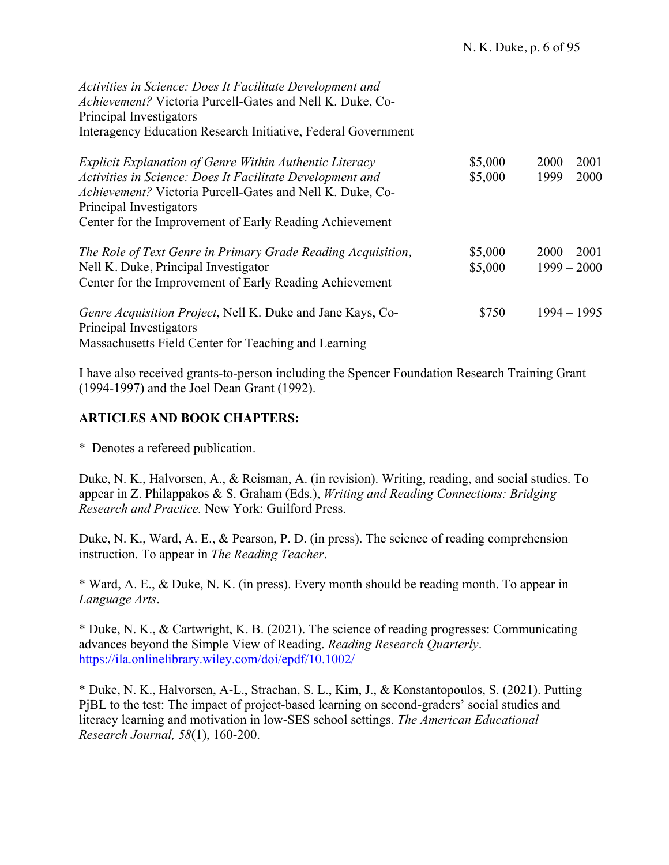*Activities in Science: Does It Facilitate Development and Achievement?* Victoria Purcell-Gates and Nell K. Duke, Co-Principal Investigators Interagency Education Research Initiative, Federal Government

| <b>Explicit Explanation of Genre Within Authentic Literacy</b><br>Activities in Science: Does It Facilitate Development and<br>Achievement? Victoria Purcell-Gates and Nell K. Duke, Co-<br>Principal Investigators<br>Center for the Improvement of Early Reading Achievement | \$5,000<br>\$5,000 | $2000 - 2001$<br>$1999 - 2000$ |
|--------------------------------------------------------------------------------------------------------------------------------------------------------------------------------------------------------------------------------------------------------------------------------|--------------------|--------------------------------|
| The Role of Text Genre in Primary Grade Reading Acquisition,<br>Nell K. Duke, Principal Investigator<br>Center for the Improvement of Early Reading Achievement                                                                                                                | \$5,000<br>\$5,000 | $2000 - 2001$<br>$1999 - 2000$ |
| <i>Genre Acquisition Project</i> , Nell K. Duke and Jane Kays, Co-<br>Principal Investigators<br>Massachusetts Field Center for Teaching and Learning                                                                                                                          | \$750              | $1994 - 1995$                  |

I have also received grants-to-person including the Spencer Foundation Research Training Grant (1994-1997) and the Joel Dean Grant (1992).

#### **ARTICLES AND BOOK CHAPTERS:**

\* Denotes a refereed publication.

Duke, N. K., Halvorsen, A., & Reisman, A. (in revision). Writing, reading, and social studies. To appear in Z. Philappakos & S. Graham (Eds.), *Writing and Reading Connections: Bridging Research and Practice.* New York: Guilford Press.

Duke, N. K., Ward, A. E., & Pearson, P. D. (in press). The science of reading comprehension instruction. To appear in *The Reading Teacher*.

\* Ward, A. E., & Duke, N. K. (in press). Every month should be reading month. To appear in *Language Arts*.

\* Duke, N. K., & Cartwright, K. B. (2021). The science of reading progresses: Communicating advances beyond the Simple View of Reading. *Reading Research Quarterly*. https://ila.onlinelibrary.wiley.com/doi/epdf/10.1002/

\* Duke, N. K., Halvorsen, A-L., Strachan, S. L., Kim, J., & Konstantopoulos, S. (2021). Putting PjBL to the test: The impact of project-based learning on second-graders' social studies and literacy learning and motivation in low-SES school settings. *The American Educational Research Journal, 58*(1), 160-200.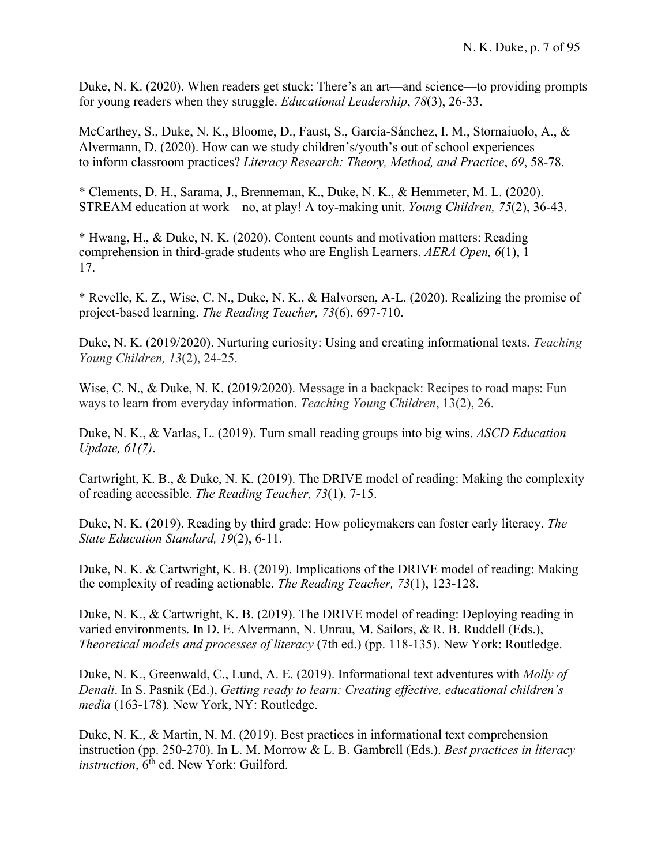Duke, N. K. (2020). When readers get stuck: There's an art—and science—to providing prompts for young readers when they struggle. *Educational Leadership*, *78*(3), 26-33.

McCarthey, S., Duke, N. K., Bloome, D., Faust, S., García-Sánchez, I. M., Stornaiuolo, A., & Alvermann, D. (2020). How can we study children's/youth's out of school experiences to inform classroom practices? *Literacy Research: Theory, Method, and Practice*, *69*, 58-78.

\* Clements, D. H., Sarama, J., Brenneman, K., Duke, N. K., & Hemmeter, M. L. (2020). STREAM education at work—no, at play! A toy-making unit. *Young Children, 75*(2), 36-43.

\* Hwang, H., & Duke, N. K. (2020). Content counts and motivation matters: Reading comprehension in third-grade students who are English Learners. *AERA Open, 6*(1), 1– 17.

\* Revelle, K. Z., Wise, C. N., Duke, N. K., & Halvorsen, A-L. (2020). Realizing the promise of project-based learning. *The Reading Teacher, 73*(6), 697-710.

Duke, N. K. (2019/2020). Nurturing curiosity: Using and creating informational texts. *Teaching Young Children, 13*(2), 24-25.

Wise, C. N., & Duke, N. K. (2019/2020). Message in a backpack: Recipes to road maps: Fun ways to learn from everyday information. *Teaching Young Children*, 13(2), 26.

Duke, N. K., & Varlas, L. (2019). Turn small reading groups into big wins. *ASCD Education Update, 61(7)*.

Cartwright, K. B., & Duke, N. K. (2019). The DRIVE model of reading: Making the complexity of reading accessible. *The Reading Teacher, 73*(1), 7-15.

Duke, N. K. (2019). Reading by third grade: How policymakers can foster early literacy. *The State Education Standard, 19*(2), 6-11.

Duke, N. K. & Cartwright, K. B. (2019). Implications of the DRIVE model of reading: Making the complexity of reading actionable. *The Reading Teacher, 73*(1), 123-128.

Duke, N. K., & Cartwright, K. B. (2019). The DRIVE model of reading: Deploying reading in varied environments. In D. E. Alvermann, N. Unrau, M. Sailors, & R. B. Ruddell (Eds.), *Theoretical models and processes of literacy* (7th ed.) (pp. 118-135). New York: Routledge.

Duke, N. K., Greenwald, C., Lund, A. E. (2019). Informational text adventures with *Molly of Denali*. In S. Pasnik (Ed.), *Getting ready to learn: Creating effective, educational children's media* (163-178)*.* New York, NY: Routledge.

Duke, N. K., & Martin, N. M. (2019). Best practices in informational text comprehension instruction (pp. 250-270). In L. M. Morrow & L. B. Gambrell (Eds.). *Best practices in literacy instruction*,  $6<sup>th</sup>$  ed. New York: Guilford.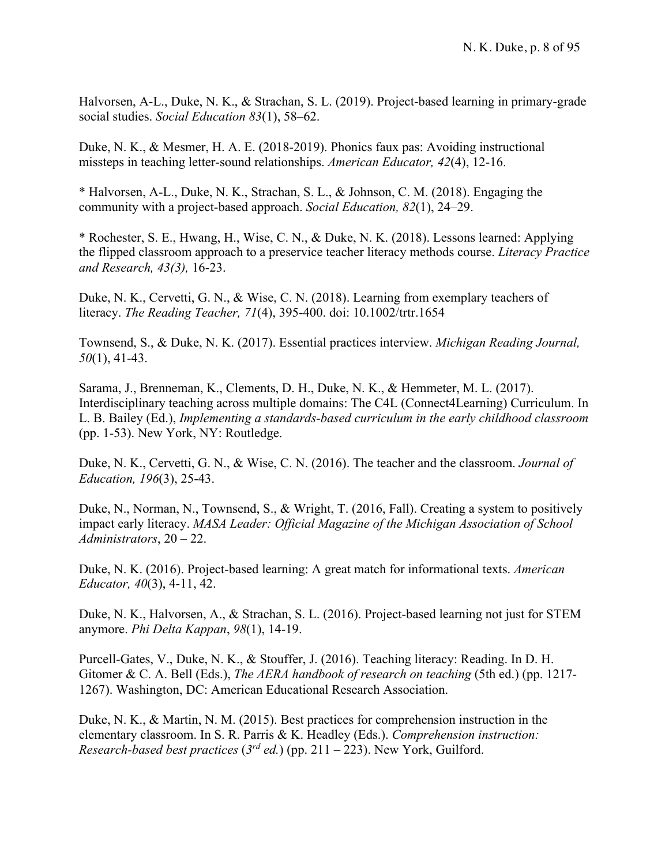Halvorsen, A-L., Duke, N. K., & Strachan, S. L. (2019). Project-based learning in primary-grade social studies. *Social Education 83*(1), 58–62.

Duke, N. K., & Mesmer, H. A. E. (2018-2019). Phonics faux pas: Avoiding instructional missteps in teaching letter-sound relationships. *American Educator, 42*(4), 12-16.

\* Halvorsen, A-L., Duke, N. K., Strachan, S. L., & Johnson, C. M. (2018). Engaging the community with a project-based approach. *Social Education, 82*(1), 24–29.

\* Rochester, S. E., Hwang, H., Wise, C. N., & Duke, N. K. (2018). Lessons learned: Applying the flipped classroom approach to a preservice teacher literacy methods course. *Literacy Practice and Research, 43(3),* 16-23.

Duke, N. K., Cervetti, G. N., & Wise, C. N. (2018). Learning from exemplary teachers of literacy. *The Reading Teacher, 71*(4), 395-400. doi: 10.1002/trtr.1654

Townsend, S., & Duke, N. K. (2017). Essential practices interview. *Michigan Reading Journal, 50*(1), 41-43.

Sarama, J., Brenneman, K., Clements, D. H., Duke, N. K., & Hemmeter, M. L. (2017). Interdisciplinary teaching across multiple domains: The C4L (Connect4Learning) Curriculum. In L. B. Bailey (Ed.), *Implementing a standards-based curriculum in the early childhood classroom*  (pp. 1-53). New York, NY: Routledge.

Duke, N. K., Cervetti, G. N., & Wise, C. N. (2016). The teacher and the classroom. *Journal of Education, 196*(3), 25-43.

Duke, N., Norman, N., Townsend, S., & Wright, T. (2016, Fall). Creating a system to positively impact early literacy. *MASA Leader: Official Magazine of the Michigan Association of School Administrators*, 20 – 22.

Duke, N. K. (2016). Project-based learning: A great match for informational texts. *American Educator, 40*(3), 4-11, 42.

Duke, N. K., Halvorsen, A., & Strachan, S. L. (2016). Project-based learning not just for STEM anymore. *Phi Delta Kappan*, *98*(1), 14-19.

Purcell-Gates, V., Duke, N. K., & Stouffer, J. (2016). Teaching literacy: Reading. In D. H. Gitomer & C. A. Bell (Eds.), *The AERA handbook of research on teaching* (5th ed.) (pp. 1217- 1267). Washington, DC: American Educational Research Association.

Duke, N. K., & Martin, N. M. (2015). Best practices for comprehension instruction in the elementary classroom. In S. R. Parris & K. Headley (Eds.). *Comprehension instruction: Research-based best practices* (*3rd ed.*) (pp. 211 – 223). New York, Guilford.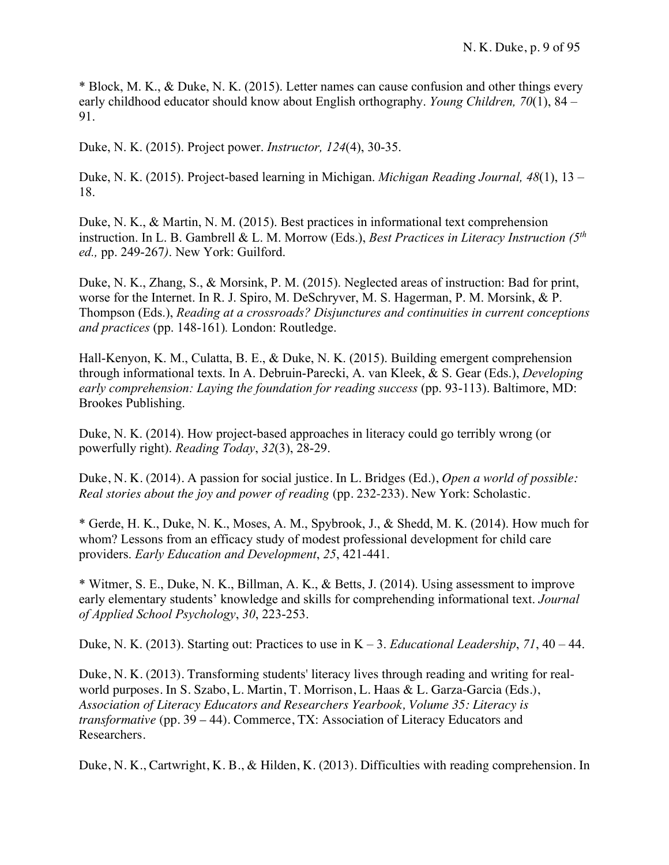\* Block, M. K., & Duke, N. K. (2015). Letter names can cause confusion and other things every early childhood educator should know about English orthography. *Young Children, 70*(1), 84 – 91.

Duke, N. K. (2015). Project power. *Instructor, 124*(4), 30-35.

Duke, N. K. (2015). Project-based learning in Michigan. *Michigan Reading Journal, 48*(1), 13 – 18.

Duke, N. K., & Martin, N. M. (2015). Best practices in informational text comprehension instruction. In L. B. Gambrell & L. M. Morrow (Eds.), *Best Practices in Literacy Instruction (5th ed.,* pp. 249-267*)*. New York: Guilford.

Duke, N. K., Zhang, S., & Morsink, P. M. (2015). Neglected areas of instruction: Bad for print, worse for the Internet. In R. J. Spiro, M. DeSchryver, M. S. Hagerman, P. M. Morsink, & P. Thompson (Eds.), *Reading at a crossroads? Disjunctures and continuities in current conceptions and practices* (pp. 148-161)*.* London: Routledge.

Hall-Kenyon, K. M., Culatta, B. E., & Duke, N. K. (2015). Building emergent comprehension through informational texts. In A. Debruin-Parecki, A. van Kleek, & S. Gear (Eds.), *Developing early comprehension: Laying the foundation for reading success* (pp. 93-113). Baltimore, MD: Brookes Publishing.

Duke, N. K. (2014). How project-based approaches in literacy could go terribly wrong (or powerfully right). *Reading Today*, *32*(3), 28-29.

Duke, N. K. (2014). A passion for social justice. In L. Bridges (Ed.), *Open a world of possible: Real stories about the joy and power of reading* (pp. 232-233)*.* New York: Scholastic.

\* Gerde, H. K., Duke, N. K., Moses, A. M., Spybrook, J., & Shedd, M. K. (2014). How much for whom? Lessons from an efficacy study of modest professional development for child care providers. *Early Education and Development*, *25*, 421-441.

\* Witmer, S. E., Duke, N. K., Billman, A. K., & Betts, J. (2014). Using assessment to improve early elementary students' knowledge and skills for comprehending informational text. *Journal of Applied School Psychology*, *30*, 223-253.

Duke, N. K. (2013). Starting out: Practices to use in K – 3. *Educational Leadership*, *71*, 40 – 44.

Duke, N. K. (2013). Transforming students' literacy lives through reading and writing for realworld purposes. In S. Szabo, L. Martin, T. Morrison, L. Haas & L. Garza-Garcia (Eds.), *Association of Literacy Educators and Researchers Yearbook, Volume 35: Literacy is transformative* (pp. 39 – 44). Commerce, TX: Association of Literacy Educators and Researchers.

Duke, N. K., Cartwright, K. B., & Hilden, K. (2013). Difficulties with reading comprehension. In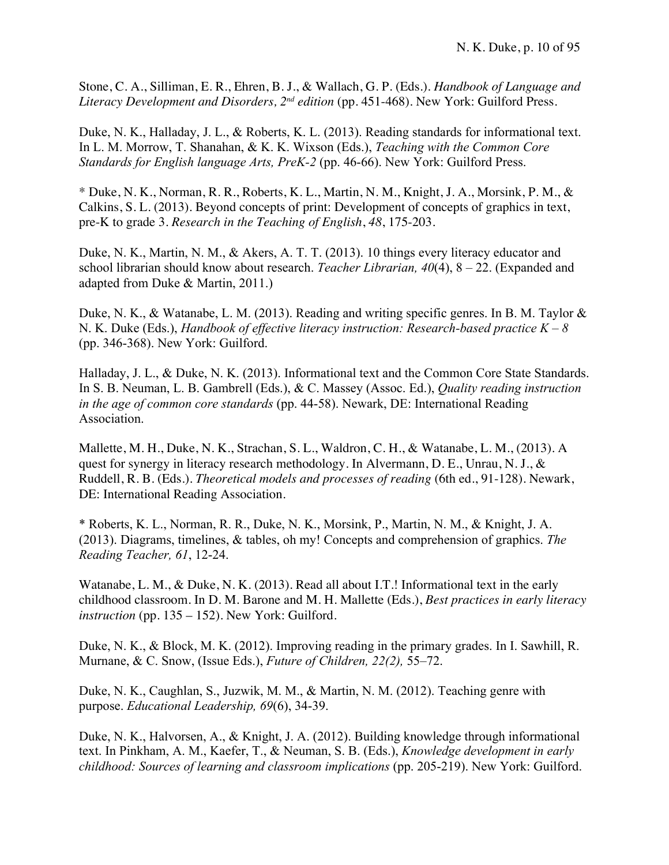Stone, C. A., Silliman, E. R., Ehren, B. J., & Wallach, G. P. (Eds.). *Handbook of Language and Literacy Development and Disorders, 2<sup>nd</sup> edition (pp. 451-468). New York: Guilford Press.* 

Duke, N. K., Halladay, J. L., & Roberts, K. L. (2013). Reading standards for informational text. In L. M. Morrow, T. Shanahan, & K. K. Wixson (Eds.), *Teaching with the Common Core Standards for English language Arts, PreK-2* (pp. 46-66). New York: Guilford Press.

\* Duke, N. K., Norman, R. R., Roberts, K. L., Martin, N. M., Knight, J. A., Morsink, P. M., & Calkins, S. L. (2013). Beyond concepts of print: Development of concepts of graphics in text, pre-K to grade 3. *Research in the Teaching of English*, *48*, 175-203.

Duke, N. K., Martin, N. M., & Akers, A. T. T. (2013). 10 things every literacy educator and school librarian should know about research. *Teacher Librarian, 40*(4), 8 – 22. (Expanded and adapted from Duke & Martin, 2011.)

Duke, N. K., & Watanabe, L. M. (2013). Reading and writing specific genres. In B. M. Taylor & N. K. Duke (Eds.), *Handbook of effective literacy instruction: Research-based practice K – 8*  (pp. 346-368). New York: Guilford.

Halladay, J. L., & Duke, N. K. (2013). Informational text and the Common Core State Standards. In S. B. Neuman, L. B. Gambrell (Eds.), & C. Massey (Assoc. Ed.), *Quality reading instruction in the age of common core standards* (pp. 44-58). Newark, DE: International Reading Association.

Mallette, M. H., Duke, N. K., Strachan, S. L., Waldron, C. H., & Watanabe, L. M., (2013). A quest for synergy in literacy research methodology. In Alvermann, D. E., Unrau, N. J., & Ruddell, R. B. (Eds.). *Theoretical models and processes of reading* (6th ed., 91-128). Newark, DE: International Reading Association.

\* Roberts, K. L., Norman, R. R., Duke, N. K., Morsink, P., Martin, N. M., & Knight, J. A. (2013). Diagrams, timelines, & tables, oh my! Concepts and comprehension of graphics. *The Reading Teacher, 61*, 12-24.

Watanabe, L. M., & Duke, N. K. (2013). Read all about I.T.! Informational text in the early childhood classroom. In D. M. Barone and M. H. Mallette (Eds.), *Best practices in early literacy instruction* (pp. 135 – 152). New York: Guilford.

Duke, N. K., & Block, M. K. (2012). Improving reading in the primary grades. In I. Sawhill, R. Murnane, & C. Snow, (Issue Eds.), *Future of Children, 22(2),* 55–72.

Duke, N. K., Caughlan, S., Juzwik, M. M., & Martin, N. M. (2012). Teaching genre with purpose. *Educational Leadership, 69*(6), 34-39.

Duke, N. K., Halvorsen, A., & Knight, J. A. (2012). Building knowledge through informational text. In Pinkham, A. M., Kaefer, T., & Neuman, S. B. (Eds.), *Knowledge development in early childhood: Sources of learning and classroom implications* (pp. 205-219). New York: Guilford.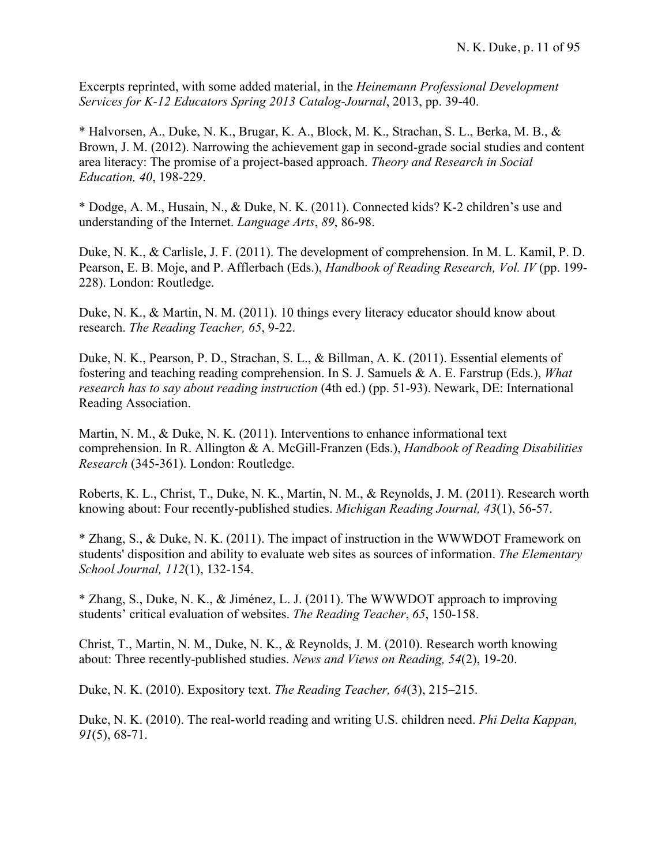Excerpts reprinted, with some added material, in the *Heinemann Professional Development Services for K-12 Educators Spring 2013 Catalog-Journal*, 2013, pp. 39-40.

\* Halvorsen, A., Duke, N. K., Brugar, K. A., Block, M. K., Strachan, S. L., Berka, M. B., & Brown, J. M. (2012). Narrowing the achievement gap in second-grade social studies and content area literacy: The promise of a project-based approach. *Theory and Research in Social Education, 40*, 198-229.

\* Dodge, A. M., Husain, N., & Duke, N. K. (2011). Connected kids? K-2 children's use and understanding of the Internet. *Language Arts*, *89*, 86-98.

Duke, N. K., & Carlisle, J. F. (2011). The development of comprehension. In M. L. Kamil, P. D. Pearson, E. B. Moje, and P. Afflerbach (Eds.), *Handbook of Reading Research, Vol. IV* (pp. 199- 228). London: Routledge.

Duke, N. K., & Martin, N. M. (2011). 10 things every literacy educator should know about research. *The Reading Teacher, 65*, 9-22.

Duke, N. K., Pearson, P. D., Strachan, S. L., & Billman, A. K. (2011). Essential elements of fostering and teaching reading comprehension. In S. J. Samuels & A. E. Farstrup (Eds.), *What research has to say about reading instruction* (4th ed.) (pp. 51-93). Newark, DE: International Reading Association.

Martin, N. M., & Duke, N. K. (2011). Interventions to enhance informational text comprehension. In R. Allington & A. McGill-Franzen (Eds.), *Handbook of Reading Disabilities Research* (345-361). London: Routledge.

Roberts, K. L., Christ, T., Duke, N. K., Martin, N. M., & Reynolds, J. M. (2011). Research worth knowing about: Four recently-published studies. *Michigan Reading Journal, 43*(1), 56-57.

\* Zhang, S., & Duke, N. K. (2011). The impact of instruction in the WWWDOT Framework on students' disposition and ability to evaluate web sites as sources of information. *The Elementary School Journal, 112*(1), 132-154.

\* Zhang, S., Duke, N. K., & Jiménez, L. J. (2011). The WWWDOT approach to improving students' critical evaluation of websites. *The Reading Teacher*, *65*, 150-158.

Christ, T., Martin, N. M., Duke, N. K., & Reynolds, J. M. (2010). Research worth knowing about: Three recently-published studies. *News and Views on Reading, 54*(2), 19-20.

Duke, N. K. (2010). Expository text. *The Reading Teacher, 64*(3), 215–215.

Duke, N. K. (2010). The real-world reading and writing U.S. children need. *Phi Delta Kappan, 91*(5), 68-71.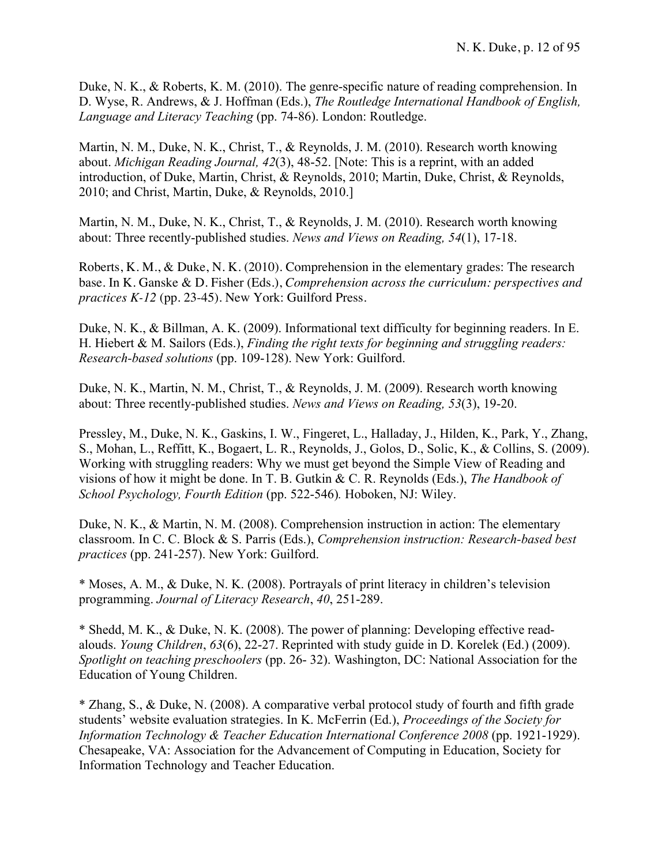Duke, N. K., & Roberts, K. M. (2010). The genre-specific nature of reading comprehension. In D. Wyse, R. Andrews, & J. Hoffman (Eds.), *The Routledge International Handbook of English, Language and Literacy Teaching* (pp. 74-86). London: Routledge.

Martin, N. M., Duke, N. K., Christ, T., & Reynolds, J. M. (2010). Research worth knowing about. *Michigan Reading Journal, 42*(3), 48-52. [Note: This is a reprint, with an added introduction, of Duke, Martin, Christ, & Reynolds, 2010; Martin, Duke, Christ, & Reynolds, 2010; and Christ, Martin, Duke, & Reynolds, 2010.]

Martin, N. M., Duke, N. K., Christ, T., & Reynolds, J. M. (2010). Research worth knowing about: Three recently-published studies. *News and Views on Reading, 54*(1), 17-18.

Roberts, K. M., & Duke, N. K. (2010). Comprehension in the elementary grades: The research base. In K. Ganske & D. Fisher (Eds.), *Comprehension across the curriculum: perspectives and practices K-12* (pp. 23-45). New York: Guilford Press.

Duke, N. K., & Billman, A. K. (2009). Informational text difficulty for beginning readers. In E. H. Hiebert & M. Sailors (Eds.), *Finding the right texts for beginning and struggling readers: Research-based solutions* (pp. 109-128). New York: Guilford.

Duke, N. K., Martin, N. M., Christ, T., & Reynolds, J. M. (2009). Research worth knowing about: Three recently-published studies. *News and Views on Reading, 53*(3), 19-20.

Pressley, M., Duke, N. K., Gaskins, I. W., Fingeret, L., Halladay, J., Hilden, K., Park, Y., Zhang, S., Mohan, L., Reffitt, K., Bogaert, L. R., Reynolds, J., Golos, D., Solic, K., & Collins, S. (2009). Working with struggling readers: Why we must get beyond the Simple View of Reading and visions of how it might be done. In T. B. Gutkin & C. R. Reynolds (Eds.), *The Handbook of School Psychology, Fourth Edition* (pp. 522-546)*.* Hoboken, NJ: Wiley.

Duke, N. K., & Martin, N. M. (2008). Comprehension instruction in action: The elementary classroom. In C. C. Block & S. Parris (Eds.), *Comprehension instruction: Research-based best practices* (pp. 241-257). New York: Guilford.

\* Moses, A. M., & Duke, N. K. (2008). Portrayals of print literacy in children's television programming. *Journal of Literacy Research*, *40*, 251-289.

\* Shedd, M. K., & Duke, N. K. (2008). The power of planning: Developing effective readalouds. *Young Children*, *63*(6), 22-27. Reprinted with study guide in D. Korelek (Ed.) (2009). *Spotlight on teaching preschoolers* (pp. 26- 32). Washington, DC: National Association for the Education of Young Children.

\* Zhang, S., & Duke, N. (2008). A comparative verbal protocol study of fourth and fifth grade students' website evaluation strategies. In K. McFerrin (Ed.), *Proceedings of the Society for Information Technology & Teacher Education International Conference 2008* (pp. 1921-1929). Chesapeake, VA: Association for the Advancement of Computing in Education, Society for Information Technology and Teacher Education.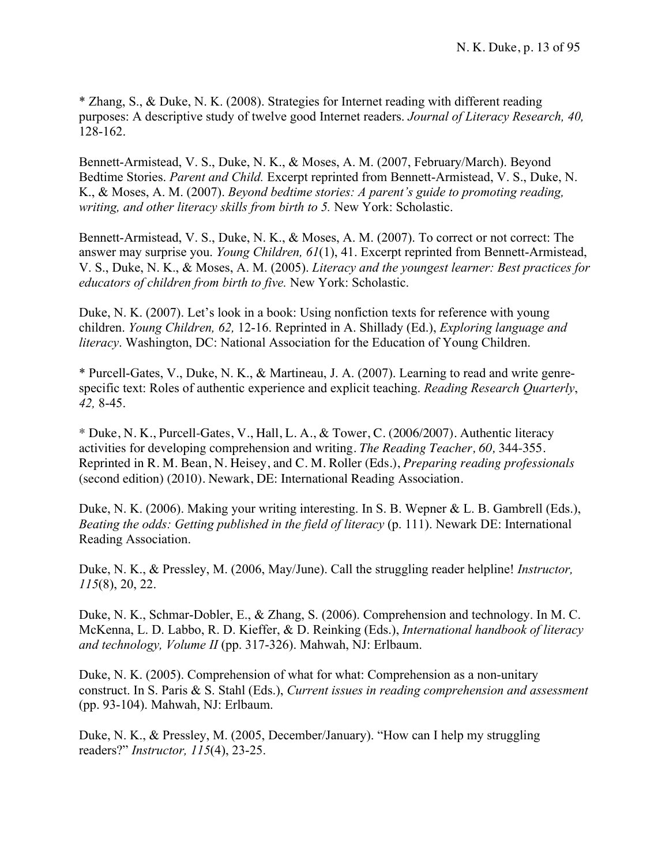\* Zhang, S., & Duke, N. K. (2008). Strategies for Internet reading with different reading purposes: A descriptive study of twelve good Internet readers. *Journal of Literacy Research, 40,*  128-162.

Bennett-Armistead, V. S., Duke, N. K., & Moses, A. M. (2007, February/March). Beyond Bedtime Stories. *Parent and Child.* Excerpt reprinted from Bennett-Armistead, V. S., Duke, N. K., & Moses, A. M. (2007). *Beyond bedtime stories: A parent's guide to promoting reading, writing, and other literacy skills from birth to 5.* New York: Scholastic.

Bennett-Armistead, V. S., Duke, N. K., & Moses, A. M. (2007). To correct or not correct: The answer may surprise you. *Young Children, 61*(1), 41. Excerpt reprinted from Bennett-Armistead, V. S., Duke, N. K., & Moses, A. M. (2005). *Literacy and the youngest learner: Best practices for educators of children from birth to five.* New York: Scholastic.

Duke, N. K. (2007). Let's look in a book: Using nonfiction texts for reference with young children. *Young Children, 62,* 12-16. Reprinted in A. Shillady (Ed.), *Exploring language and literacy*. Washington, DC: National Association for the Education of Young Children.

\* Purcell-Gates, V., Duke, N. K., & Martineau, J. A. (2007). Learning to read and write genrespecific text: Roles of authentic experience and explicit teaching. *Reading Research Quarterly*, *42,* 8-45.

\* Duke, N. K., Purcell-Gates, V., Hall, L. A., & Tower, C. (2006/2007). Authentic literacy activities for developing comprehension and writing. *The Reading Teacher, 60,* 344-355*.*  Reprinted in R. M. Bean, N. Heisey, and C. M. Roller (Eds.), *Preparing reading professionals* (second edition) (2010). Newark, DE: International Reading Association.

Duke, N. K. (2006). Making your writing interesting. In S. B. Wepner & L. B. Gambrell (Eds.), *Beating the odds: Getting published in the field of literacy* (p. 111). Newark DE: International Reading Association.

Duke, N. K., & Pressley, M. (2006, May/June). Call the struggling reader helpline! *Instructor, 115*(8), 20, 22.

Duke, N. K., Schmar-Dobler, E., & Zhang, S. (2006). Comprehension and technology. In M. C. McKenna, L. D. Labbo, R. D. Kieffer, & D. Reinking (Eds.), *International handbook of literacy and technology, Volume II* (pp. 317-326). Mahwah, NJ: Erlbaum.

Duke, N. K. (2005). Comprehension of what for what: Comprehension as a non-unitary construct. In S. Paris & S. Stahl (Eds.), *Current issues in reading comprehension and assessment*  (pp. 93-104). Mahwah, NJ: Erlbaum.

Duke, N. K., & Pressley, M. (2005, December/January). "How can I help my struggling readers?" *Instructor, 115*(4), 23-25.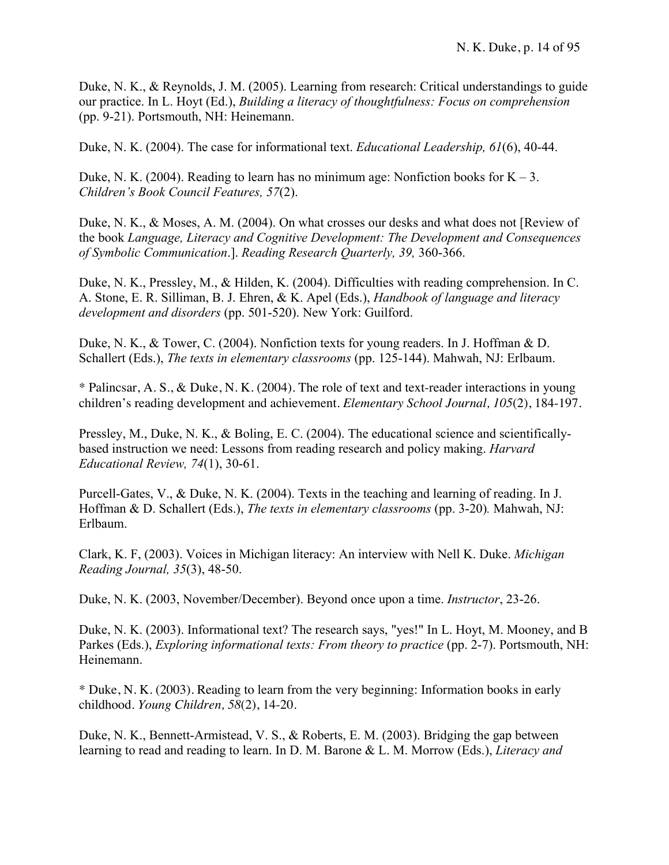Duke, N. K., & Reynolds, J. M. (2005). Learning from research: Critical understandings to guide our practice. In L. Hoyt (Ed.), *Building a literacy of thoughtfulness: Focus on comprehension* (pp. 9-21). Portsmouth, NH: Heinemann.

Duke, N. K. (2004). The case for informational text. *Educational Leadership, 61*(6), 40-44.

Duke, N. K. (2004). Reading to learn has no minimum age: Nonfiction books for  $K - 3$ . *Children's Book Council Features, 57*(2).

Duke, N. K., & Moses, A. M. (2004). On what crosses our desks and what does not [Review of the book *Language, Literacy and Cognitive Development: The Development and Consequences of Symbolic Communication*.]. *Reading Research Quarterly, 39,* 360-366.

Duke, N. K., Pressley, M., & Hilden, K. (2004). Difficulties with reading comprehension. In C. A. Stone, E. R. Silliman, B. J. Ehren, & K. Apel (Eds.), *Handbook of language and literacy development and disorders* (pp. 501-520). New York: Guilford.

Duke, N. K., & Tower, C. (2004). Nonfiction texts for young readers. In J. Hoffman & D. Schallert (Eds.), *The texts in elementary classrooms* (pp. 125-144). Mahwah, NJ: Erlbaum.

\* Palincsar, A. S., & Duke, N. K. (2004). The role of text and text-reader interactions in young children's reading development and achievement. *Elementary School Journal, 105*(2), 184-197.

Pressley, M., Duke, N. K., & Boling, E. C. (2004). The educational science and scientificallybased instruction we need: Lessons from reading research and policy making. *Harvard Educational Review, 74*(1), 30-61.

Purcell-Gates, V., & Duke, N. K. (2004). Texts in the teaching and learning of reading. In J. Hoffman & D. Schallert (Eds.), *The texts in elementary classrooms* (pp. 3-20)*.* Mahwah, NJ: Erlbaum.

Clark, K. F, (2003). Voices in Michigan literacy: An interview with Nell K. Duke. *Michigan Reading Journal, 35*(3), 48-50.

Duke, N. K. (2003, November/December). Beyond once upon a time. *Instructor*, 23-26.

Duke, N. K. (2003). Informational text? The research says, "yes!" In L. Hoyt, M. Mooney, and B Parkes (Eds.), *Exploring informational texts: From theory to practice* (pp. 2-7). Portsmouth, NH: Heinemann.

\* Duke, N. K. (2003). Reading to learn from the very beginning: Information books in early childhood. *Young Children, 58*(2), 14-20.

Duke, N. K., Bennett-Armistead, V. S., & Roberts, E. M. (2003). Bridging the gap between learning to read and reading to learn. In D. M. Barone & L. M. Morrow (Eds.), *Literacy and*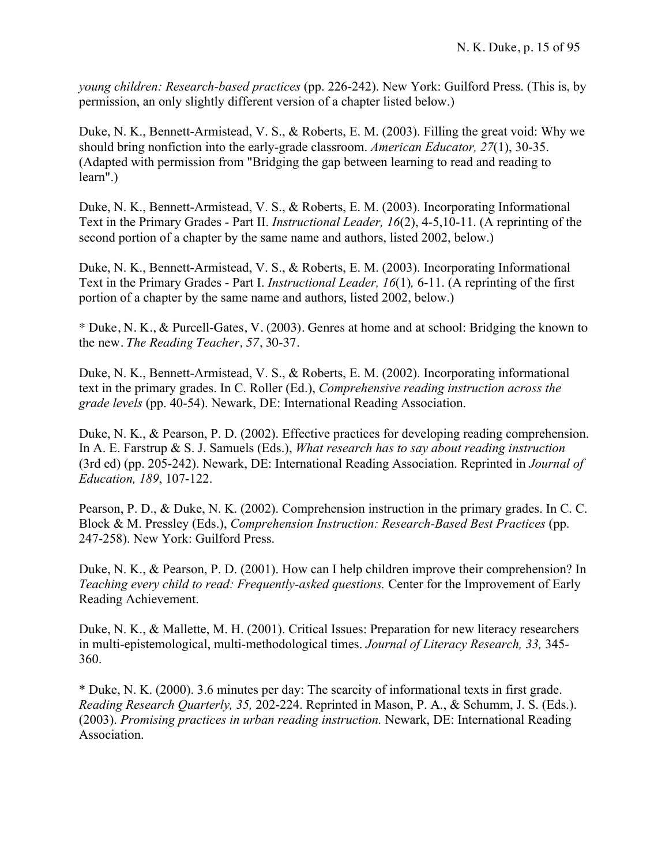*young children: Research-based practices* (pp. 226-242). New York: Guilford Press. (This is, by permission, an only slightly different version of a chapter listed below.)

Duke, N. K., Bennett-Armistead, V. S., & Roberts, E. M. (2003). Filling the great void: Why we should bring nonfiction into the early-grade classroom. *American Educator, 27*(1), 30-35. (Adapted with permission from "Bridging the gap between learning to read and reading to learn".)

Duke, N. K., Bennett-Armistead, V. S., & Roberts, E. M. (2003). Incorporating Informational Text in the Primary Grades - Part II. *Instructional Leader, 16*(2), 4-5,10-11. (A reprinting of the second portion of a chapter by the same name and authors, listed 2002, below.)

Duke, N. K., Bennett-Armistead, V. S., & Roberts, E. M. (2003). Incorporating Informational Text in the Primary Grades - Part I. *Instructional Leader, 16*(1)*,* 6-11. (A reprinting of the first portion of a chapter by the same name and authors, listed 2002, below.)

\* Duke, N. K., & Purcell-Gates, V. (2003). Genres at home and at school: Bridging the known to the new. *The Reading Teacher, 57*, 30-37.

Duke, N. K., Bennett-Armistead, V. S., & Roberts, E. M. (2002). Incorporating informational text in the primary grades. In C. Roller (Ed.), *Comprehensive reading instruction across the grade levels* (pp. 40-54). Newark, DE: International Reading Association.

Duke, N. K., & Pearson, P. D. (2002). Effective practices for developing reading comprehension. In A. E. Farstrup & S. J. Samuels (Eds.), *What research has to say about reading instruction* (3rd ed) (pp. 205-242). Newark, DE: International Reading Association. Reprinted in *Journal of Education, 189*, 107-122.

Pearson, P. D., & Duke, N. K. (2002). Comprehension instruction in the primary grades. In C. C. Block & M. Pressley (Eds.), *Comprehension Instruction: Research-Based Best Practices* (pp. 247-258). New York: Guilford Press.

Duke, N. K., & Pearson, P. D. (2001). How can I help children improve their comprehension? In *Teaching every child to read: Frequently-asked questions.* Center for the Improvement of Early Reading Achievement.

Duke, N. K., & Mallette, M. H. (2001). Critical Issues: Preparation for new literacy researchers in multi-epistemological, multi-methodological times. *Journal of Literacy Research, 33,* 345- 360.

\* Duke, N. K. (2000). 3.6 minutes per day: The scarcity of informational texts in first grade. *Reading Research Quarterly, 35,* 202-224. Reprinted in Mason, P. A., & Schumm, J. S. (Eds.). (2003). *Promising practices in urban reading instruction.* Newark, DE: International Reading Association.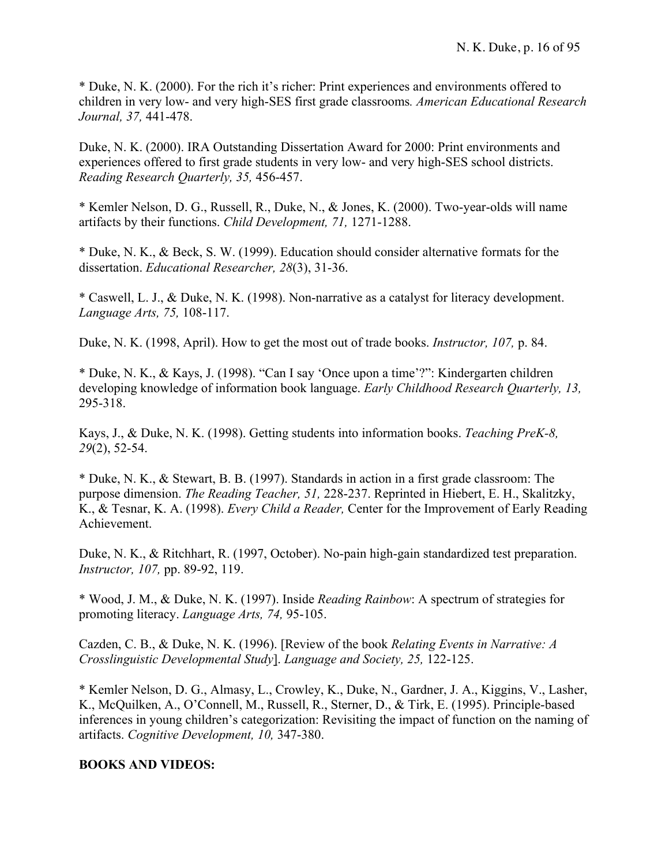\* Duke, N. K. (2000). For the rich it's richer: Print experiences and environments offered to children in very low- and very high-SES first grade classrooms*. American Educational Research Journal, 37,* 441-478.

Duke, N. K. (2000). IRA Outstanding Dissertation Award for 2000: Print environments and experiences offered to first grade students in very low- and very high-SES school districts. *Reading Research Quarterly, 35,* 456-457.

\* Kemler Nelson, D. G., Russell, R., Duke, N., & Jones, K. (2000). Two-year-olds will name artifacts by their functions. *Child Development, 71,* 1271-1288.

\* Duke, N. K., & Beck, S. W. (1999). Education should consider alternative formats for the dissertation. *Educational Researcher, 28*(3), 31-36.

\* Caswell, L. J., & Duke, N. K. (1998). Non-narrative as a catalyst for literacy development. *Language Arts, 75,* 108-117.

Duke, N. K. (1998, April). How to get the most out of trade books. *Instructor, 107,* p. 84.

\* Duke, N. K., & Kays, J. (1998). "Can I say 'Once upon a time'?": Kindergarten children developing knowledge of information book language. *Early Childhood Research Quarterly, 13,* 295-318.

Kays, J., & Duke, N. K. (1998). Getting students into information books. *Teaching PreK-8, 29*(2), 52-54.

\* Duke, N. K., & Stewart, B. B. (1997). Standards in action in a first grade classroom: The purpose dimension. *The Reading Teacher, 51,* 228-237. Reprinted in Hiebert, E. H., Skalitzky, K., & Tesnar, K. A. (1998). *Every Child a Reader,* Center for the Improvement of Early Reading Achievement.

Duke, N. K., & Ritchhart, R. (1997, October). No-pain high-gain standardized test preparation. *Instructor, 107,* pp. 89-92, 119.

\* Wood, J. M., & Duke, N. K. (1997). Inside *Reading Rainbow*: A spectrum of strategies for promoting literacy. *Language Arts, 74,* 95-105.

Cazden, C. B., & Duke, N. K. (1996). [Review of the book *Relating Events in Narrative: A Crosslinguistic Developmental Study*]. *Language and Society, 25,* 122-125.

\* Kemler Nelson, D. G., Almasy, L., Crowley, K., Duke, N., Gardner, J. A., Kiggins, V., Lasher, K., McQuilken, A., O'Connell, M., Russell, R., Sterner, D., & Tirk, E. (1995). Principle-based inferences in young children's categorization: Revisiting the impact of function on the naming of artifacts. *Cognitive Development, 10,* 347-380.

#### **BOOKS AND VIDEOS:**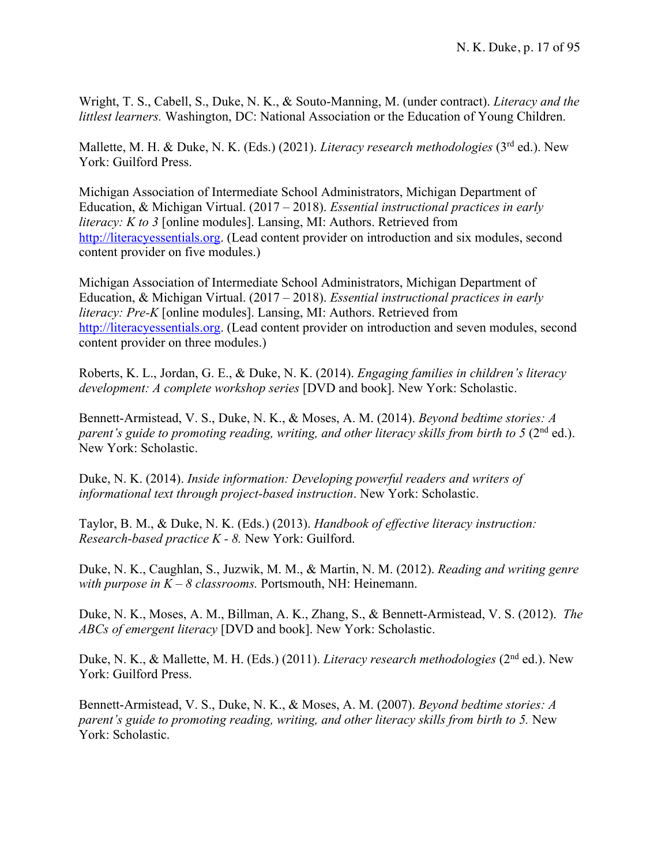Wright, T. S., Cabell, S., Duke, N. K., & Souto-Manning, M. (under contract). *Literacy and the littlest learners.* Washington, DC: National Association or the Education of Young Children.

Mallette, M. H. & Duke, N. K. (Eds.) (2021). *Literacy research methodologies* (3rd ed.). New York: Guilford Press.

Michigan Association of Intermediate School Administrators, Michigan Department of Education, & Michigan Virtual. (2017 – 2018). *Essential instructional practices in early literacy: K to 3* [online modules]. Lansing, MI: Authors. Retrieved from http://literacyessentials.org. (Lead content provider on introduction and six modules, second content provider on five modules.)

Michigan Association of Intermediate School Administrators, Michigan Department of Education, & Michigan Virtual. (2017 – 2018). *Essential instructional practices in early literacy: Pre-K* [online modules]. Lansing, MI: Authors. Retrieved from http://literacyessentials.org. (Lead content provider on introduction and seven modules, second content provider on three modules.)

Roberts, K. L., Jordan, G. E., & Duke, N. K. (2014). *Engaging families in children's literacy development: A complete workshop series* [DVD and book]. New York: Scholastic.

Bennett-Armistead, V. S., Duke, N. K., & Moses, A. M. (2014). *Beyond bedtime stories: A parent's guide to promoting reading, writing, and other literacy skills from birth to 5 (2nd ed.).* New York: Scholastic.

Duke, N. K. (2014). *Inside information: Developing powerful readers and writers of informational text through project-based instruction*. New York: Scholastic.

Taylor, B. M., & Duke, N. K. (Eds.) (2013). *Handbook of effective literacy instruction: Research-based practice K - 8.* New York: Guilford.

Duke, N. K., Caughlan, S., Juzwik, M. M., & Martin, N. M. (2012). *Reading and writing genre with purpose in K – 8 classrooms.* Portsmouth, NH: Heinemann.

Duke, N. K., Moses, A. M., Billman, A. K., Zhang, S., & Bennett-Armistead, V. S. (2012). *The ABCs of emergent literacy* [DVD and book]. New York: Scholastic.

Duke, N. K., & Mallette, M. H. (Eds.) (2011). *Literacy research methodologies* (2nd ed.). New York: Guilford Press.

Bennett-Armistead, V. S., Duke, N. K., & Moses, A. M. (2007). *Beyond bedtime stories: A parent's guide to promoting reading, writing, and other literacy skills from birth to 5. New* York: Scholastic.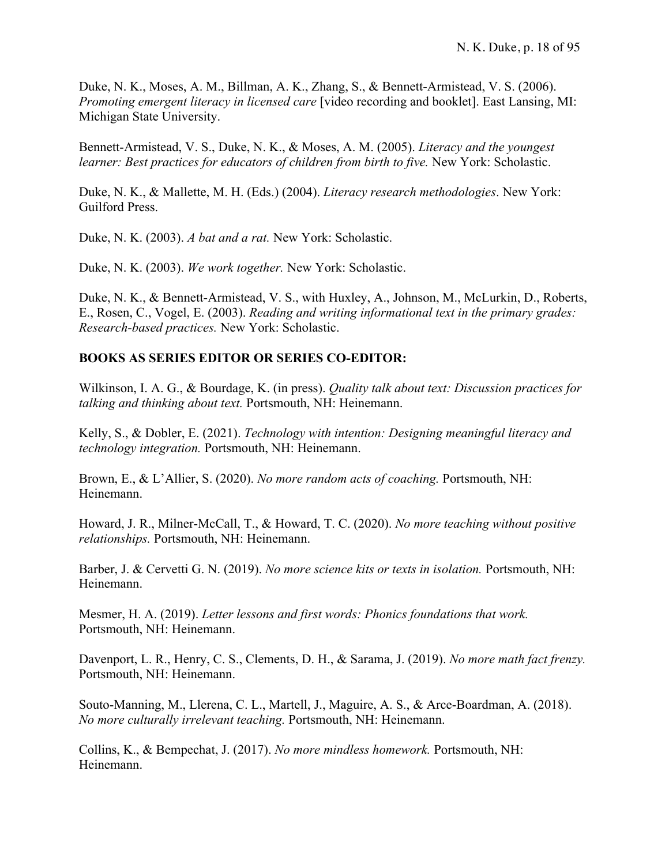Duke, N. K., Moses, A. M., Billman, A. K., Zhang, S., & Bennett-Armistead, V. S. (2006). *Promoting emergent literacy in licensed care* [video recording and booklet]. East Lansing, MI: Michigan State University.

Bennett-Armistead, V. S., Duke, N. K., & Moses, A. M. (2005). *Literacy and the youngest learner: Best practices for educators of children from birth to five. New York: Scholastic.* 

Duke, N. K., & Mallette, M. H. (Eds.) (2004). *Literacy research methodologies*. New York: Guilford Press.

Duke, N. K. (2003). *A bat and a rat.* New York: Scholastic.

Duke, N. K. (2003). *We work together.* New York: Scholastic.

Duke, N. K., & Bennett-Armistead, V. S., with Huxley, A., Johnson, M., McLurkin, D., Roberts, E., Rosen, C., Vogel, E. (2003). *Reading and writing informational text in the primary grades: Research-based practices.* New York: Scholastic.

## **BOOKS AS SERIES EDITOR OR SERIES CO-EDITOR:**

Wilkinson, I. A. G., & Bourdage, K. (in press). *Quality talk about text: Discussion practices for talking and thinking about text.* Portsmouth, NH: Heinemann.

Kelly, S., & Dobler, E. (2021). *Technology with intention: Designing meaningful literacy and technology integration.* Portsmouth, NH: Heinemann.

Brown, E., & L'Allier, S. (2020). *No more random acts of coaching.* Portsmouth, NH: Heinemann.

Howard, J. R., Milner-McCall, T., & Howard, T. C. (2020). *No more teaching without positive relationships.* Portsmouth, NH: Heinemann.

Barber, J. & Cervetti G. N. (2019). *No more science kits or texts in isolation.* Portsmouth, NH: Heinemann.

Mesmer, H. A. (2019). *Letter lessons and first words: Phonics foundations that work.* Portsmouth, NH: Heinemann.

Davenport, L. R., Henry, C. S., Clements, D. H., & Sarama, J. (2019). *No more math fact frenzy.* Portsmouth, NH: Heinemann.

Souto-Manning, M., Llerena, C. L., Martell, J., Maguire, A. S., & Arce-Boardman, A. (2018). *No more culturally irrelevant teaching.* Portsmouth, NH: Heinemann.

Collins, K., & Bempechat, J. (2017). *No more mindless homework.* Portsmouth, NH: Heinemann.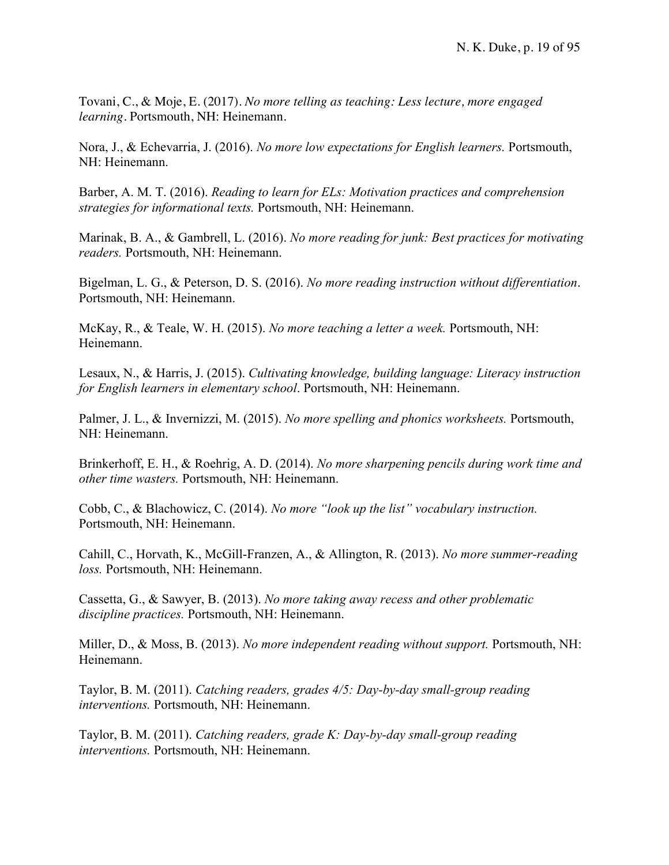Tovani, C., & Moje, E. (2017). *No more telling as teaching: Less lecture, more engaged learning.* Portsmouth, NH: Heinemann.

Nora, J., & Echevarria, J. (2016). *No more low expectations for English learners.* Portsmouth, NH: Heinemann.

Barber, A. M. T. (2016). *Reading to learn for ELs: Motivation practices and comprehension strategies for informational texts.* Portsmouth, NH: Heinemann.

Marinak, B. A., & Gambrell, L. (2016). *No more reading for junk: Best practices for motivating readers.* Portsmouth, NH: Heinemann.

Bigelman, L. G., & Peterson, D. S. (2016). *No more reading instruction without differentiation*. Portsmouth, NH: Heinemann.

McKay, R., & Teale, W. H. (2015). *No more teaching a letter a week.* Portsmouth, NH: Heinemann.

Lesaux, N., & Harris, J. (2015). *Cultivating knowledge, building language: Literacy instruction for English learners in elementary school*. Portsmouth, NH: Heinemann.

Palmer, J. L., & Invernizzi, M. (2015). *No more spelling and phonics worksheets.* Portsmouth, NH: Heinemann.

Brinkerhoff, E. H., & Roehrig, A. D. (2014). *No more sharpening pencils during work time and other time wasters.* Portsmouth, NH: Heinemann.

Cobb, C., & Blachowicz, C. (2014). *No more "look up the list" vocabulary instruction.* Portsmouth, NH: Heinemann.

Cahill, C., Horvath, K., McGill-Franzen, A., & Allington, R. (2013). *No more summer-reading loss.* Portsmouth, NH: Heinemann.

Cassetta, G., & Sawyer, B. (2013). *No more taking away recess and other problematic discipline practices.* Portsmouth, NH: Heinemann.

Miller, D., & Moss, B. (2013). *No more independent reading without support.* Portsmouth, NH: Heinemann.

Taylor, B. M. (2011). *Catching readers, grades 4/5: Day-by-day small-group reading interventions.* Portsmouth, NH: Heinemann.

Taylor, B. M. (2011). *Catching readers, grade K: Day-by-day small-group reading interventions.* Portsmouth, NH: Heinemann.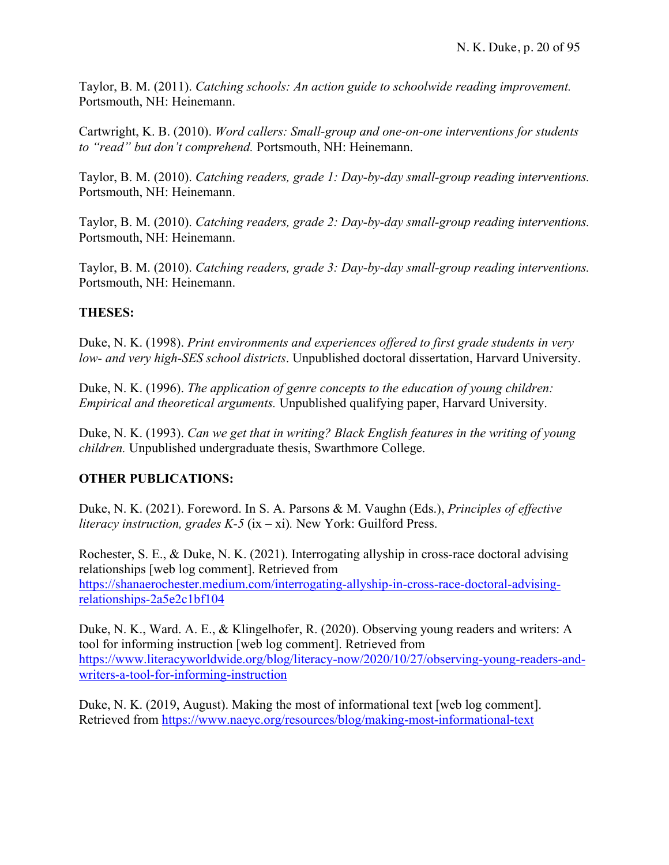Taylor, B. M. (2011). *Catching schools: An action guide to schoolwide reading improvement.* Portsmouth, NH: Heinemann.

Cartwright, K. B. (2010). *Word callers: Small-group and one-on-one interventions for students to "read" but don't comprehend.* Portsmouth, NH: Heinemann.

Taylor, B. M. (2010). *Catching readers, grade 1: Day-by-day small-group reading interventions.*  Portsmouth, NH: Heinemann.

Taylor, B. M. (2010). *Catching readers, grade 2: Day-by-day small-group reading interventions.*  Portsmouth, NH: Heinemann.

Taylor, B. M. (2010). *Catching readers, grade 3: Day-by-day small-group reading interventions.*  Portsmouth, NH: Heinemann.

## **THESES:**

Duke, N. K. (1998). *Print environments and experiences offered to first grade students in very low- and very high-SES school districts*. Unpublished doctoral dissertation, Harvard University.

Duke, N. K. (1996). *The application of genre concepts to the education of young children: Empirical and theoretical arguments.* Unpublished qualifying paper, Harvard University.

Duke, N. K. (1993). *Can we get that in writing? Black English features in the writing of young children.* Unpublished undergraduate thesis, Swarthmore College.

## **OTHER PUBLICATIONS:**

Duke, N. K. (2021). Foreword. In S. A. Parsons & M. Vaughn (Eds.), *Principles of effective literacy instruction, grades K-5* (ix – xi)*.* New York: Guilford Press.

Rochester, S. E., & Duke, N. K. (2021). Interrogating allyship in cross-race doctoral advising relationships [web log comment]. Retrieved from https://shanaerochester.medium.com/interrogating-allyship-in-cross-race-doctoral-advisingrelationships-2a5e2c1bf104

Duke, N. K., Ward. A. E., & Klingelhofer, R. (2020). Observing young readers and writers: A tool for informing instruction [web log comment]. Retrieved from https://www.literacyworldwide.org/blog/literacy-now/2020/10/27/observing-young-readers-andwriters-a-tool-for-informing-instruction

Duke, N. K. (2019, August). Making the most of informational text [web log comment]. Retrieved from https://www.naeyc.org/resources/blog/making-most-informational-text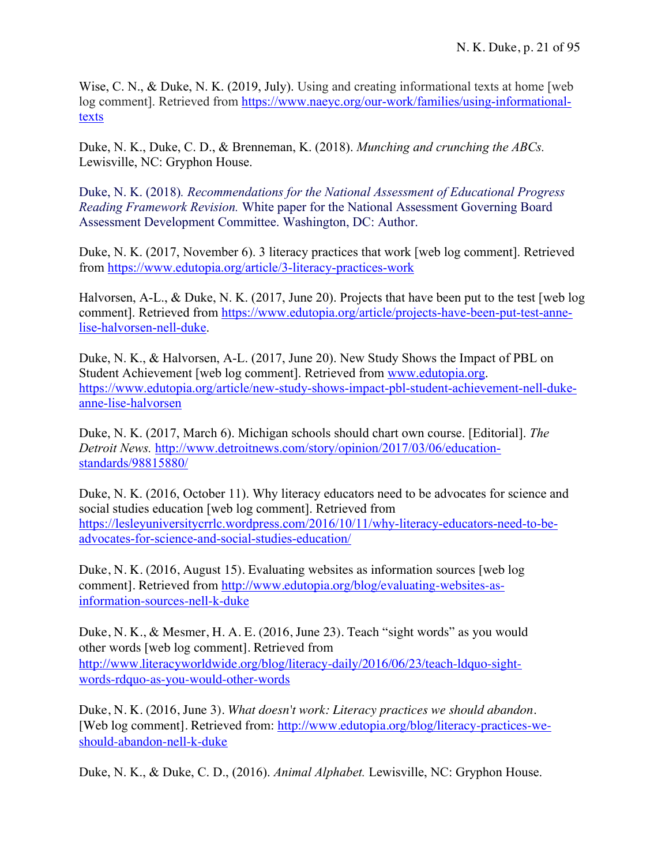Wise, C. N., & Duke, N. K. (2019, July). Using and creating informational texts at home [web log comment]. Retrieved from https://www.naeyc.org/our-work/families/using-informationaltexts

Duke, N. K., Duke, C. D., & Brenneman, K. (2018). *Munching and crunching the ABCs.* Lewisville, NC: Gryphon House.

Duke, N. K. (2018)*. Recommendations for the National Assessment of Educational Progress Reading Framework Revision.* White paper for the National Assessment Governing Board Assessment Development Committee. Washington, DC: Author.

Duke, N. K. (2017, November 6). 3 literacy practices that work [web log comment]. Retrieved from https://www.edutopia.org/article/3-literacy-practices-work

Halvorsen, A-L., & Duke, N. K. (2017, June 20). Projects that have been put to the test [web log comment]. Retrieved from https://www.edutopia.org/article/projects-have-been-put-test-annelise-halvorsen-nell-duke.

Duke, N. K., & Halvorsen, A-L. (2017, June 20). New Study Shows the Impact of PBL on Student Achievement [web log comment]. Retrieved from www.edutopia.org. https://www.edutopia.org/article/new-study-shows-impact-pbl-student-achievement-nell-dukeanne-lise-halvorsen

Duke, N. K. (2017, March 6). Michigan schools should chart own course. [Editorial]. *The Detroit News.* http://www.detroitnews.com/story/opinion/2017/03/06/educationstandards/98815880/

Duke, N. K. (2016, October 11). Why literacy educators need to be advocates for science and social studies education [web log comment]. Retrieved from https://lesleyuniversitycrrlc.wordpress.com/2016/10/11/why-literacy-educators-need-to-beadvocates-for-science-and-social-studies-education/

Duke, N. K. (2016, August 15). Evaluating websites as information sources [web log comment]. Retrieved from http://www.edutopia.org/blog/evaluating-websites-asinformation-sources-nell-k-duke

Duke, N. K., & Mesmer, H. A. E. (2016, June 23). Teach "sight words" as you would other words [web log comment]. Retrieved from http://www.literacyworldwide.org/blog/literacy-daily/2016/06/23/teach-ldquo-sightwords-rdquo-as-you-would-other-words

Duke, N. K. (2016, June 3). *What doesn't work: Literacy practices we should abandon.* [Web log comment]. Retrieved from: http://www.edutopia.org/blog/literacy-practices-weshould-abandon-nell-k-duke

Duke, N. K., & Duke, C. D., (2016). *Animal Alphabet.* Lewisville, NC: Gryphon House.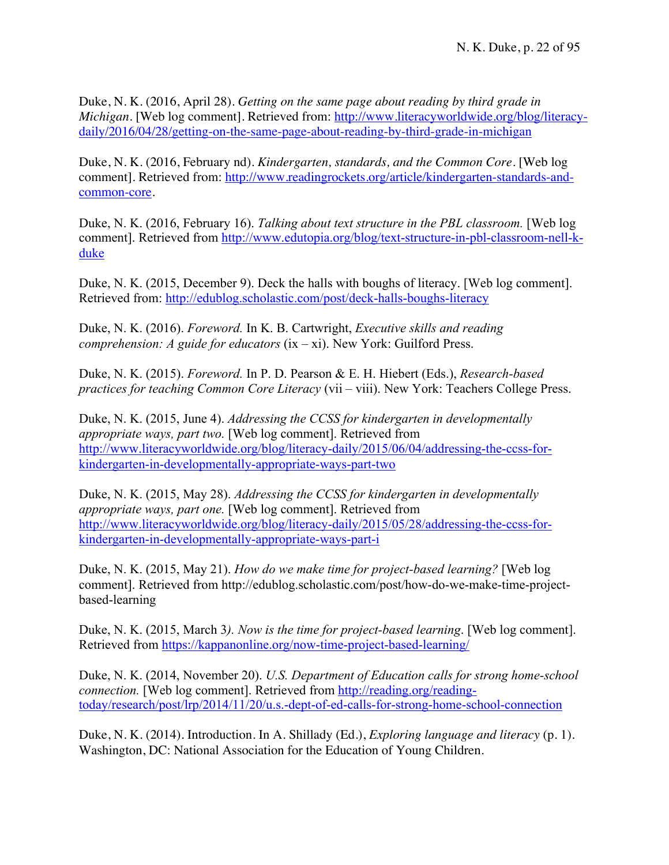Duke, N. K. (2016, April 28). *Getting on the same page about reading by third grade in Michigan*. [Web log comment]. Retrieved from: http://www.literacyworldwide.org/blog/literacydaily/2016/04/28/getting-on-the-same-page-about-reading-by-third-grade-in-michigan

Duke, N. K. (2016, February nd). *Kindergarten, standards, and the Common Core.* [Web log comment]. Retrieved from: http://www.readingrockets.org/article/kindergarten-standards-andcommon-core.

Duke, N. K. (2016, February 16). *Talking about text structure in the PBL classroom.* [Web log comment]. Retrieved from http://www.edutopia.org/blog/text-structure-in-pbl-classroom-nell-kduke

Duke, N. K. (2015, December 9). Deck the halls with boughs of literacy. [Web log comment]. Retrieved from: http://edublog.scholastic.com/post/deck-halls-boughs-literacy

Duke, N. K. (2016). *Foreword.* In K. B. Cartwright, *Executive skills and reading comprehension: A guide for educators* (ix – xi). New York: Guilford Press.

Duke, N. K. (2015). *Foreword.* In P. D. Pearson & E. H. Hiebert (Eds.), *Research-based practices for teaching Common Core Literacy* (vii – viii). New York: Teachers College Press.

Duke, N. K. (2015, June 4). *Addressing the CCSS for kindergarten in developmentally appropriate ways, part two.* [Web log comment]. Retrieved from http://www.literacyworldwide.org/blog/literacy-daily/2015/06/04/addressing-the-ccss-forkindergarten-in-developmentally-appropriate-ways-part-two

Duke, N. K. (2015, May 28). *Addressing the CCSS for kindergarten in developmentally appropriate ways, part one.* [Web log comment]. Retrieved from http://www.literacyworldwide.org/blog/literacy-daily/2015/05/28/addressing-the-ccss-forkindergarten-in-developmentally-appropriate-ways-part-i

Duke, N. K. (2015, May 21). *How do we make time for project-based learning?* [Web log comment]. Retrieved from http://edublog.scholastic.com/post/how-do-we-make-time-projectbased-learning

Duke, N. K. (2015, March 3*). Now is the time for project-based learning*. [Web log comment]. Retrieved from https://kappanonline.org/now-time-project-based-learning/

Duke, N. K. (2014, November 20). *U.S. Department of Education calls for strong home-school connection.* [Web log comment]. Retrieved from http://reading.org/readingtoday/research/post/lrp/2014/11/20/u.s.-dept-of-ed-calls-for-strong-home-school-connection

Duke, N. K. (2014). Introduction. In A. Shillady (Ed.), *Exploring language and literacy* (p. 1). Washington, DC: National Association for the Education of Young Children.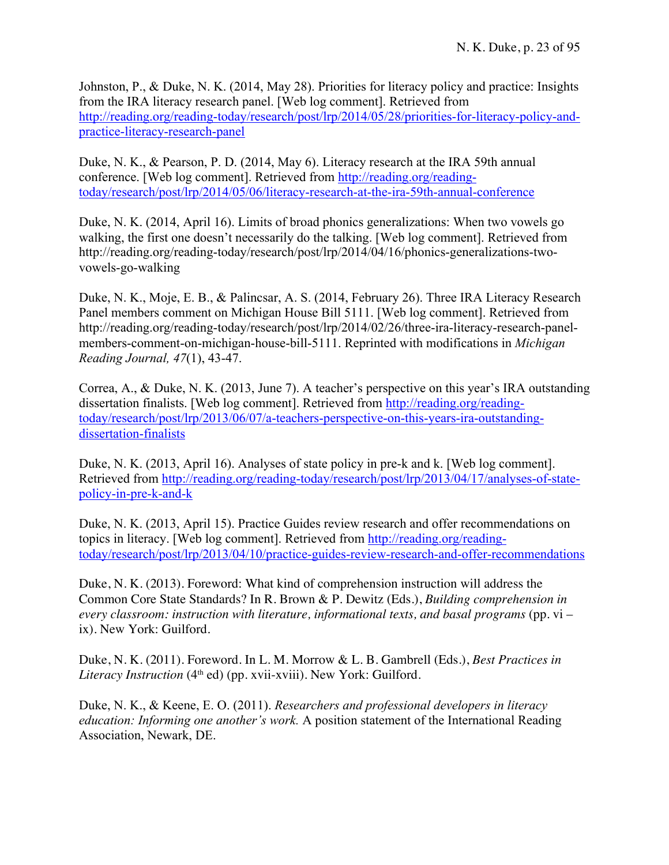Johnston, P., & Duke, N. K. (2014, May 28). Priorities for literacy policy and practice: Insights from the IRA literacy research panel. [Web log comment]. Retrieved from http://reading.org/reading-today/research/post/lrp/2014/05/28/priorities-for-literacy-policy-andpractice-literacy-research-panel

Duke, N. K., & Pearson, P. D. (2014, May 6). Literacy research at the IRA 59th annual conference. [Web log comment]. Retrieved from http://reading.org/readingtoday/research/post/lrp/2014/05/06/literacy-research-at-the-ira-59th-annual-conference

Duke, N. K. (2014, April 16). Limits of broad phonics generalizations: When two vowels go walking, the first one doesn't necessarily do the talking. [Web log comment]. Retrieved from http://reading.org/reading-today/research/post/lrp/2014/04/16/phonics-generalizations-twovowels-go-walking

Duke, N. K., Moje, E. B., & Palincsar, A. S. (2014, February 26). Three IRA Literacy Research Panel members comment on Michigan House Bill 5111. [Web log comment]. Retrieved from http://reading.org/reading-today/research/post/lrp/2014/02/26/three-ira-literacy-research-panelmembers-comment-on-michigan-house-bill-5111. Reprinted with modifications in *Michigan Reading Journal, 47*(1), 43-47.

Correa, A., & Duke, N. K. (2013, June 7). A teacher's perspective on this year's IRA outstanding dissertation finalists. [Web log comment]. Retrieved from http://reading.org/readingtoday/research/post/lrp/2013/06/07/a-teachers-perspective-on-this-years-ira-outstandingdissertation-finalists

Duke, N. K. (2013, April 16). Analyses of state policy in pre-k and k. [Web log comment]. Retrieved from http://reading.org/reading-today/research/post/lrp/2013/04/17/analyses-of-statepolicy-in-pre-k-and-k

Duke, N. K. (2013, April 15). Practice Guides review research and offer recommendations on topics in literacy. [Web log comment]. Retrieved from http://reading.org/readingtoday/research/post/lrp/2013/04/10/practice-guides-review-research-and-offer-recommendations

Duke, N. K. (2013). Foreword: What kind of comprehension instruction will address the Common Core State Standards? In R. Brown & P. Dewitz (Eds.), *Building comprehension in every classroom: instruction with literature, informational texts, and basal programs* (pp. vi – ix). New York: Guilford.

Duke, N. K. (2011). Foreword. In L. M. Morrow & L. B. Gambrell (Eds.), *Best Practices in Literacy Instruction* (4<sup>th</sup> ed) (pp. xvii-xviii). New York: Guilford.

Duke, N. K., & Keene, E. O. (2011). *Researchers and professional developers in literacy education: Informing one another's work.* A position statement of the International Reading Association, Newark, DE.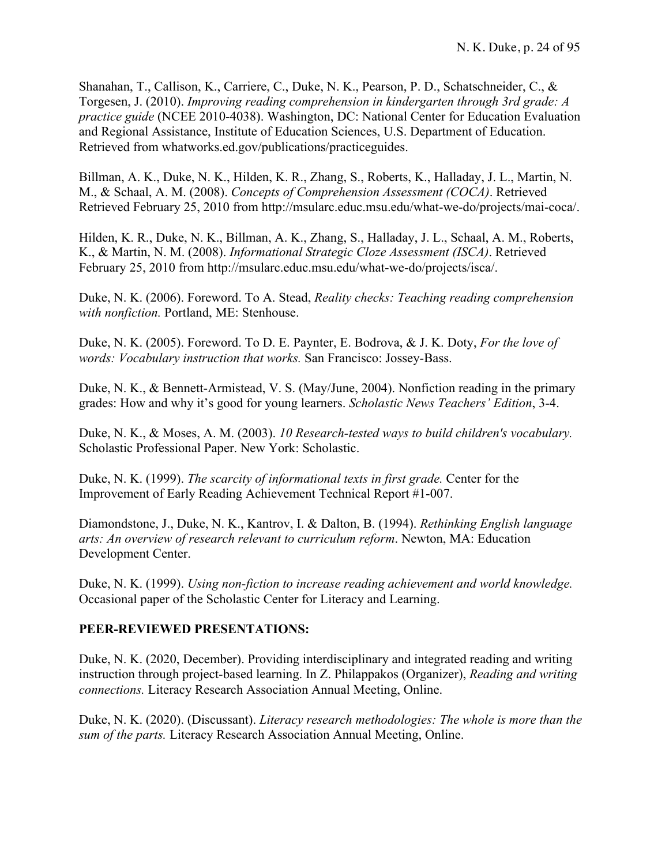Shanahan, T., Callison, K., Carriere, C., Duke, N. K., Pearson, P. D., Schatschneider, C., & Torgesen, J. (2010). *Improving reading comprehension in kindergarten through 3rd grade: A practice guide* (NCEE 2010-4038). Washington, DC: National Center for Education Evaluation and Regional Assistance, Institute of Education Sciences, U.S. Department of Education. Retrieved from whatworks.ed.gov/publications/practiceguides.

Billman, A. K., Duke, N. K., Hilden, K. R., Zhang, S., Roberts, K., Halladay, J. L., Martin, N. M., & Schaal, A. M. (2008). *Concepts of Comprehension Assessment (COCA)*. Retrieved Retrieved February 25, 2010 from http://msularc.educ.msu.edu/what-we-do/projects/mai-coca/.

Hilden, K. R., Duke, N. K., Billman, A. K., Zhang, S., Halladay, J. L., Schaal, A. M., Roberts, K., & Martin, N. M. (2008). *Informational Strategic Cloze Assessment (ISCA)*. Retrieved February 25, 2010 from http://msularc.educ.msu.edu/what-we-do/projects/isca/.

Duke, N. K. (2006). Foreword. To A. Stead, *Reality checks: Teaching reading comprehension with nonfiction.* Portland, ME: Stenhouse.

Duke, N. K. (2005). Foreword. To D. E. Paynter, E. Bodrova, & J. K. Doty, *For the love of words: Vocabulary instruction that works.* San Francisco: Jossey-Bass.

Duke, N. K., & Bennett-Armistead, V. S. (May/June, 2004). Nonfiction reading in the primary grades: How and why it's good for young learners. *Scholastic News Teachers' Edition*, 3-4.

Duke, N. K., & Moses, A. M. (2003). *10 Research-tested ways to build children's vocabulary.* Scholastic Professional Paper. New York: Scholastic.

Duke, N. K. (1999). *The scarcity of informational texts in first grade.* Center for the Improvement of Early Reading Achievement Technical Report #1-007.

Diamondstone, J., Duke, N. K., Kantrov, I. & Dalton, B. (1994). *Rethinking English language arts: An overview of research relevant to curriculum reform*. Newton, MA: Education Development Center.

Duke, N. K. (1999). *Using non-fiction to increase reading achievement and world knowledge.* Occasional paper of the Scholastic Center for Literacy and Learning.

## **PEER-REVIEWED PRESENTATIONS:**

Duke, N. K. (2020, December). Providing interdisciplinary and integrated reading and writing instruction through project-based learning. In Z. Philappakos (Organizer), *Reading and writing connections.* Literacy Research Association Annual Meeting, Online.

Duke, N. K. (2020). (Discussant). *Literacy research methodologies: The whole is more than the sum of the parts.* Literacy Research Association Annual Meeting, Online.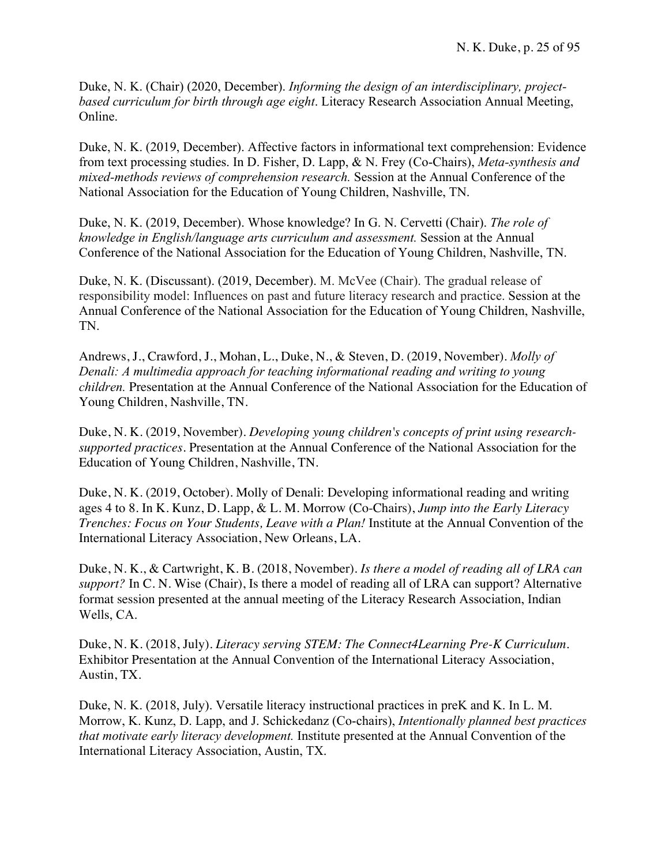Duke, N. K. (Chair) (2020, December). *Informing the design of an interdisciplinary, projectbased curriculum for birth through age eight*. Literacy Research Association Annual Meeting, Online.

Duke, N. K. (2019, December). Affective factors in informational text comprehension: Evidence from text processing studies. In D. Fisher, D. Lapp, & N. Frey (Co-Chairs), *Meta-synthesis and mixed-methods reviews of comprehension research.* Session at the Annual Conference of the National Association for the Education of Young Children, Nashville, TN.

Duke, N. K. (2019, December). Whose knowledge? In G. N. Cervetti (Chair). *The role of knowledge in English/language arts curriculum and assessment.* Session at the Annual Conference of the National Association for the Education of Young Children, Nashville, TN.

Duke, N. K. (Discussant). (2019, December). M. McVee (Chair). The gradual release of responsibility model: Influences on past and future literacy research and practice. Session at the Annual Conference of the National Association for the Education of Young Children, Nashville, TN.

Andrews, J., Crawford, J., Mohan, L., Duke, N., & Steven, D. (2019, November). *Molly of Denali: A multimedia approach for teaching informational reading and writing to young children.* Presentation at the Annual Conference of the National Association for the Education of Young Children, Nashville, TN.

Duke, N. K. (2019, November). *Developing young children's concepts of print using researchsupported practices.* Presentation at the Annual Conference of the National Association for the Education of Young Children, Nashville, TN.

Duke, N. K. (2019, October). Molly of Denali: Developing informational reading and writing ages 4 to 8. In K. Kunz, D. Lapp, & L. M. Morrow (Co-Chairs), *Jump into the Early Literacy Trenches: Focus on Your Students, Leave with a Plan!* Institute at the Annual Convention of the International Literacy Association, New Orleans, LA.

Duke, N. K., & Cartwright, K. B. (2018, November). *Is there a model of reading all of LRA can support?* In C. N. Wise (Chair), Is there a model of reading all of LRA can support? Alternative format session presented at the annual meeting of the Literacy Research Association, Indian Wells, CA.

Duke, N. K. (2018, July). *Literacy serving STEM: The Connect4Learning Pre-K Curriculum.* Exhibitor Presentation at the Annual Convention of the International Literacy Association, Austin, TX.

Duke, N. K. (2018, July). Versatile literacy instructional practices in preK and K. In L. M. Morrow, K. Kunz, D. Lapp, and J. Schickedanz (Co-chairs), *Intentionally planned best practices that motivate early literacy development.* Institute presented at the Annual Convention of the International Literacy Association, Austin, TX.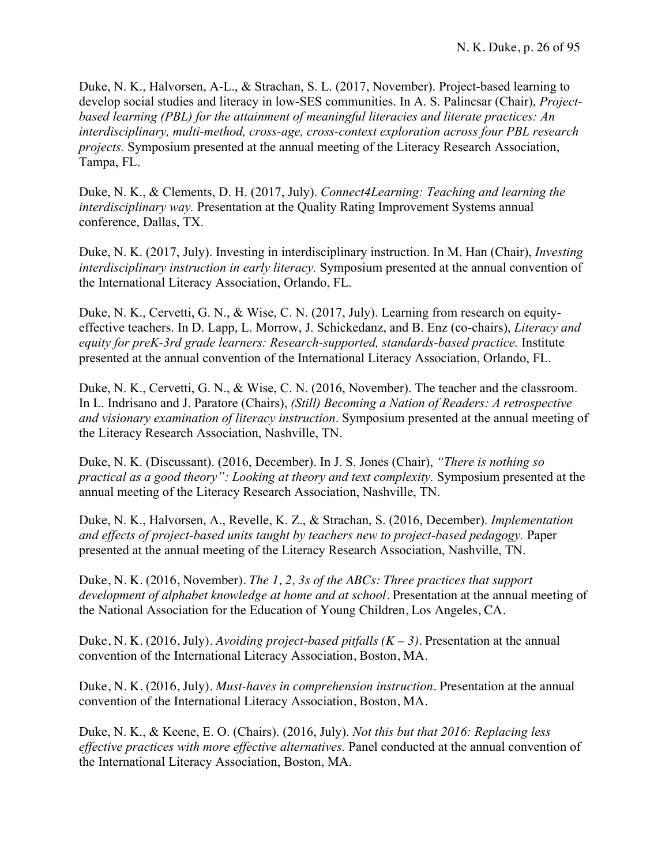Duke, N. K., Halvorsen, A-L., & Strachan, S. L. (2017, November). Project-based learning to develop social studies and literacy in low-SES communities. In A. S. Palincsar (Chair), *Projectbased learning (PBL) for the attainment of meaningful literacies and literate practices: An interdisciplinary, multi-method, cross-age, cross-context exploration across four PBL research projects.* Symposium presented at the annual meeting of the Literacy Research Association, Tampa, FL.

Duke, N. K., & Clements, D. H. (2017, July). *Connect4Learning: Teaching and learning the interdisciplinary way.* Presentation at the Quality Rating Improvement Systems annual conference, Dallas, TX.

Duke, N. K. (2017, July). Investing in interdisciplinary instruction. In M. Han (Chair), *Investing interdisciplinary instruction in early literacy.* Symposium presented at the annual convention of the International Literacy Association, Orlando, FL.

Duke, N. K., Cervetti, G. N., & Wise, C. N. (2017, July). Learning from research on equityeffective teachers. In D. Lapp, L. Morrow, J. Schickedanz, and B. Enz (co-chairs), *Literacy and equity for preK-3rd grade learners: Research-supported, standards-based practice.* Institute presented at the annual convention of the International Literacy Association, Orlando, FL.

Duke, N. K., Cervetti, G. N., & Wise, C. N. (2016, November). The teacher and the classroom. In L. Indrisano and J. Paratore (Chairs), *(Still) Becoming a Nation of Readers: A retrospective and visionary examination of literacy instruction*. Symposium presented at the annual meeting of the Literacy Research Association, Nashville, TN.

Duke, N. K. (Discussant). (2016, December). In J. S. Jones (Chair), *"There is nothing so practical as a good theory": Looking at theory and text complexity.* Symposium presented at the annual meeting of the Literacy Research Association, Nashville, TN.

Duke, N. K., Halvorsen, A., Revelle, K. Z., & Strachan, S. (2016, December). *Implementation and effects of project-based units taught by teachers new to project-based pedagogy.* Paper presented at the annual meeting of the Literacy Research Association, Nashville, TN.

Duke, N. K. (2016, November). *The 1, 2, 3s of the ABCs: Three practices that support development of alphabet knowledge at home and at school.* Presentation at the annual meeting of the National Association for the Education of Young Children, Los Angeles, CA.

Duke, N. K. (2016, July). *Avoiding project-based pitfalls (K – 3).* Presentation at the annual convention of the International Literacy Association, Boston, MA.

Duke, N. K. (2016, July). *Must-haves in comprehension instruction.* Presentation at the annual convention of the International Literacy Association, Boston, MA.

Duke, N. K., & Keene, E. O. (Chairs). (2016, July). *Not this but that 2016: Replacing less effective practices with more effective alternatives.* Panel conducted at the annual convention of the International Literacy Association, Boston, MA.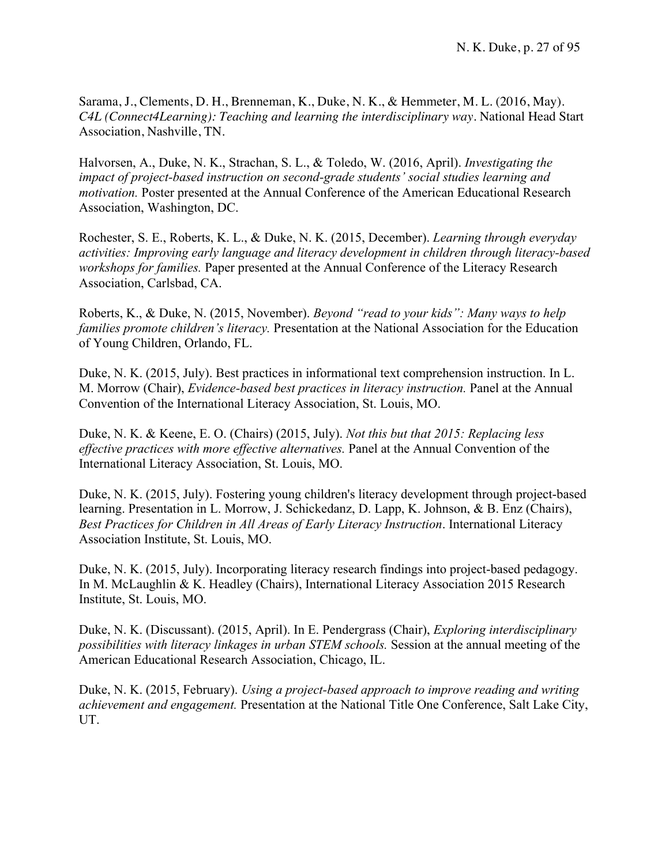Sarama, J., Clements, D. H., Brenneman, K., Duke, N. K., & Hemmeter, M. L. (2016, May). *C4L (Connect4Learning): Teaching and learning the interdisciplinary way*. National Head Start Association, Nashville, TN.

Halvorsen, A., Duke, N. K., Strachan, S. L., & Toledo, W. (2016, April). *Investigating the impact of project-based instruction on second-grade students' social studies learning and motivation.* Poster presented at the Annual Conference of the American Educational Research Association, Washington, DC.

Rochester, S. E., Roberts, K. L., & Duke, N. K. (2015, December). *Learning through everyday activities: Improving early language and literacy development in children through literacy-based workshops for families.* Paper presented at the Annual Conference of the Literacy Research Association, Carlsbad, CA.

Roberts, K., & Duke, N. (2015, November). *Beyond "read to your kids": Many ways to help families promote children's literacy.* Presentation at the National Association for the Education of Young Children, Orlando, FL.

Duke, N. K. (2015, July). Best practices in informational text comprehension instruction. In L. M. Morrow (Chair), *Evidence-based best practices in literacy instruction.* Panel at the Annual Convention of the International Literacy Association, St. Louis, MO.

Duke, N. K. & Keene, E. O. (Chairs) (2015, July). *Not this but that 2015: Replacing less effective practices with more effective alternatives.* Panel at the Annual Convention of the International Literacy Association, St. Louis, MO.

Duke, N. K. (2015, July). Fostering young children's literacy development through project-based learning. Presentation in L. Morrow, J. Schickedanz, D. Lapp, K. Johnson, & B. Enz (Chairs), *Best Practices for Children in All Areas of Early Literacy Instruction*. International Literacy Association Institute, St. Louis, MO.

Duke, N. K. (2015, July). Incorporating literacy research findings into project-based pedagogy. In M. McLaughlin & K. Headley (Chairs), International Literacy Association 2015 Research Institute, St. Louis, MO.

Duke, N. K. (Discussant). (2015, April). In E. Pendergrass (Chair), *Exploring interdisciplinary possibilities with literacy linkages in urban STEM schools.* Session at the annual meeting of the American Educational Research Association, Chicago, IL.

Duke, N. K. (2015, February). *Using a project-based approach to improve reading and writing achievement and engagement.* Presentation at the National Title One Conference, Salt Lake City, UT.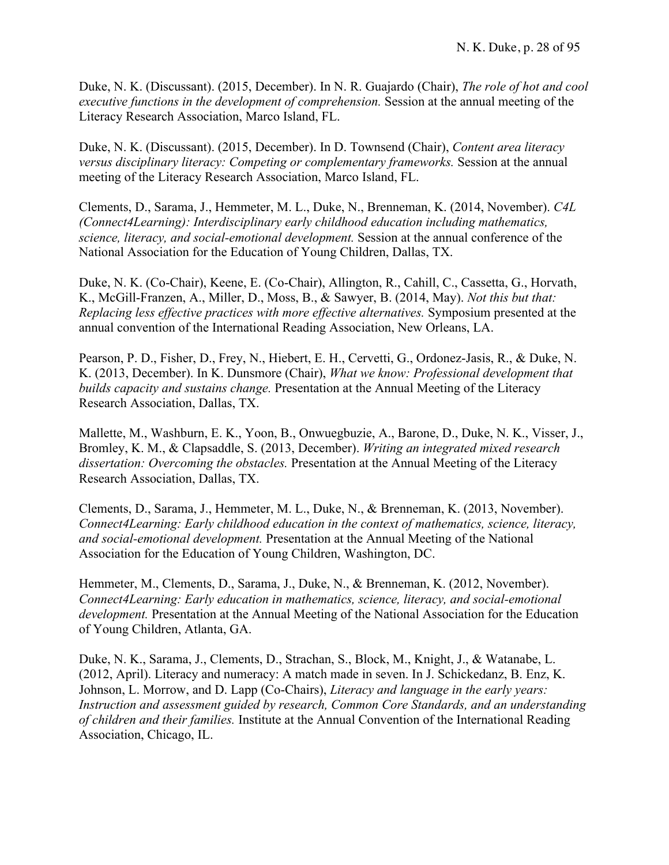Duke, N. K. (Discussant). (2015, December). In N. R. Guajardo (Chair), *The role of hot and cool executive functions in the development of comprehension.* Session at the annual meeting of the Literacy Research Association, Marco Island, FL.

Duke, N. K. (Discussant). (2015, December). In D. Townsend (Chair), *Content area literacy versus disciplinary literacy: Competing or complementary frameworks.* Session at the annual meeting of the Literacy Research Association, Marco Island, FL.

Clements, D., Sarama, J., Hemmeter, M. L., Duke, N., Brenneman, K. (2014, November). *C4L (Connect4Learning): Interdisciplinary early childhood education including mathematics, science, literacy, and social-emotional development.* Session at the annual conference of the National Association for the Education of Young Children, Dallas, TX.

Duke, N. K. (Co-Chair), Keene, E. (Co-Chair), Allington, R., Cahill, C., Cassetta, G., Horvath, K., McGill-Franzen, A., Miller, D., Moss, B., & Sawyer, B. (2014, May). *Not this but that: Replacing less effective practices with more effective alternatives.* Symposium presented at the annual convention of the International Reading Association, New Orleans, LA.

Pearson, P. D., Fisher, D., Frey, N., Hiebert, E. H., Cervetti, G., Ordonez-Jasis, R., & Duke, N. K. (2013, December). In K. Dunsmore (Chair), *What we know: Professional development that builds capacity and sustains change.* Presentation at the Annual Meeting of the Literacy Research Association, Dallas, TX.

Mallette, M., Washburn, E. K., Yoon, B., Onwuegbuzie, A., Barone, D., Duke, N. K., Visser, J., Bromley, K. M., & Clapsaddle, S. (2013, December). *Writing an integrated mixed research dissertation: Overcoming the obstacles.* Presentation at the Annual Meeting of the Literacy Research Association, Dallas, TX.

Clements, D., Sarama, J., Hemmeter, M. L., Duke, N., & Brenneman, K. (2013, November). *Connect4Learning: Early childhood education in the context of mathematics, science, literacy, and social-emotional development.* Presentation at the Annual Meeting of the National Association for the Education of Young Children, Washington, DC.

Hemmeter, M., Clements, D., Sarama, J., Duke, N., & Brenneman, K. (2012, November). *Connect4Learning: Early education in mathematics, science, literacy, and social-emotional development.* Presentation at the Annual Meeting of the National Association for the Education of Young Children, Atlanta, GA.

Duke, N. K., Sarama, J., Clements, D., Strachan, S., Block, M., Knight, J., & Watanabe, L. (2012, April). Literacy and numeracy: A match made in seven. In J. Schickedanz, B. Enz, K. Johnson, L. Morrow, and D. Lapp (Co-Chairs), *Literacy and language in the early years: Instruction and assessment guided by research, Common Core Standards, and an understanding of children and their families.* Institute at the Annual Convention of the International Reading Association, Chicago, IL.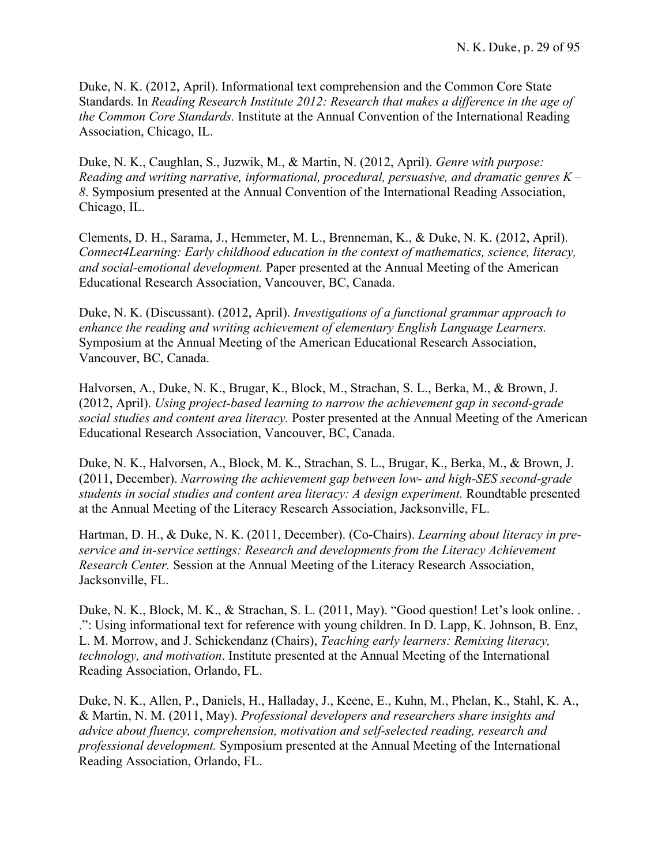Duke, N. K. (2012, April). Informational text comprehension and the Common Core State Standards. In *Reading Research Institute 2012: Research that makes a difference in the age of the Common Core Standards.* Institute at the Annual Convention of the International Reading Association, Chicago, IL.

Duke, N. K., Caughlan, S., Juzwik, M., & Martin, N. (2012, April). *Genre with purpose: Reading and writing narrative, informational, procedural, persuasive, and dramatic genres K – 8*. Symposium presented at the Annual Convention of the International Reading Association, Chicago, IL.

Clements, D. H., Sarama, J., Hemmeter, M. L., Brenneman, K., & Duke, N. K. (2012, April). *Connect4Learning: Early childhood education in the context of mathematics, science, literacy, and social-emotional development.* Paper presented at the Annual Meeting of the American Educational Research Association, Vancouver, BC, Canada.

Duke, N. K. (Discussant). (2012, April). *Investigations of a functional grammar approach to enhance the reading and writing achievement of elementary English Language Learners.* Symposium at the Annual Meeting of the American Educational Research Association, Vancouver, BC, Canada.

Halvorsen, A., Duke, N. K., Brugar, K., Block, M., Strachan, S. L., Berka, M., & Brown, J. (2012, April). *Using project-based learning to narrow the achievement gap in second-grade social studies and content area literacy.* Poster presented at the Annual Meeting of the American Educational Research Association, Vancouver, BC, Canada.

Duke, N. K., Halvorsen, A., Block, M. K., Strachan, S. L., Brugar, K., Berka, M., & Brown, J. (2011, December). *Narrowing the achievement gap between low- and high-SES second-grade students in social studies and content area literacy: A design experiment.* Roundtable presented at the Annual Meeting of the Literacy Research Association, Jacksonville, FL.

Hartman, D. H., & Duke, N. K. (2011, December). (Co-Chairs). *Learning about literacy in preservice and in-service settings: Research and developments from the Literacy Achievement Research Center.* Session at the Annual Meeting of the Literacy Research Association, Jacksonville, FL.

Duke, N. K., Block, M. K., & Strachan, S. L. (2011, May). "Good question! Let's look online... .": Using informational text for reference with young children. In D. Lapp, K. Johnson, B. Enz, L. M. Morrow, and J. Schickendanz (Chairs), *Teaching early learners: Remixing literacy, technology, and motivation*. Institute presented at the Annual Meeting of the International Reading Association, Orlando, FL.

Duke, N. K., Allen, P., Daniels, H., Halladay, J., Keene, E., Kuhn, M., Phelan, K., Stahl, K. A., & Martin, N. M. (2011, May). *Professional developers and researchers share insights and advice about fluency, comprehension, motivation and self-selected reading, research and professional development.* Symposium presented at the Annual Meeting of the International Reading Association, Orlando, FL.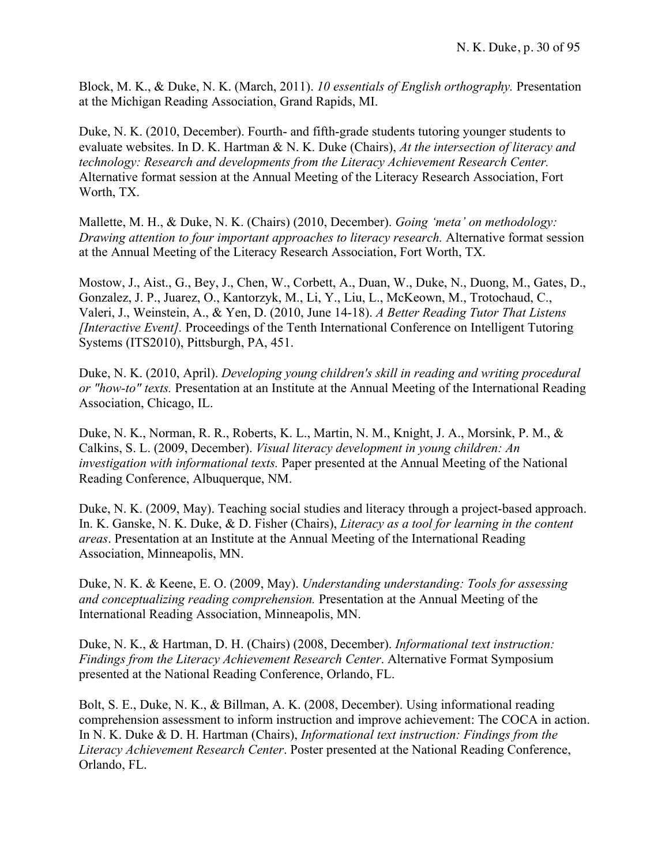Block, M. K., & Duke, N. K. (March, 2011). *10 essentials of English orthography.* Presentation at the Michigan Reading Association, Grand Rapids, MI.

Duke, N. K. (2010, December). Fourth- and fifth-grade students tutoring younger students to evaluate websites. In D. K. Hartman & N. K. Duke (Chairs), *At the intersection of literacy and technology: Research and developments from the Literacy Achievement Research Center.* Alternative format session at the Annual Meeting of the Literacy Research Association, Fort Worth, TX.

Mallette, M. H., & Duke, N. K. (Chairs) (2010, December). *Going 'meta' on methodology: Drawing attention to four important approaches to literacy research.* Alternative format session at the Annual Meeting of the Literacy Research Association, Fort Worth, TX.

Mostow, J., Aist., G., Bey, J., Chen, W., Corbett, A., Duan, W., Duke, N., Duong, M., Gates, D., Gonzalez, J. P., Juarez, O., Kantorzyk, M., Li, Y., Liu, L., McKeown, M., Trotochaud, C., Valeri, J., Weinstein, A., & Yen, D. (2010, June 14-18). *A Better Reading Tutor That Listens [Interactive Event].* Proceedings of the Tenth International Conference on Intelligent Tutoring Systems (ITS2010), Pittsburgh, PA, 451.

Duke, N. K. (2010, April). *Developing young children's skill in reading and writing procedural or "how-to" texts.* Presentation at an Institute at the Annual Meeting of the International Reading Association, Chicago, IL.

Duke, N. K., Norman, R. R., Roberts, K. L., Martin, N. M., Knight, J. A., Morsink, P. M., & Calkins, S. L. (2009, December). *Visual literacy development in young children: An investigation with informational texts.* Paper presented at the Annual Meeting of the National Reading Conference, Albuquerque, NM.

Duke, N. K. (2009, May). Teaching social studies and literacy through a project-based approach. In. K. Ganske, N. K. Duke, & D. Fisher (Chairs), *Literacy as a tool for learning in the content areas*. Presentation at an Institute at the Annual Meeting of the International Reading Association, Minneapolis, MN.

Duke, N. K. & Keene, E. O. (2009, May). *Understanding understanding: Tools for assessing and conceptualizing reading comprehension.* Presentation at the Annual Meeting of the International Reading Association, Minneapolis, MN.

Duke, N. K., & Hartman, D. H. (Chairs) (2008, December). *Informational text instruction: Findings from the Literacy Achievement Research Center*. Alternative Format Symposium presented at the National Reading Conference, Orlando, FL.

Bolt, S. E., Duke, N. K., & Billman, A. K. (2008, December). Using informational reading comprehension assessment to inform instruction and improve achievement: The COCA in action. In N. K. Duke & D. H. Hartman (Chairs), *Informational text instruction: Findings from the Literacy Achievement Research Center*. Poster presented at the National Reading Conference, Orlando, FL.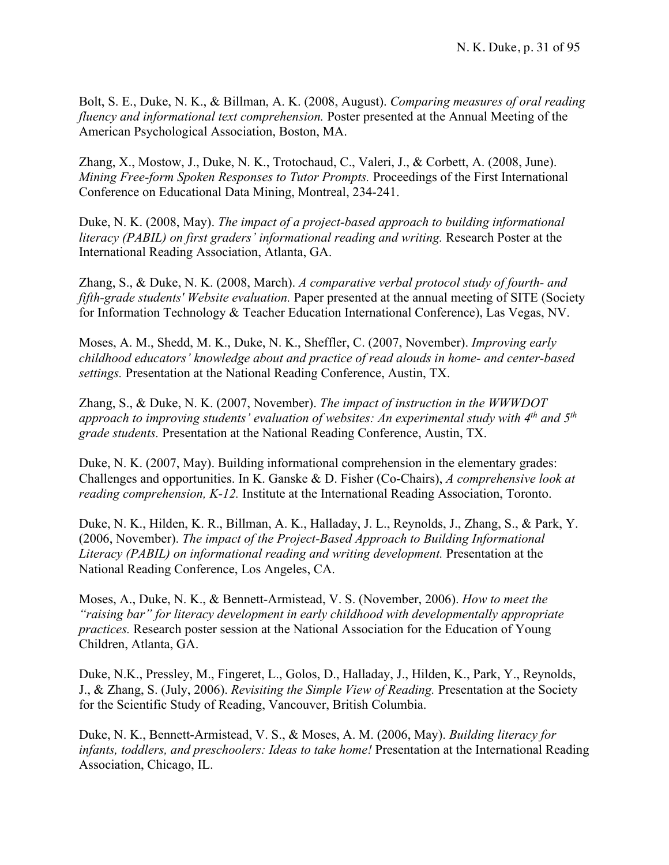Bolt, S. E., Duke, N. K., & Billman, A. K. (2008, August). *Comparing measures of oral reading fluency and informational text comprehension.* Poster presented at the Annual Meeting of the American Psychological Association, Boston, MA.

Zhang, X., Mostow, J., Duke, N. K., Trotochaud, C., Valeri, J., & Corbett, A. (2008, June). *Mining Free-form Spoken Responses to Tutor Prompts.* Proceedings of the First International Conference on Educational Data Mining, Montreal, 234-241.

Duke, N. K. (2008, May). *The impact of a project-based approach to building informational literacy (PABIL) on first graders' informational reading and writing.* Research Poster at the International Reading Association, Atlanta, GA.

Zhang, S., & Duke, N. K. (2008, March). *A comparative verbal protocol study of fourth- and fifth-grade students' Website evaluation.* Paper presented at the annual meeting of SITE (Society for Information Technology & Teacher Education International Conference), Las Vegas, NV.

Moses, A. M., Shedd, M. K., Duke, N. K., Sheffler, C. (2007, November). *Improving early childhood educators' knowledge about and practice of read alouds in home- and center-based settings.* Presentation at the National Reading Conference, Austin, TX.

Zhang, S., & Duke, N. K. (2007, November). *The impact of instruction in the WWWDOT approach to improving students' evaluation of websites: An experimental study with 4th and 5th grade students.* Presentation at the National Reading Conference, Austin, TX.

Duke, N. K. (2007, May). Building informational comprehension in the elementary grades: Challenges and opportunities. In K. Ganske & D. Fisher (Co-Chairs), *A comprehensive look at reading comprehension, K-12.* Institute at the International Reading Association, Toronto.

Duke, N. K., Hilden, K. R., Billman, A. K., Halladay, J. L., Reynolds, J., Zhang, S., & Park, Y. (2006, November). *The impact of the Project-Based Approach to Building Informational Literacy (PABIL) on informational reading and writing development.* Presentation at the National Reading Conference, Los Angeles, CA.

Moses, A., Duke, N. K., & Bennett-Armistead, V. S. (November, 2006). *How to meet the "raising bar" for literacy development in early childhood with developmentally appropriate practices.* Research poster session at the National Association for the Education of Young Children, Atlanta, GA.

Duke, N.K., Pressley, M., Fingeret, L., Golos, D., Halladay, J., Hilden, K., Park, Y., Reynolds, J., & Zhang, S. (July, 2006). *Revisiting the Simple View of Reading.* Presentation at the Society for the Scientific Study of Reading, Vancouver, British Columbia.

Duke, N. K., Bennett-Armistead, V. S., & Moses, A. M. (2006, May). *Building literacy for infants, toddlers, and preschoolers: Ideas to take home!* Presentation at the International Reading Association, Chicago, IL.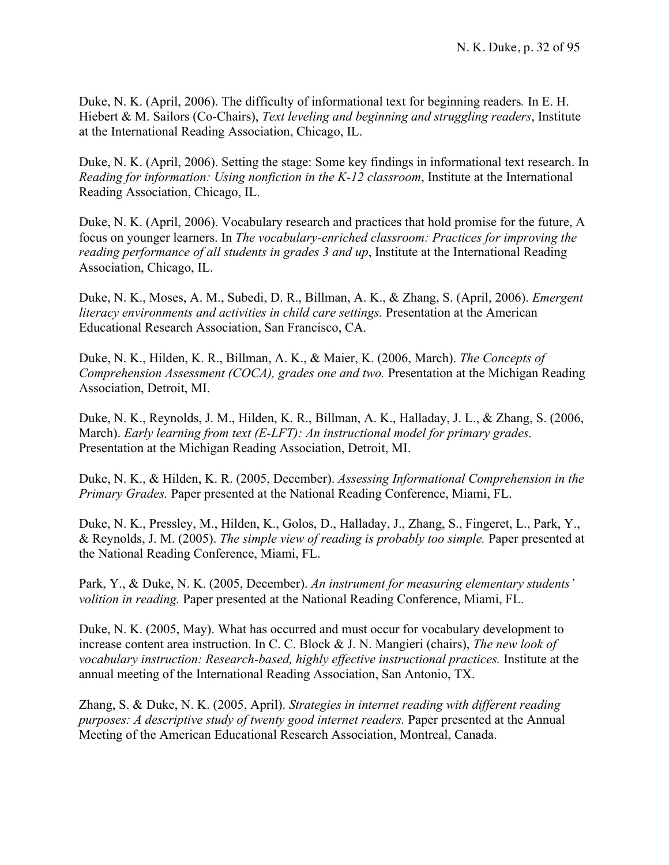Duke, N. K. (April, 2006). The difficulty of informational text for beginning readers*.* In E. H. Hiebert & M. Sailors (Co-Chairs), *Text leveling and beginning and struggling readers*, Institute at the International Reading Association, Chicago, IL.

Duke, N. K. (April, 2006). Setting the stage: Some key findings in informational text research. In *Reading for information: Using nonfiction in the K-12 classroom*, Institute at the International Reading Association, Chicago, IL.

Duke, N. K. (April, 2006). Vocabulary research and practices that hold promise for the future, A focus on younger learners. In *The vocabulary-enriched classroom: Practices for improving the reading performance of all students in grades 3 and up*, Institute at the International Reading Association, Chicago, IL.

Duke, N. K., Moses, A. M., Subedi, D. R., Billman, A. K., & Zhang, S. (April, 2006). *Emergent literacy environments and activities in child care settings.* Presentation at the American Educational Research Association, San Francisco, CA.

Duke, N. K., Hilden, K. R., Billman, A. K., & Maier, K. (2006, March). *The Concepts of Comprehension Assessment (COCA), grades one and two.* Presentation at the Michigan Reading Association, Detroit, MI.

Duke, N. K., Reynolds, J. M., Hilden, K. R., Billman, A. K., Halladay, J. L., & Zhang, S. (2006, March). *Early learning from text (E-LFT): An instructional model for primary grades.* Presentation at the Michigan Reading Association, Detroit, MI.

Duke, N. K., & Hilden, K. R. (2005, December). *Assessing Informational Comprehension in the Primary Grades.* Paper presented at the National Reading Conference, Miami, FL.

Duke, N. K., Pressley, M., Hilden, K., Golos, D., Halladay, J., Zhang, S., Fingeret, L., Park, Y., & Reynolds, J. M. (2005). *The simple view of reading is probably too simple.* Paper presented at the National Reading Conference, Miami, FL.

Park, Y., & Duke, N. K. (2005, December). *An instrument for measuring elementary students' volition in reading.* Paper presented at the National Reading Conference, Miami, FL.

Duke, N. K. (2005, May). What has occurred and must occur for vocabulary development to increase content area instruction. In C. C. Block & J. N. Mangieri (chairs), *The new look of vocabulary instruction: Research-based, highly effective instructional practices.* Institute at the annual meeting of the International Reading Association, San Antonio, TX.

Zhang, S. & Duke, N. K. (2005, April). *Strategies in internet reading with different reading purposes: A descriptive study of twenty good internet readers.* Paper presented at the Annual Meeting of the American Educational Research Association, Montreal, Canada.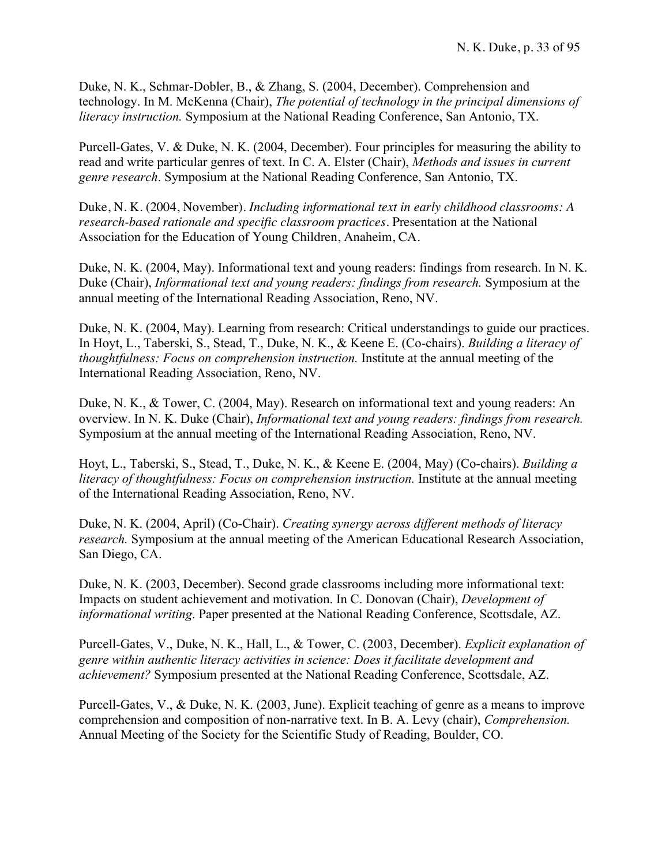Duke, N. K., Schmar-Dobler, B., & Zhang, S. (2004, December). Comprehension and technology. In M. McKenna (Chair), *The potential of technology in the principal dimensions of literacy instruction.* Symposium at the National Reading Conference, San Antonio, TX.

Purcell-Gates, V. & Duke, N. K. (2004, December). Four principles for measuring the ability to read and write particular genres of text. In C. A. Elster (Chair), *Methods and issues in current genre research*. Symposium at the National Reading Conference, San Antonio, TX.

Duke, N. K. (2004, November). *Including informational text in early childhood classrooms: A research-based rationale and specific classroom practices.* Presentation at the National Association for the Education of Young Children, Anaheim, CA.

Duke, N. K. (2004, May). Informational text and young readers: findings from research. In N. K. Duke (Chair), *Informational text and young readers: findings from research.* Symposium at the annual meeting of the International Reading Association, Reno, NV.

Duke, N. K. (2004, May). Learning from research: Critical understandings to guide our practices. In Hoyt, L., Taberski, S., Stead, T., Duke, N. K., & Keene E. (Co-chairs). *Building a literacy of thoughtfulness: Focus on comprehension instruction.* Institute at the annual meeting of the International Reading Association, Reno, NV.

Duke, N. K., & Tower, C. (2004, May). Research on informational text and young readers: An overview. In N. K. Duke (Chair), *Informational text and young readers: findings from research.* Symposium at the annual meeting of the International Reading Association, Reno, NV.

Hoyt, L., Taberski, S., Stead, T., Duke, N. K., & Keene E. (2004, May) (Co-chairs). *Building a literacy of thoughtfulness: Focus on comprehension instruction.* Institute at the annual meeting of the International Reading Association, Reno, NV.

Duke, N. K. (2004, April) (Co-Chair). *Creating synergy across different methods of literacy research.* Symposium at the annual meeting of the American Educational Research Association, San Diego, CA.

Duke, N. K. (2003, December). Second grade classrooms including more informational text: Impacts on student achievement and motivation. In C. Donovan (Chair), *Development of informational writing*. Paper presented at the National Reading Conference, Scottsdale, AZ.

Purcell-Gates, V., Duke, N. K., Hall, L., & Tower, C. (2003, December). *Explicit explanation of genre within authentic literacy activities in science: Does it facilitate development and achievement?* Symposium presented at the National Reading Conference, Scottsdale, AZ.

Purcell-Gates, V., & Duke, N. K. (2003, June). Explicit teaching of genre as a means to improve comprehension and composition of non-narrative text. In B. A. Levy (chair), *Comprehension.* Annual Meeting of the Society for the Scientific Study of Reading, Boulder, CO.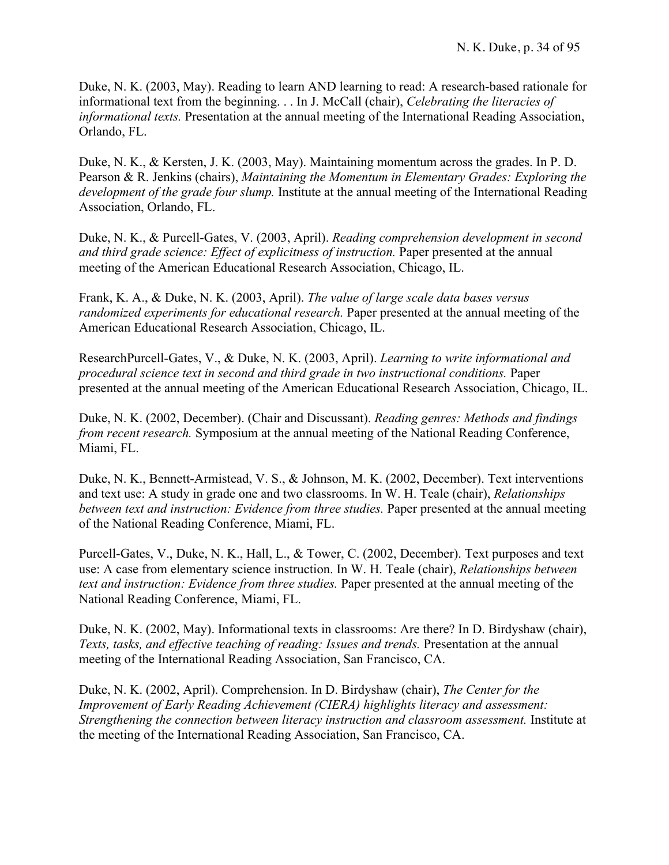Duke, N. K. (2003, May). Reading to learn AND learning to read: A research-based rationale for informational text from the beginning. . . In J. McCall (chair), *Celebrating the literacies of informational texts.* Presentation at the annual meeting of the International Reading Association, Orlando, FL.

Duke, N. K., & Kersten, J. K. (2003, May). Maintaining momentum across the grades. In P. D. Pearson & R. Jenkins (chairs), *Maintaining the Momentum in Elementary Grades: Exploring the development of the grade four slump.* Institute at the annual meeting of the International Reading Association, Orlando, FL.

Duke, N. K., & Purcell-Gates, V. (2003, April). *Reading comprehension development in second and third grade science: Effect of explicitness of instruction.* Paper presented at the annual meeting of the American Educational Research Association, Chicago, IL.

Frank, K. A., & Duke, N. K. (2003, April). *The value of large scale data bases versus randomized experiments for educational research.* Paper presented at the annual meeting of the American Educational Research Association, Chicago, IL.

ResearchPurcell-Gates, V., & Duke, N. K. (2003, April). *Learning to write informational and procedural science text in second and third grade in two instructional conditions.* Paper presented at the annual meeting of the American Educational Research Association, Chicago, IL.

Duke, N. K. (2002, December). (Chair and Discussant). *Reading genres: Methods and findings from recent research.* Symposium at the annual meeting of the National Reading Conference, Miami, FL.

Duke, N. K., Bennett-Armistead, V. S., & Johnson, M. K. (2002, December). Text interventions and text use: A study in grade one and two classrooms. In W. H. Teale (chair), *Relationships between text and instruction: Evidence from three studies.* Paper presented at the annual meeting of the National Reading Conference, Miami, FL.

Purcell-Gates, V., Duke, N. K., Hall, L., & Tower, C. (2002, December). Text purposes and text use: A case from elementary science instruction. In W. H. Teale (chair), *Relationships between text and instruction: Evidence from three studies.* Paper presented at the annual meeting of the National Reading Conference, Miami, FL.

Duke, N. K. (2002, May). Informational texts in classrooms: Are there? In D. Birdyshaw (chair), *Texts, tasks, and effective teaching of reading: Issues and trends.* Presentation at the annual meeting of the International Reading Association, San Francisco, CA.

Duke, N. K. (2002, April). Comprehension. In D. Birdyshaw (chair), *The Center for the Improvement of Early Reading Achievement (CIERA) highlights literacy and assessment: Strengthening the connection between literacy instruction and classroom assessment.* Institute at the meeting of the International Reading Association, San Francisco, CA.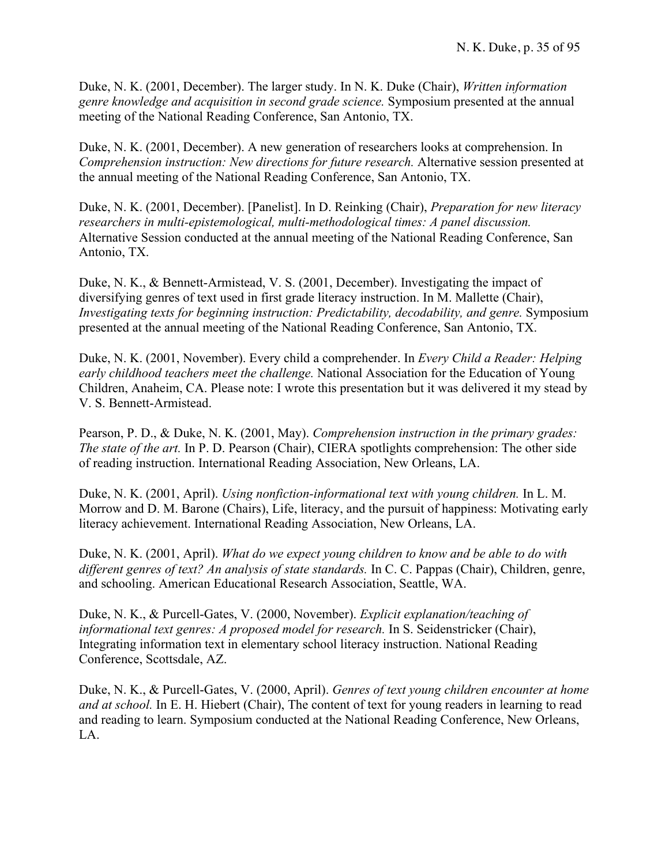Duke, N. K. (2001, December). The larger study. In N. K. Duke (Chair), *Written information genre knowledge and acquisition in second grade science.* Symposium presented at the annual meeting of the National Reading Conference, San Antonio, TX.

Duke, N. K. (2001, December). A new generation of researchers looks at comprehension. In *Comprehension instruction: New directions for future research.* Alternative session presented at the annual meeting of the National Reading Conference, San Antonio, TX.

Duke, N. K. (2001, December). [Panelist]. In D. Reinking (Chair), *Preparation for new literacy researchers in multi-epistemological, multi-methodological times: A panel discussion.* Alternative Session conducted at the annual meeting of the National Reading Conference, San Antonio, TX.

Duke, N. K., & Bennett-Armistead, V. S. (2001, December). Investigating the impact of diversifying genres of text used in first grade literacy instruction. In M. Mallette (Chair), *Investigating texts for beginning instruction: Predictability, decodability, and genre.* Symposium presented at the annual meeting of the National Reading Conference, San Antonio, TX.

Duke, N. K. (2001, November). Every child a comprehender. In *Every Child a Reader: Helping early childhood teachers meet the challenge.* National Association for the Education of Young Children, Anaheim, CA. Please note: I wrote this presentation but it was delivered it my stead by V. S. Bennett-Armistead.

Pearson, P. D., & Duke, N. K. (2001, May). *Comprehension instruction in the primary grades: The state of the art.* In P. D. Pearson (Chair), CIERA spotlights comprehension: The other side of reading instruction. International Reading Association, New Orleans, LA.

Duke, N. K. (2001, April). *Using nonfiction-informational text with young children.* In L. M. Morrow and D. M. Barone (Chairs), Life, literacy, and the pursuit of happiness: Motivating early literacy achievement. International Reading Association, New Orleans, LA.

Duke, N. K. (2001, April). *What do we expect young children to know and be able to do with different genres of text? An analysis of state standards.* In C. C. Pappas (Chair), Children, genre, and schooling. American Educational Research Association, Seattle, WA.

Duke, N. K., & Purcell-Gates, V. (2000, November). *Explicit explanation/teaching of informational text genres: A proposed model for research.* In S. Seidenstricker (Chair), Integrating information text in elementary school literacy instruction. National Reading Conference, Scottsdale, AZ.

Duke, N. K., & Purcell-Gates, V. (2000, April). *Genres of text young children encounter at home and at school.* In E. H. Hiebert (Chair), The content of text for young readers in learning to read and reading to learn. Symposium conducted at the National Reading Conference, New Orleans, LA.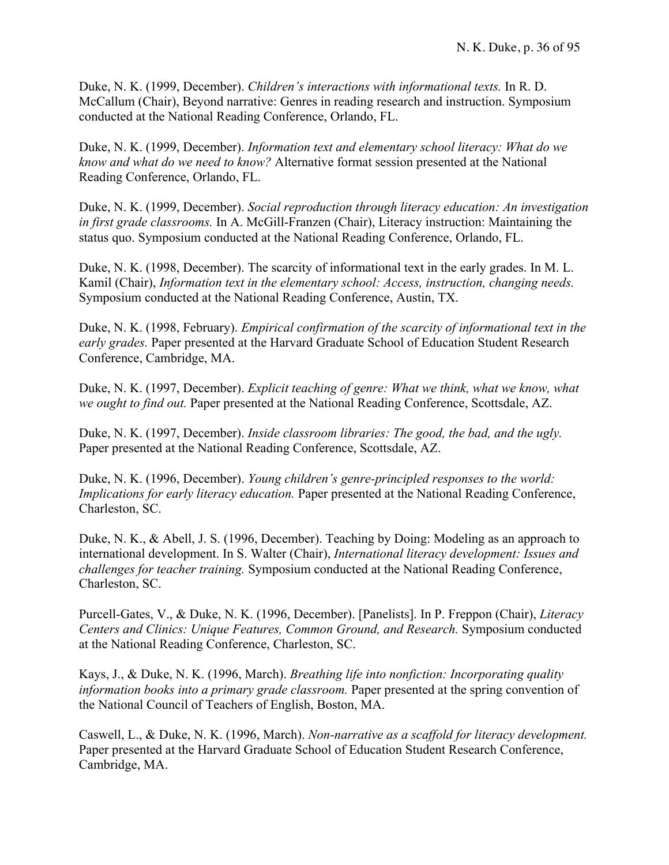Duke, N. K. (1999, December). *Children's interactions with informational texts.* In R. D. McCallum (Chair), Beyond narrative: Genres in reading research and instruction. Symposium conducted at the National Reading Conference, Orlando, FL.

Duke, N. K. (1999, December). *Information text and elementary school literacy: What do we know and what do we need to know?* Alternative format session presented at the National Reading Conference, Orlando, FL.

Duke, N. K. (1999, December). *Social reproduction through literacy education: An investigation in first grade classrooms.* In A. McGill-Franzen (Chair), Literacy instruction: Maintaining the status quo. Symposium conducted at the National Reading Conference, Orlando, FL.

Duke, N. K. (1998, December). The scarcity of informational text in the early grades. In M. L. Kamil (Chair), *Information text in the elementary school: Access, instruction, changing needs.* Symposium conducted at the National Reading Conference, Austin, TX.

Duke, N. K. (1998, February). *Empirical confirmation of the scarcity of informational text in the early grades.* Paper presented at the Harvard Graduate School of Education Student Research Conference, Cambridge, MA.

Duke, N. K. (1997, December). *Explicit teaching of genre: What we think, what we know, what we ought to find out.* Paper presented at the National Reading Conference, Scottsdale, AZ.

Duke, N. K. (1997, December). *Inside classroom libraries: The good, the bad, and the ugly.* Paper presented at the National Reading Conference, Scottsdale, AZ.

Duke, N. K. (1996, December). *Young children's genre-principled responses to the world: Implications for early literacy education.* Paper presented at the National Reading Conference, Charleston, SC.

Duke, N. K., & Abell, J. S. (1996, December). Teaching by Doing: Modeling as an approach to international development. In S. Walter (Chair), *International literacy development: Issues and challenges for teacher training.* Symposium conducted at the National Reading Conference, Charleston, SC.

Purcell-Gates, V., & Duke, N. K. (1996, December). [Panelists]. In P. Freppon (Chair), *Literacy Centers and Clinics: Unique Features, Common Ground, and Research.* Symposium conducted at the National Reading Conference, Charleston, SC.

Kays, J., & Duke, N. K. (1996, March). *Breathing life into nonfiction: Incorporating quality information books into a primary grade classroom.* Paper presented at the spring convention of the National Council of Teachers of English, Boston, MA.

Caswell, L., & Duke, N. K. (1996, March). *Non-narrative as a scaffold for literacy development.* Paper presented at the Harvard Graduate School of Education Student Research Conference, Cambridge, MA.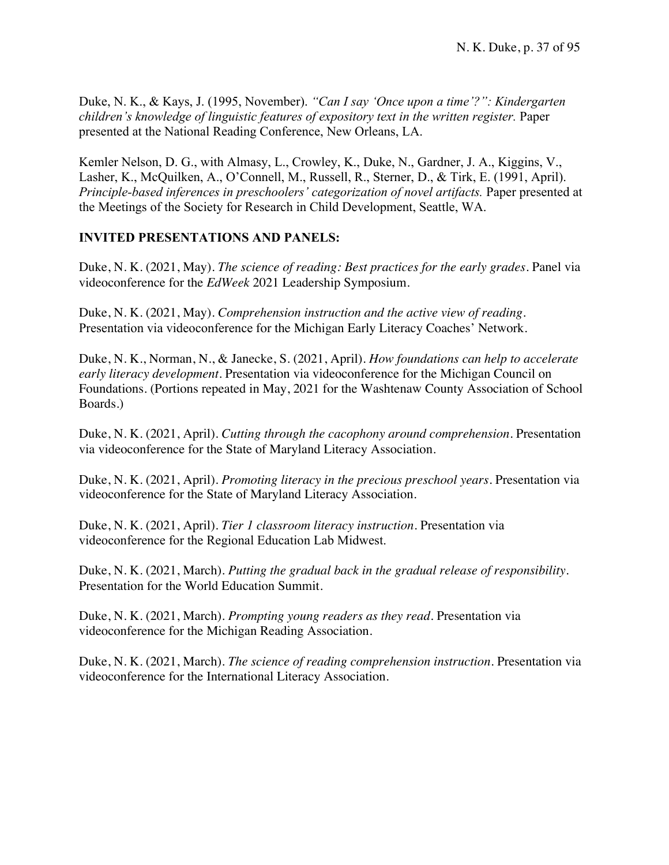Duke, N. K., & Kays, J. (1995, November). *"Can I say 'Once upon a time'?": Kindergarten children's knowledge of linguistic features of expository text in the written register.* Paper presented at the National Reading Conference, New Orleans, LA.

Kemler Nelson, D. G., with Almasy, L., Crowley, K., Duke, N., Gardner, J. A., Kiggins, V., Lasher, K., McQuilken, A., O'Connell, M., Russell, R., Sterner, D., & Tirk, E. (1991, April). *Principle-based inferences in preschoolers' categorization of novel artifacts.* Paper presented at the Meetings of the Society for Research in Child Development, Seattle, WA.

## **INVITED PRESENTATIONS AND PANELS:**

Duke, N. K. (2021, May). *The science of reading: Best practices for the early grades.* Panel via videoconference for the *EdWeek* 2021 Leadership Symposium.

Duke, N. K. (2021, May). *Comprehension instruction and the active view of reading.* Presentation via videoconference for the Michigan Early Literacy Coaches' Network.

Duke, N. K., Norman, N., & Janecke, S. (2021, April). *How foundations can help to accelerate early literacy development.* Presentation via videoconference for the Michigan Council on Foundations. (Portions repeated in May, 2021 for the Washtenaw County Association of School Boards.)

Duke, N. K. (2021, April). *Cutting through the cacophony around comprehension.* Presentation via videoconference for the State of Maryland Literacy Association.

Duke, N. K. (2021, April). *Promoting literacy in the precious preschool years.* Presentation via videoconference for the State of Maryland Literacy Association.

Duke, N. K. (2021, April). *Tier 1 classroom literacy instruction.* Presentation via videoconference for the Regional Education Lab Midwest.

Duke, N. K. (2021, March). *Putting the gradual back in the gradual release of responsibility.* Presentation for the World Education Summit.

Duke, N. K. (2021, March). *Prompting young readers as they read.* Presentation via videoconference for the Michigan Reading Association.

Duke, N. K. (2021, March). *The science of reading comprehension instruction.* Presentation via videoconference for the International Literacy Association.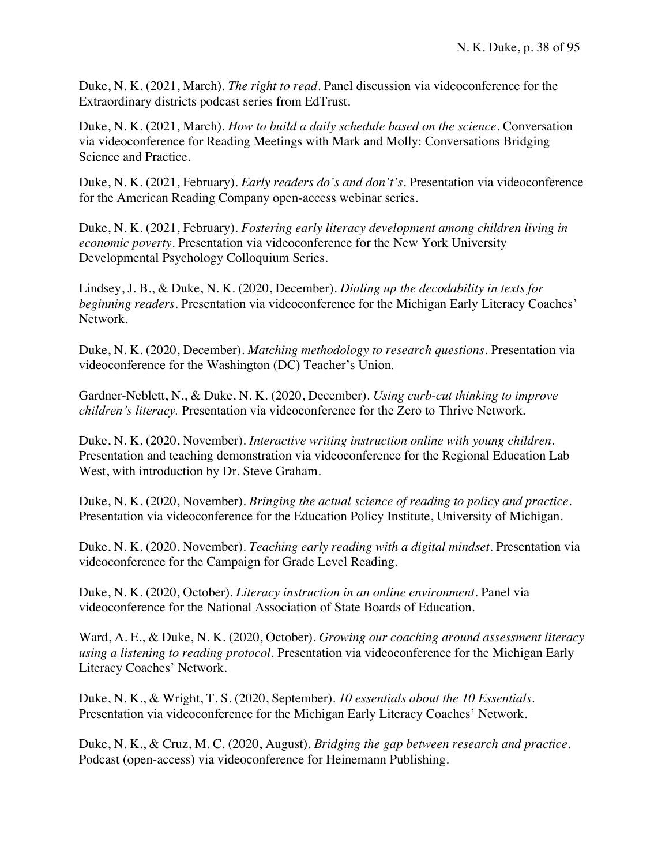Duke, N. K. (2021, March). *The right to read.* Panel discussion via videoconference for the Extraordinary districts podcast series from EdTrust.

Duke, N. K. (2021, March). *How to build a daily schedule based on the science.* Conversation via videoconference for Reading Meetings with Mark and Molly: Conversations Bridging Science and Practice.

Duke, N. K. (2021, February). *Early readers do's and don't's.* Presentation via videoconference for the American Reading Company open-access webinar series.

Duke, N. K. (2021, February). *Fostering early literacy development among children living in economic poverty.* Presentation via videoconference for the New York University Developmental Psychology Colloquium Series.

Lindsey, J. B., & Duke, N. K. (2020, December). *Dialing up the decodability in texts for beginning readers.* Presentation via videoconference for the Michigan Early Literacy Coaches' Network.

Duke, N. K. (2020, December). *Matching methodology to research questions.* Presentation via videoconference for the Washington (DC) Teacher's Union.

Gardner-Neblett, N., & Duke, N. K. (2020, December). *Using curb-cut thinking to improve children's literacy.* Presentation via videoconference for the Zero to Thrive Network.

Duke, N. K. (2020, November). *Interactive writing instruction online with young children.* Presentation and teaching demonstration via videoconference for the Regional Education Lab West, with introduction by Dr. Steve Graham.

Duke, N. K. (2020, November). *Bringing the actual science of reading to policy and practice.* Presentation via videoconference for the Education Policy Institute, University of Michigan.

Duke, N. K. (2020, November). *Teaching early reading with a digital mindset.* Presentation via videoconference for the Campaign for Grade Level Reading.

Duke, N. K. (2020, October). *Literacy instruction in an online environment.* Panel via videoconference for the National Association of State Boards of Education.

Ward, A. E., & Duke, N. K. (2020, October). *Growing our coaching around assessment literacy using a listening to reading protocol.* Presentation via videoconference for the Michigan Early Literacy Coaches' Network.

Duke, N. K., & Wright, T. S. (2020, September). *10 essentials about the 10 Essentials.* Presentation via videoconference for the Michigan Early Literacy Coaches' Network.

Duke, N. K., & Cruz, M. C. (2020, August). *Bridging the gap between research and practice.* Podcast (open-access) via videoconference for Heinemann Publishing.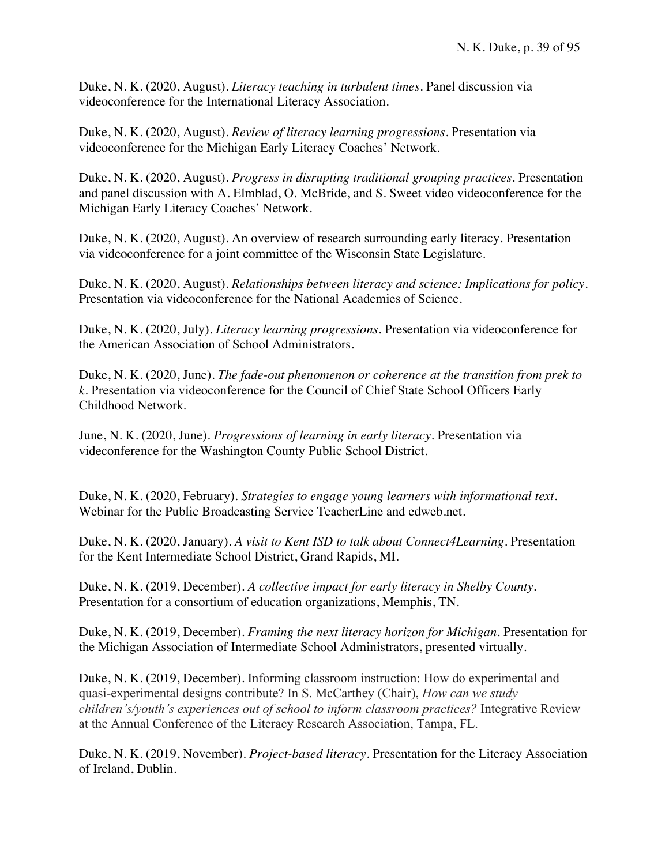Duke, N. K. (2020, August). *Literacy teaching in turbulent times.* Panel discussion via videoconference for the International Literacy Association.

Duke, N. K. (2020, August). *Review of literacy learning progressions.* Presentation via videoconference for the Michigan Early Literacy Coaches' Network.

Duke, N. K. (2020, August). *Progress in disrupting traditional grouping practices.* Presentation and panel discussion with A. Elmblad, O. McBride, and S. Sweet video videoconference for the Michigan Early Literacy Coaches' Network.

Duke, N. K. (2020, August). An overview of research surrounding early literacy. Presentation via videoconference for a joint committee of the Wisconsin State Legislature.

Duke, N. K. (2020, August). *Relationships between literacy and science: Implications for policy.* Presentation via videoconference for the National Academies of Science.

Duke, N. K. (2020, July). *Literacy learning progressions.* Presentation via videoconference for the American Association of School Administrators.

Duke, N. K. (2020, June). *The fade-out phenomenon or coherence at the transition from prek to k.* Presentation via videoconference for the Council of Chief State School Officers Early Childhood Network.

June, N. K. (2020, June). *Progressions of learning in early literacy.* Presentation via videconference for the Washington County Public School District.

Duke, N. K. (2020, February). *Strategies to engage young learners with informational text.* Webinar for the Public Broadcasting Service TeacherLine and edweb.net.

Duke, N. K. (2020, January). *A visit to Kent ISD to talk about Connect4Learning.* Presentation for the Kent Intermediate School District, Grand Rapids, MI.

Duke, N. K. (2019, December). *A collective impact for early literacy in Shelby County.* Presentation for a consortium of education organizations, Memphis, TN.

Duke, N. K. (2019, December). *Framing the next literacy horizon for Michigan.* Presentation for the Michigan Association of Intermediate School Administrators, presented virtually.

Duke, N. K. (2019, December). Informing classroom instruction: How do experimental and quasi-experimental designs contribute? In S. McCarthey (Chair), *How can we study children's/youth's experiences out of school to inform classroom practices?* Integrative Review at the Annual Conference of the Literacy Research Association, Tampa, FL.

Duke, N. K. (2019, November). *Project-based literacy.* Presentation for the Literacy Association of Ireland, Dublin.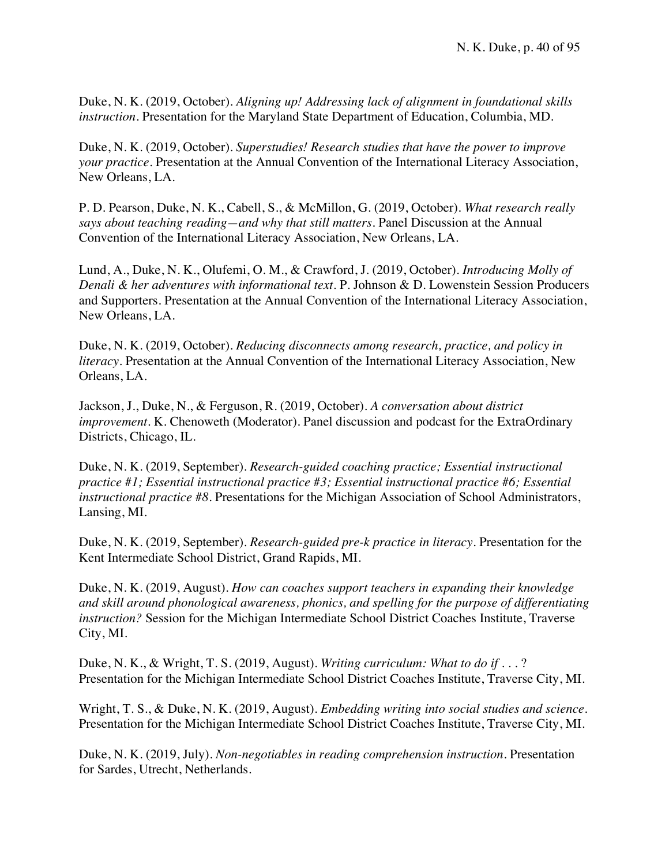Duke, N. K. (2019, October). *Aligning up! Addressing lack of alignment in foundational skills instruction.* Presentation for the Maryland State Department of Education, Columbia, MD.

Duke, N. K. (2019, October). *Superstudies! Research studies that have the power to improve your practice.* Presentation at the Annual Convention of the International Literacy Association, New Orleans, LA.

P. D. Pearson, Duke, N. K., Cabell, S., & McMillon, G. (2019, October). *What research really says about teaching reading—and why that still matters.* Panel Discussion at the Annual Convention of the International Literacy Association, New Orleans, LA.

Lund, A., Duke, N. K., Olufemi, O. M., & Crawford, J. (2019, October). *Introducing Molly of Denali & her adventures with informational text.* P. Johnson & D. Lowenstein Session Producers and Supporters. Presentation at the Annual Convention of the International Literacy Association, New Orleans, LA.

Duke, N. K. (2019, October). *Reducing disconnects among research, practice, and policy in literacy.* Presentation at the Annual Convention of the International Literacy Association, New Orleans, LA.

Jackson, J., Duke, N., & Ferguson, R. (2019, October). *A conversation about district improvement*. K. Chenoweth (Moderator). Panel discussion and podcast for the ExtraOrdinary Districts, Chicago, IL.

Duke, N. K. (2019, September). *Research-guided coaching practice; Essential instructional practice #1; Essential instructional practice #3; Essential instructional practice #6; Essential instructional practice #8.* Presentations for the Michigan Association of School Administrators, Lansing, MI.

Duke, N. K. (2019, September). *Research-guided pre-k practice in literacy.* Presentation for the Kent Intermediate School District, Grand Rapids, MI.

Duke, N. K. (2019, August). *How can coaches support teachers in expanding their knowledge and skill around phonological awareness, phonics, and spelling for the purpose of differentiating instruction?* Session for the Michigan Intermediate School District Coaches Institute, Traverse City, MI.

Duke, N. K., & Wright, T. S. (2019, August). *Writing curriculum: What to do if . . .* ? Presentation for the Michigan Intermediate School District Coaches Institute, Traverse City, MI.

Wright, T. S., & Duke, N. K. (2019, August). *Embedding writing into social studies and science.*  Presentation for the Michigan Intermediate School District Coaches Institute, Traverse City, MI.

Duke, N. K. (2019, July). *Non-negotiables in reading comprehension instruction.* Presentation for Sardes, Utrecht, Netherlands.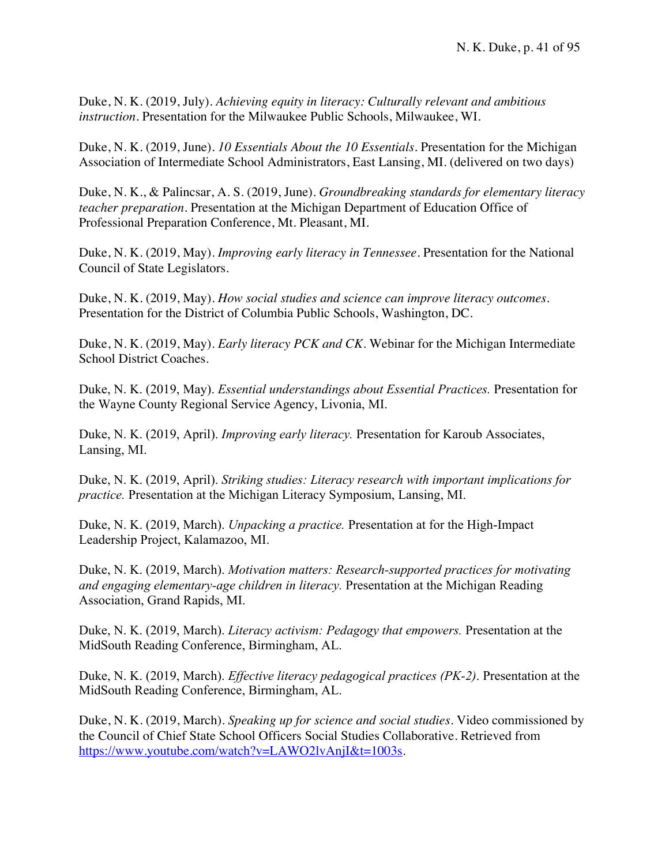Duke, N. K. (2019, July). *Achieving equity in literacy: Culturally relevant and ambitious instruction.* Presentation for the Milwaukee Public Schools, Milwaukee, WI.

Duke, N. K. (2019, June). *10 Essentials About the 10 Essentials.* Presentation for the Michigan Association of Intermediate School Administrators, East Lansing, MI. (delivered on two days)

Duke, N. K., & Palincsar, A. S. (2019, June). *Groundbreaking standards for elementary literacy teacher preparation.* Presentation at the Michigan Department of Education Office of Professional Preparation Conference, Mt. Pleasant, MI.

Duke, N. K. (2019, May). *Improving early literacy in Tennessee.* Presentation for the National Council of State Legislators.

Duke, N. K. (2019, May). *How social studies and science can improve literacy outcomes.* Presentation for the District of Columbia Public Schools, Washington, DC.

Duke, N. K. (2019, May). *Early literacy PCK and CK.* Webinar for the Michigan Intermediate School District Coaches.

Duke, N. K. (2019, May). *Essential understandings about Essential Practices.* Presentation for the Wayne County Regional Service Agency, Livonia, MI.

Duke, N. K. (2019, April). *Improving early literacy.* Presentation for Karoub Associates, Lansing, MI.

Duke, N. K. (2019, April). *Striking studies: Literacy research with important implications for practice.* Presentation at the Michigan Literacy Symposium, Lansing, MI.

Duke, N. K. (2019, March). *Unpacking a practice.* Presentation at for the High-Impact Leadership Project, Kalamazoo, MI.

Duke, N. K. (2019, March). *Motivation matters: Research-supported practices for motivating and engaging elementary-age children in literacy.* Presentation at the Michigan Reading Association, Grand Rapids, MI.

Duke, N. K. (2019, March). *Literacy activism: Pedagogy that empowers.* Presentation at the MidSouth Reading Conference, Birmingham, AL.

Duke, N. K. (2019, March). *Effective literacy pedagogical practices (PK-2)*. Presentation at the MidSouth Reading Conference, Birmingham, AL.

Duke, N. K. (2019, March). *Speaking up for science and social studies.* Video commissioned by the Council of Chief State School Officers Social Studies Collaborative. Retrieved from https://www.youtube.com/watch?v=LAWO2lvAnjI&t=1003s.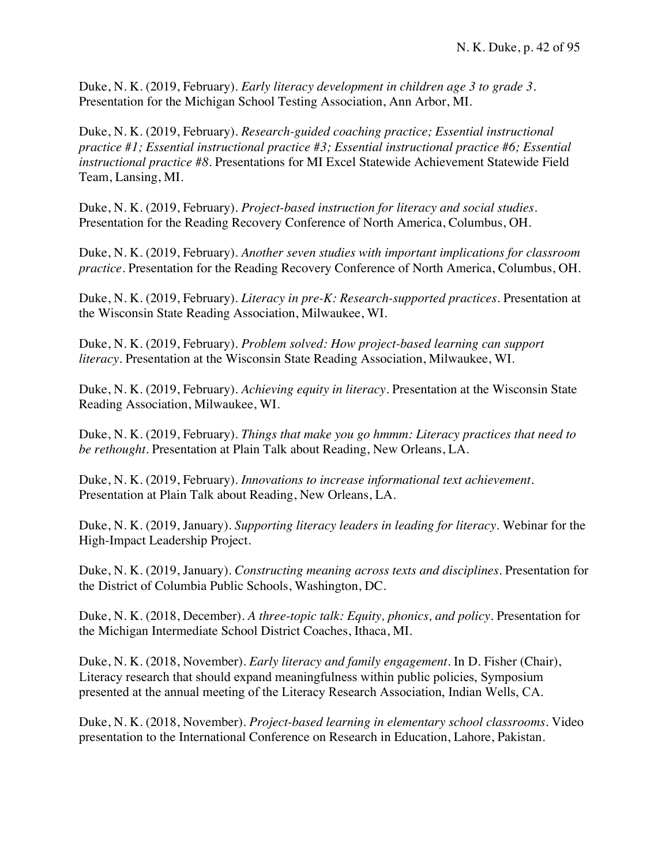Duke, N. K. (2019, February). *Early literacy development in children age 3 to grade 3.* Presentation for the Michigan School Testing Association, Ann Arbor, MI.

Duke, N. K. (2019, February). *Research-guided coaching practice; Essential instructional practice #1; Essential instructional practice #3; Essential instructional practice #6; Essential instructional practice #8.* Presentations for MI Excel Statewide Achievement Statewide Field Team, Lansing, MI.

Duke, N. K. (2019, February). *Project-based instruction for literacy and social studies.* Presentation for the Reading Recovery Conference of North America, Columbus, OH.

Duke, N. K. (2019, February). *Another seven studies with important implications for classroom practice.* Presentation for the Reading Recovery Conference of North America, Columbus, OH.

Duke, N. K. (2019, February). *Literacy in pre-K: Research-supported practices.* Presentation at the Wisconsin State Reading Association, Milwaukee, WI.

Duke, N. K. (2019, February). *Problem solved: How project-based learning can support literacy.* Presentation at the Wisconsin State Reading Association, Milwaukee, WI.

Duke, N. K. (2019, February). *Achieving equity in literacy.* Presentation at the Wisconsin State Reading Association, Milwaukee, WI.

Duke, N. K. (2019, February). *Things that make you go hmmm: Literacy practices that need to be rethought.* Presentation at Plain Talk about Reading, New Orleans, LA.

Duke, N. K. (2019, February). *Innovations to increase informational text achievement.* Presentation at Plain Talk about Reading, New Orleans, LA.

Duke, N. K. (2019, January). *Supporting literacy leaders in leading for literacy.* Webinar for the High-Impact Leadership Project.

Duke, N. K. (2019, January). *Constructing meaning across texts and disciplines.* Presentation for the District of Columbia Public Schools, Washington, DC.

Duke, N. K. (2018, December). *A three-topic talk: Equity, phonics, and policy.* Presentation for the Michigan Intermediate School District Coaches, Ithaca, MI.

Duke, N. K. (2018, November). *Early literacy and family engagement.* In D. Fisher (Chair), Literacy research that should expand meaningfulness within public policies, Symposium presented at the annual meeting of the Literacy Research Association, Indian Wells, CA.

Duke, N. K. (2018, November). *Project-based learning in elementary school classrooms.* Video presentation to the International Conference on Research in Education, Lahore, Pakistan.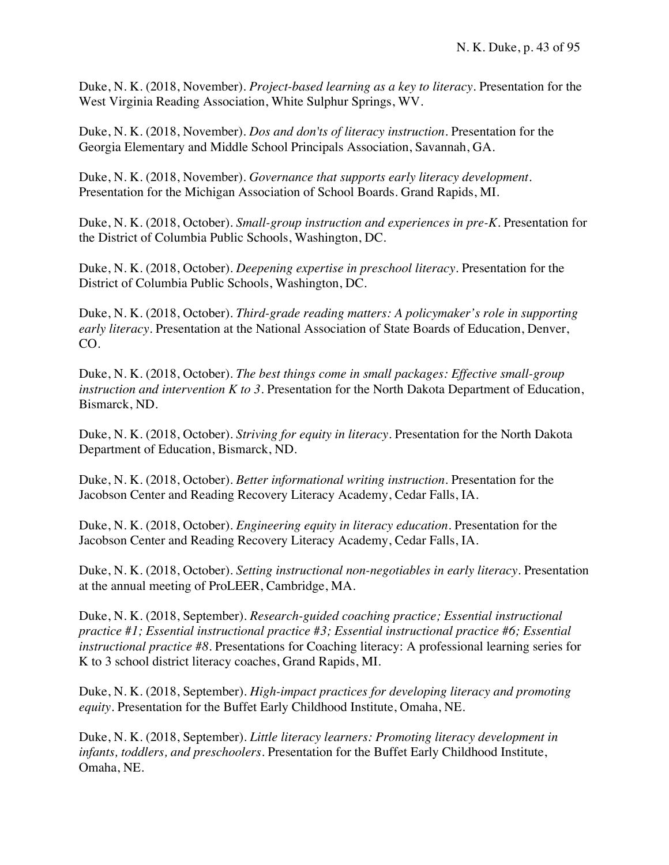Duke, N. K. (2018, November). *Project-based learning as a key to literacy.* Presentation for the West Virginia Reading Association, White Sulphur Springs, WV.

Duke, N. K. (2018, November). *Dos and don'ts of literacy instruction.* Presentation for the Georgia Elementary and Middle School Principals Association, Savannah, GA.

Duke, N. K. (2018, November). *Governance that supports early literacy development.* Presentation for the Michigan Association of School Boards. Grand Rapids, MI.

Duke, N. K. (2018, October). *Small-group instruction and experiences in pre-K.* Presentation for the District of Columbia Public Schools, Washington, DC.

Duke, N. K. (2018, October). *Deepening expertise in preschool literacy.* Presentation for the District of Columbia Public Schools, Washington, DC.

Duke, N. K. (2018, October). *Third-grade reading matters: A policymaker's role in supporting early literacy.* Presentation at the National Association of State Boards of Education, Denver, CO.

Duke, N. K. (2018, October). *The best things come in small packages: Effective small-group instruction and intervention K to 3.* Presentation for the North Dakota Department of Education, Bismarck, ND.

Duke, N. K. (2018, October). *Striving for equity in literacy.* Presentation for the North Dakota Department of Education, Bismarck, ND.

Duke, N. K. (2018, October). *Better informational writing instruction.* Presentation for the Jacobson Center and Reading Recovery Literacy Academy, Cedar Falls, IA.

Duke, N. K. (2018, October). *Engineering equity in literacy education.* Presentation for the Jacobson Center and Reading Recovery Literacy Academy, Cedar Falls, IA.

Duke, N. K. (2018, October). *Setting instructional non-negotiables in early literacy.* Presentation at the annual meeting of ProLEER, Cambridge, MA.

Duke, N. K. (2018, September). *Research-guided coaching practice; Essential instructional practice #1; Essential instructional practice #3; Essential instructional practice #6; Essential instructional practice #8.* Presentations for Coaching literacy: A professional learning series for K to 3 school district literacy coaches, Grand Rapids, MI.

Duke, N. K. (2018, September). *High-impact practices for developing literacy and promoting equity.* Presentation for the Buffet Early Childhood Institute, Omaha, NE.

Duke, N. K. (2018, September). *Little literacy learners: Promoting literacy development in infants, toddlers, and preschoolers.* Presentation for the Buffet Early Childhood Institute, Omaha, NE.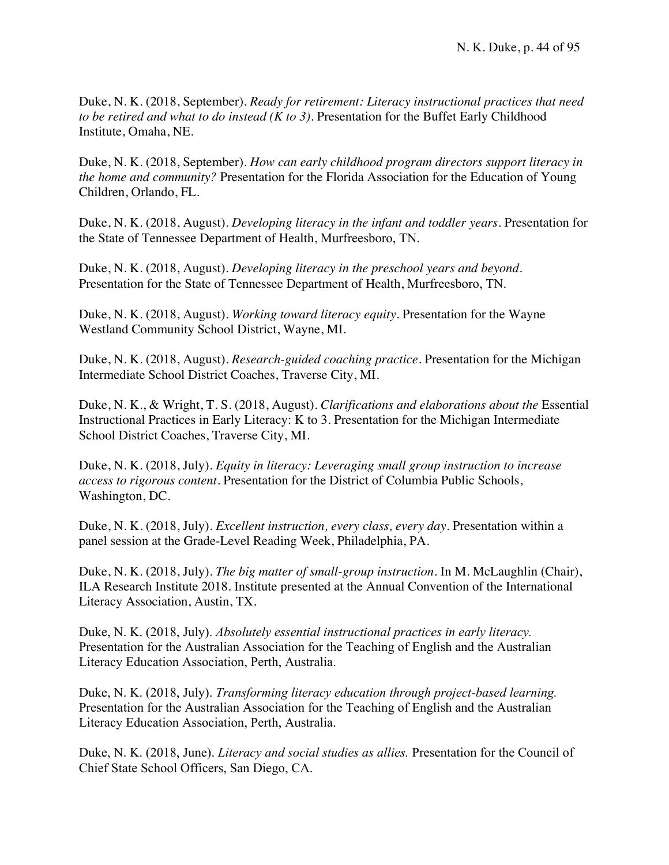Duke, N. K. (2018, September). *Ready for retirement: Literacy instructional practices that need to be retired and what to do instead (K to 3).* Presentation for the Buffet Early Childhood Institute, Omaha, NE.

Duke, N. K. (2018, September). *How can early childhood program directors support literacy in the home and community?* Presentation for the Florida Association for the Education of Young Children, Orlando, FL.

Duke, N. K. (2018, August). *Developing literacy in the infant and toddler years.* Presentation for the State of Tennessee Department of Health, Murfreesboro, TN.

Duke, N. K. (2018, August). *Developing literacy in the preschool years and beyond.* Presentation for the State of Tennessee Department of Health, Murfreesboro, TN.

Duke, N. K. (2018, August). *Working toward literacy equity.* Presentation for the Wayne Westland Community School District, Wayne, MI.

Duke, N. K. (2018, August). *Research-guided coaching practice.* Presentation for the Michigan Intermediate School District Coaches, Traverse City, MI.

Duke, N. K., & Wright, T. S. (2018, August). *Clarifications and elaborations about the* Essential Instructional Practices in Early Literacy: K to 3*.* Presentation for the Michigan Intermediate School District Coaches, Traverse City, MI.

Duke, N. K. (2018, July). *Equity in literacy: Leveraging small group instruction to increase access to rigorous content.* Presentation for the District of Columbia Public Schools, Washington, DC.

Duke, N. K. (2018, July). *Excellent instruction, every class, every day.* Presentation within a panel session at the Grade-Level Reading Week, Philadelphia, PA.

Duke, N. K. (2018, July). *The big matter of small-group instruction.* In M. McLaughlin (Chair), ILA Research Institute 2018. Institute presented at the Annual Convention of the International Literacy Association, Austin, TX.

Duke, N. K. (2018, July). *Absolutely essential instructional practices in early literacy.*  Presentation for the Australian Association for the Teaching of English and the Australian Literacy Education Association, Perth, Australia.

Duke, N. K. (2018, July). *Transforming literacy education through project-based learning.*  Presentation for the Australian Association for the Teaching of English and the Australian Literacy Education Association, Perth, Australia.

Duke, N. K. (2018, June). *Literacy and social studies as allies.* Presentation for the Council of Chief State School Officers, San Diego, CA.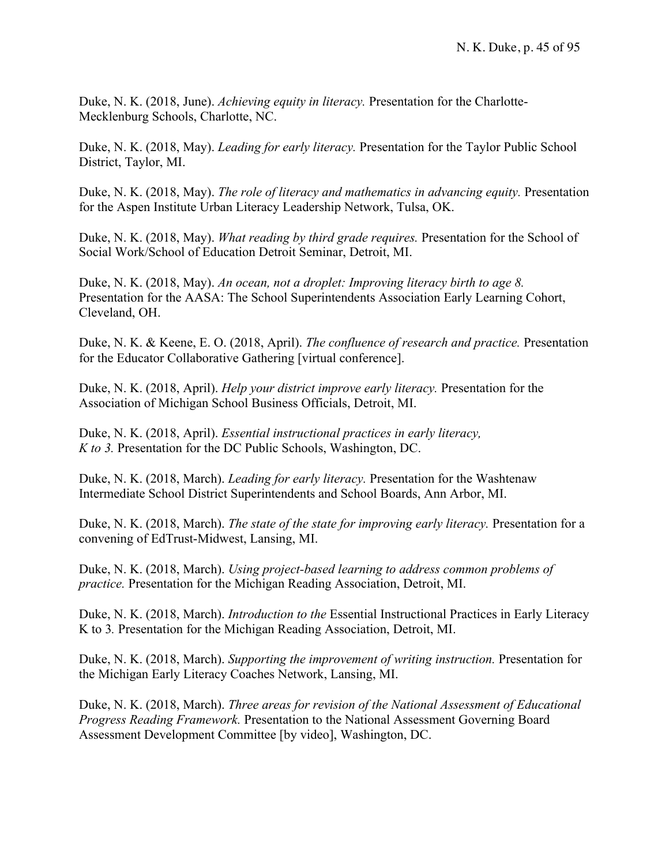Duke, N. K. (2018, June). *Achieving equity in literacy.* Presentation for the Charlotte-Mecklenburg Schools, Charlotte, NC.

Duke, N. K. (2018, May). *Leading for early literacy.* Presentation for the Taylor Public School District, Taylor, MI.

Duke, N. K. (2018, May). *The role of literacy and mathematics in advancing equity.* Presentation for the Aspen Institute Urban Literacy Leadership Network, Tulsa, OK.

Duke, N. K. (2018, May). *What reading by third grade requires.* Presentation for the School of Social Work/School of Education Detroit Seminar, Detroit, MI.

Duke, N. K. (2018, May). *An ocean, not a droplet: Improving literacy birth to age 8.* Presentation for the AASA: The School Superintendents Association Early Learning Cohort, Cleveland, OH.

Duke, N. K. & Keene, E. O. (2018, April). *The confluence of research and practice.* Presentation for the Educator Collaborative Gathering [virtual conference].

Duke, N. K. (2018, April). *Help your district improve early literacy.* Presentation for the Association of Michigan School Business Officials, Detroit, MI.

Duke, N. K. (2018, April). *Essential instructional practices in early literacy, K to 3.* Presentation for the DC Public Schools, Washington, DC.

Duke, N. K. (2018, March). *Leading for early literacy.* Presentation for the Washtenaw Intermediate School District Superintendents and School Boards, Ann Arbor, MI.

Duke, N. K. (2018, March). *The state of the state for improving early literacy.* Presentation for a convening of EdTrust-Midwest, Lansing, MI.

Duke, N. K. (2018, March). *Using project-based learning to address common problems of practice.* Presentation for the Michigan Reading Association, Detroit, MI.

Duke, N. K. (2018, March). *Introduction to the* Essential Instructional Practices in Early Literacy K to 3*.* Presentation for the Michigan Reading Association, Detroit, MI.

Duke, N. K. (2018, March). *Supporting the improvement of writing instruction.* Presentation for the Michigan Early Literacy Coaches Network, Lansing, MI.

Duke, N. K. (2018, March). *Three areas for revision of the National Assessment of Educational Progress Reading Framework.* Presentation to the National Assessment Governing Board Assessment Development Committee [by video], Washington, DC.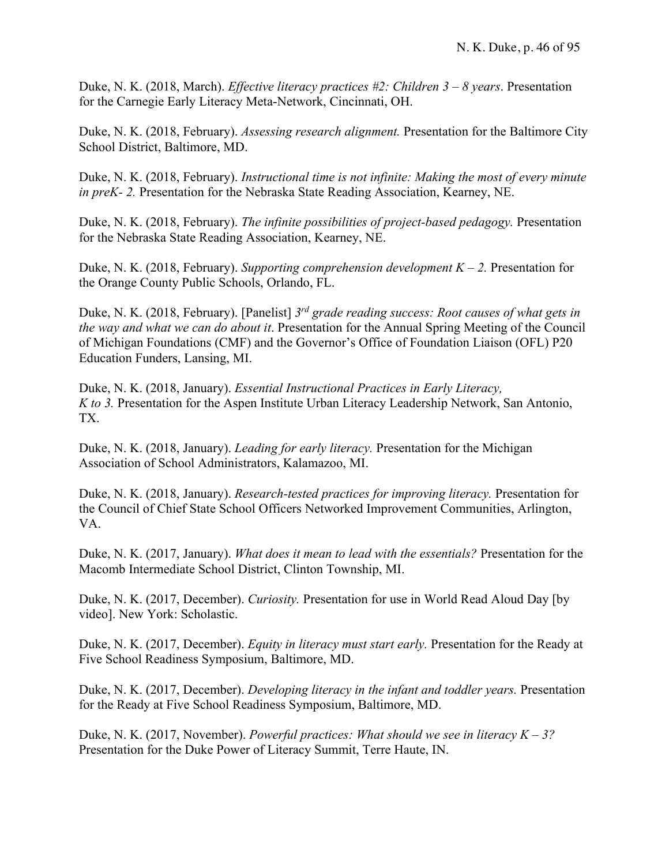Duke, N. K. (2018, March). *Effective literacy practices #2: Children 3 – 8 years*. Presentation for the Carnegie Early Literacy Meta-Network, Cincinnati, OH.

Duke, N. K. (2018, February). *Assessing research alignment.* Presentation for the Baltimore City School District, Baltimore, MD.

Duke, N. K. (2018, February). *Instructional time is not infinite: Making the most of every minute in preK- 2.* Presentation for the Nebraska State Reading Association, Kearney, NE.

Duke, N. K. (2018, February). *The infinite possibilities of project-based pedagogy.* Presentation for the Nebraska State Reading Association, Kearney, NE.

Duke, N. K. (2018, February). *Supporting comprehension development K – 2.* Presentation for the Orange County Public Schools, Orlando, FL.

Duke, N. K. (2018, February). [Panelist] *3rd grade reading success: Root causes of what gets in the way and what we can do about it*. Presentation for the Annual Spring Meeting of the Council of Michigan Foundations (CMF) and the Governor's Office of Foundation Liaison (OFL) P20 Education Funders, Lansing, MI.

Duke, N. K. (2018, January). *Essential Instructional Practices in Early Literacy, K to 3.* Presentation for the Aspen Institute Urban Literacy Leadership Network, San Antonio, TX.

Duke, N. K. (2018, January). *Leading for early literacy.* Presentation for the Michigan Association of School Administrators, Kalamazoo, MI.

Duke, N. K. (2018, January). *Research-tested practices for improving literacy.* Presentation for the Council of Chief State School Officers Networked Improvement Communities, Arlington, VA.

Duke, N. K. (2017, January). *What does it mean to lead with the essentials?* Presentation for the Macomb Intermediate School District, Clinton Township, MI.

Duke, N. K. (2017, December). *Curiosity.* Presentation for use in World Read Aloud Day [by video]. New York: Scholastic.

Duke, N. K. (2017, December). *Equity in literacy must start early.* Presentation for the Ready at Five School Readiness Symposium, Baltimore, MD.

Duke, N. K. (2017, December). *Developing literacy in the infant and toddler years.* Presentation for the Ready at Five School Readiness Symposium, Baltimore, MD.

Duke, N. K. (2017, November). *Powerful practices: What should we see in literacy K – 3?* Presentation for the Duke Power of Literacy Summit, Terre Haute, IN.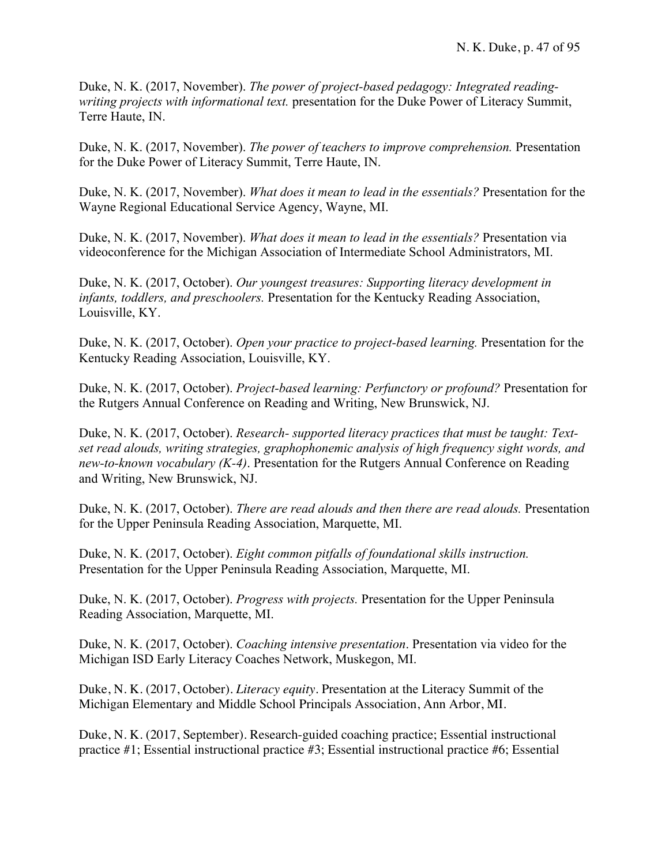Duke, N. K. (2017, November). *The power of project-based pedagogy: Integrated readingwriting projects with informational text.* presentation for the Duke Power of Literacy Summit, Terre Haute, IN.

Duke, N. K. (2017, November). *The power of teachers to improve comprehension.* Presentation for the Duke Power of Literacy Summit, Terre Haute, IN.

Duke, N. K. (2017, November). *What does it mean to lead in the essentials?* Presentation for the Wayne Regional Educational Service Agency, Wayne, MI.

Duke, N. K. (2017, November). *What does it mean to lead in the essentials?* Presentation via videoconference for the Michigan Association of Intermediate School Administrators, MI.

Duke, N. K. (2017, October). *Our youngest treasures: Supporting literacy development in infants, toddlers, and preschoolers.* Presentation for the Kentucky Reading Association, Louisville, KY.

Duke, N. K. (2017, October). *Open your practice to project-based learning.* Presentation for the Kentucky Reading Association, Louisville, KY.

Duke, N. K. (2017, October). *Project-based learning: Perfunctory or profound?* Presentation for the Rutgers Annual Conference on Reading and Writing, New Brunswick, NJ.

Duke, N. K. (2017, October). *Research- supported literacy practices that must be taught: Textset read alouds, writing strategies, graphophonemic analysis of high frequency sight words, and new-to-known vocabulary (K-4)*. Presentation for the Rutgers Annual Conference on Reading and Writing, New Brunswick, NJ.

Duke, N. K. (2017, October). *There are read alouds and then there are read alouds.* Presentation for the Upper Peninsula Reading Association, Marquette, MI.

Duke, N. K. (2017, October). *Eight common pitfalls of foundational skills instruction.* Presentation for the Upper Peninsula Reading Association, Marquette, MI.

Duke, N. K. (2017, October). *Progress with projects.* Presentation for the Upper Peninsula Reading Association, Marquette, MI.

Duke, N. K. (2017, October). *Coaching intensive presentation*. Presentation via video for the Michigan ISD Early Literacy Coaches Network, Muskegon, MI.

Duke, N. K. (2017, October). *Literacy equity.* Presentation at the Literacy Summit of the Michigan Elementary and Middle School Principals Association, Ann Arbor, MI.

Duke, N. K. (2017, September). Research-guided coaching practice; Essential instructional practice #1; Essential instructional practice #3; Essential instructional practice #6; Essential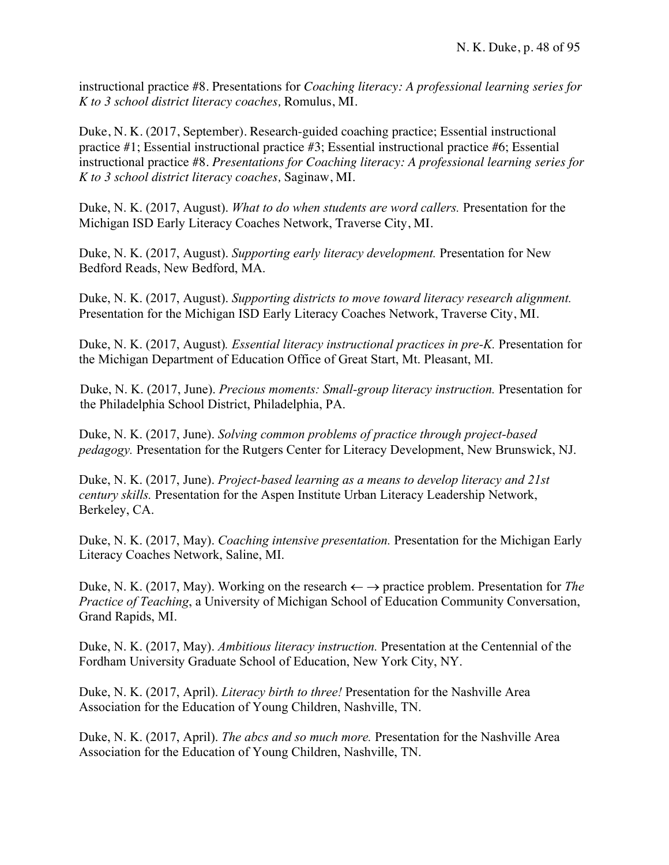instructional practice #8. Presentations for *Coaching literacy: A professional learning series for K to 3 school district literacy coaches,* Romulus, MI.

Duke, N. K. (2017, September). Research-guided coaching practice; Essential instructional practice #1; Essential instructional practice #3; Essential instructional practice #6; Essential instructional practice #8. *Presentations for Coaching literacy: A professional learning series for K to 3 school district literacy coaches,* Saginaw, MI.

Duke, N. K. (2017, August). *What to do when students are word callers.* Presentation for the Michigan ISD Early Literacy Coaches Network, Traverse City, MI.

Duke, N. K. (2017, August). *Supporting early literacy development.* Presentation for New Bedford Reads, New Bedford, MA.

Duke, N. K. (2017, August). *Supporting districts to move toward literacy research alignment.* Presentation for the Michigan ISD Early Literacy Coaches Network, Traverse City, MI.

Duke, N. K. (2017, August). *Essential literacy instructional practices in pre-K.* Presentation for the Michigan Department of Education Office of Great Start, Mt. Pleasant, MI.

Duke, N. K. (2017, June). *Precious moments: Small-group literacy instruction.* Presentation for the Philadelphia School District, Philadelphia, PA.

Duke, N. K. (2017, June). *Solving common problems of practice through project-based pedagogy.* Presentation for the Rutgers Center for Literacy Development, New Brunswick, NJ.

Duke, N. K. (2017, June). *Project-based learning as a means to develop literacy and 21st century skills.* Presentation for the Aspen Institute Urban Literacy Leadership Network, Berkeley, CA.

Duke, N. K. (2017, May). *Coaching intensive presentation.* Presentation for the Michigan Early Literacy Coaches Network, Saline, MI.

Duke, N. K. (2017, May). Working on the research  $\leftarrow \rightarrow$  practice problem. Presentation for *The Practice of Teaching*, a University of Michigan School of Education Community Conversation, Grand Rapids, MI.

Duke, N. K. (2017, May). *Ambitious literacy instruction.* Presentation at the Centennial of the Fordham University Graduate School of Education, New York City, NY.

Duke, N. K. (2017, April). *Literacy birth to three!* Presentation for the Nashville Area Association for the Education of Young Children, Nashville, TN.

Duke, N. K. (2017, April). *The abcs and so much more.* Presentation for the Nashville Area Association for the Education of Young Children, Nashville, TN.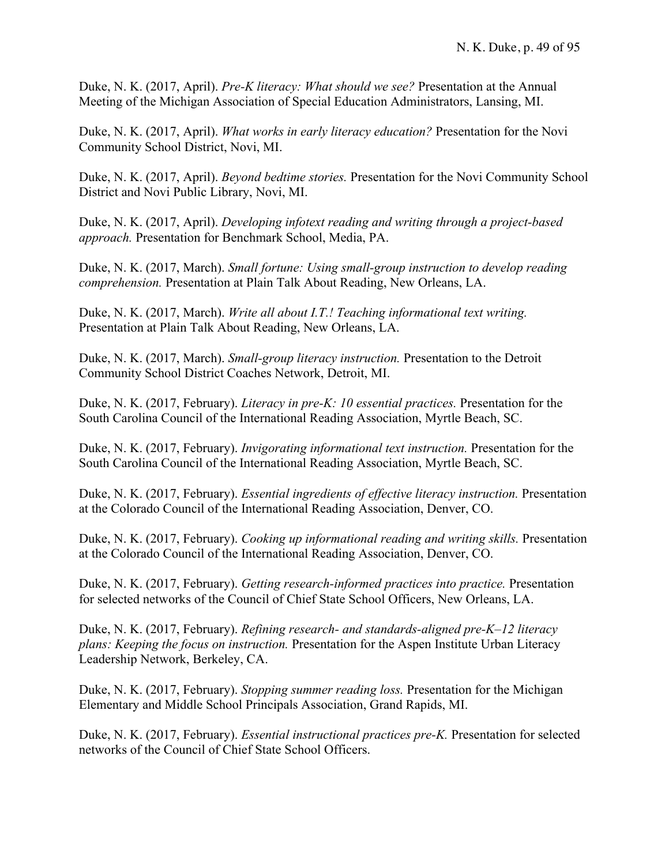Duke, N. K. (2017, April). *Pre-K literacy: What should we see?* Presentation at the Annual Meeting of the Michigan Association of Special Education Administrators, Lansing, MI.

Duke, N. K. (2017, April). *What works in early literacy education?* Presentation for the Novi Community School District, Novi, MI.

Duke, N. K. (2017, April). *Beyond bedtime stories.* Presentation for the Novi Community School District and Novi Public Library, Novi, MI.

Duke, N. K. (2017, April). *Developing infotext reading and writing through a project-based approach.* Presentation for Benchmark School, Media, PA.

Duke, N. K. (2017, March). *Small fortune: Using small-group instruction to develop reading comprehension.* Presentation at Plain Talk About Reading, New Orleans, LA.

Duke, N. K. (2017, March). *Write all about I.T.! Teaching informational text writing.* Presentation at Plain Talk About Reading, New Orleans, LA.

Duke, N. K. (2017, March). *Small-group literacy instruction.* Presentation to the Detroit Community School District Coaches Network, Detroit, MI.

Duke, N. K. (2017, February). *Literacy in pre-K: 10 essential practices.* Presentation for the South Carolina Council of the International Reading Association, Myrtle Beach, SC.

Duke, N. K. (2017, February). *Invigorating informational text instruction.* Presentation for the South Carolina Council of the International Reading Association, Myrtle Beach, SC.

Duke, N. K. (2017, February). *Essential ingredients of effective literacy instruction.* Presentation at the Colorado Council of the International Reading Association, Denver, CO.

Duke, N. K. (2017, February). *Cooking up informational reading and writing skills.* Presentation at the Colorado Council of the International Reading Association, Denver, CO.

Duke, N. K. (2017, February). *Getting research-informed practices into practice.* Presentation for selected networks of the Council of Chief State School Officers, New Orleans, LA.

Duke, N. K. (2017, February). *Refining research- and standards-aligned pre-K–12 literacy plans: Keeping the focus on instruction.* Presentation for the Aspen Institute Urban Literacy Leadership Network, Berkeley, CA.

Duke, N. K. (2017, February). *Stopping summer reading loss.* Presentation for the Michigan Elementary and Middle School Principals Association, Grand Rapids, MI.

Duke, N. K. (2017, February). *Essential instructional practices pre-K.* Presentation for selected networks of the Council of Chief State School Officers.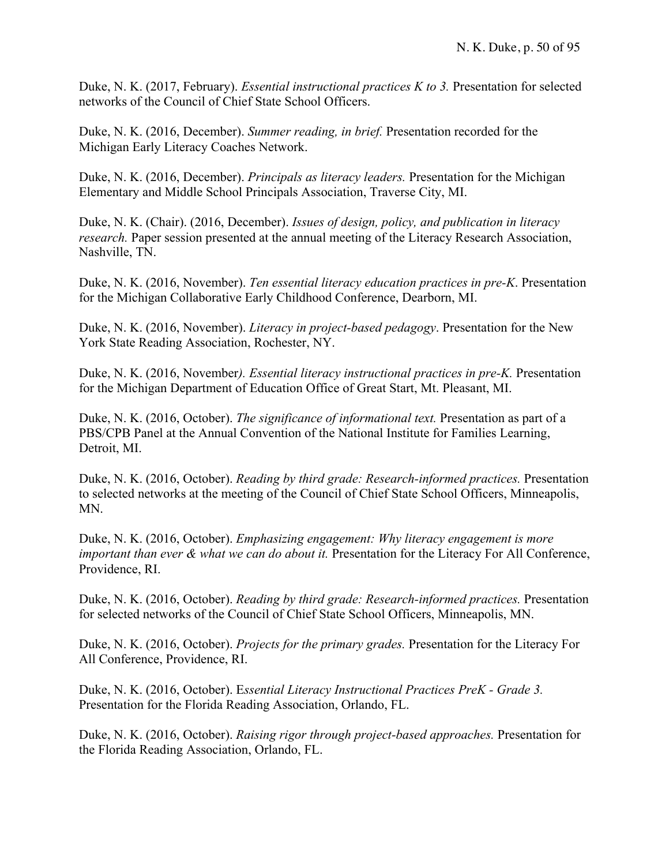Duke, N. K. (2017, February). *Essential instructional practices K to 3.* Presentation for selected networks of the Council of Chief State School Officers.

Duke, N. K. (2016, December). *Summer reading, in brief.* Presentation recorded for the Michigan Early Literacy Coaches Network.

Duke, N. K. (2016, December). *Principals as literacy leaders.* Presentation for the Michigan Elementary and Middle School Principals Association, Traverse City, MI.

Duke, N. K. (Chair). (2016, December). *Issues of design, policy, and publication in literacy research.* Paper session presented at the annual meeting of the Literacy Research Association, Nashville, TN.

Duke, N. K. (2016, November). *Ten essential literacy education practices in pre-K*. Presentation for the Michigan Collaborative Early Childhood Conference, Dearborn, MI.

Duke, N. K. (2016, November). *Literacy in project-based pedagogy*. Presentation for the New York State Reading Association, Rochester, NY.

Duke, N. K. (2016, November*). Essential literacy instructional practices in pre-K.* Presentation for the Michigan Department of Education Office of Great Start, Mt. Pleasant, MI.

Duke, N. K. (2016, October). *The significance of informational text.* Presentation as part of a PBS/CPB Panel at the Annual Convention of the National Institute for Families Learning, Detroit, MI.

Duke, N. K. (2016, October). *Reading by third grade: Research-informed practices.* Presentation to selected networks at the meeting of the Council of Chief State School Officers, Minneapolis, MN.

Duke, N. K. (2016, October). *Emphasizing engagement: Why literacy engagement is more important than ever & what we can do about it.* Presentation for the Literacy For All Conference, Providence, RI.

Duke, N. K. (2016, October). *Reading by third grade: Research-informed practices.* Presentation for selected networks of the Council of Chief State School Officers, Minneapolis, MN.

Duke, N. K. (2016, October). *Projects for the primary grades.* Presentation for the Literacy For All Conference, Providence, RI.

Duke, N. K. (2016, October). E*ssential Literacy Instructional Practices PreK - Grade 3.* Presentation for the Florida Reading Association, Orlando, FL.

Duke, N. K. (2016, October). *Raising rigor through project-based approaches.* Presentation for the Florida Reading Association, Orlando, FL.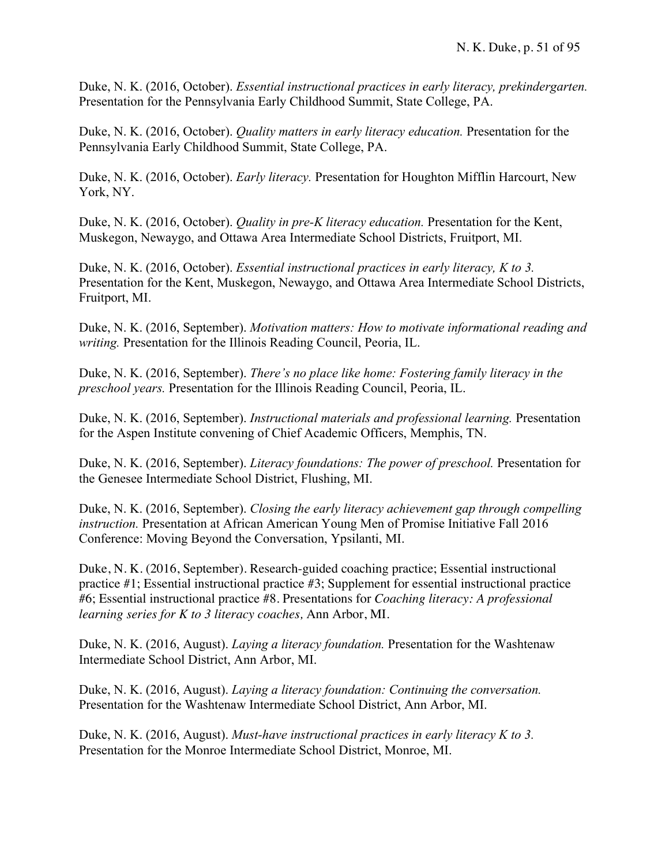Duke, N. K. (2016, October). *Essential instructional practices in early literacy, prekindergarten.* Presentation for the Pennsylvania Early Childhood Summit, State College, PA.

Duke, N. K. (2016, October). *Quality matters in early literacy education.* Presentation for the Pennsylvania Early Childhood Summit, State College, PA.

Duke, N. K. (2016, October). *Early literacy.* Presentation for Houghton Mifflin Harcourt, New York, NY.

Duke, N. K. (2016, October). *Quality in pre-K literacy education.* Presentation for the Kent, Muskegon, Newaygo, and Ottawa Area Intermediate School Districts, Fruitport, MI.

Duke, N. K. (2016, October). *Essential instructional practices in early literacy, K to 3.* Presentation for the Kent, Muskegon, Newaygo, and Ottawa Area Intermediate School Districts, Fruitport, MI.

Duke, N. K. (2016, September). *Motivation matters: How to motivate informational reading and writing.* Presentation for the Illinois Reading Council, Peoria, IL.

Duke, N. K. (2016, September). *There's no place like home: Fostering family literacy in the preschool years.* Presentation for the Illinois Reading Council, Peoria, IL.

Duke, N. K. (2016, September). *Instructional materials and professional learning.* Presentation for the Aspen Institute convening of Chief Academic Officers, Memphis, TN.

Duke, N. K. (2016, September). *Literacy foundations: The power of preschool.* Presentation for the Genesee Intermediate School District, Flushing, MI.

Duke, N. K. (2016, September). *Closing the early literacy achievement gap through compelling instruction.* Presentation at African American Young Men of Promise Initiative Fall 2016 Conference: Moving Beyond the Conversation, Ypsilanti, MI.

Duke, N. K. (2016, September). Research-guided coaching practice; Essential instructional practice #1; Essential instructional practice #3; Supplement for essential instructional practice #6; Essential instructional practice #8. Presentations for *Coaching literacy: A professional learning series for K to 3 literacy coaches,* Ann Arbor, MI.

Duke, N. K. (2016, August). *Laying a literacy foundation.* Presentation for the Washtenaw Intermediate School District, Ann Arbor, MI.

Duke, N. K. (2016, August). *Laying a literacy foundation: Continuing the conversation.* Presentation for the Washtenaw Intermediate School District, Ann Arbor, MI.

Duke, N. K. (2016, August). *Must-have instructional practices in early literacy K to 3.* Presentation for the Monroe Intermediate School District, Monroe, MI.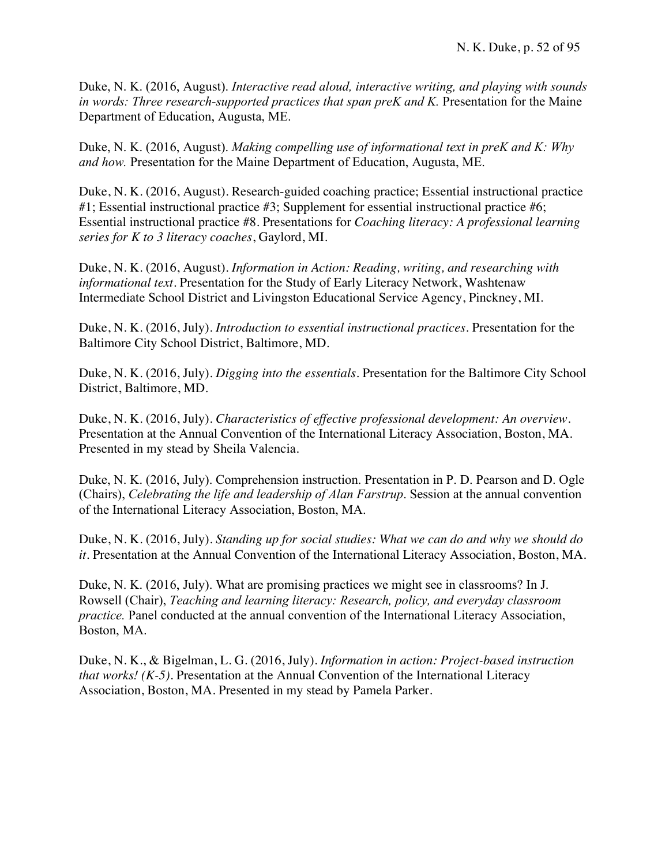Duke, N. K. (2016, August). *Interactive read aloud, interactive writing, and playing with sounds in words: Three research-supported practices that span preK and K.* Presentation for the Maine Department of Education, Augusta, ME.

Duke, N. K. (2016, August). *Making compelling use of informational text in preK and K: Why and how.* Presentation for the Maine Department of Education, Augusta, ME.

Duke, N. K. (2016, August). Research-guided coaching practice; Essential instructional practice #1; Essential instructional practice #3; Supplement for essential instructional practice #6; Essential instructional practice #8. Presentations for *Coaching literacy: A professional learning series for K to 3 literacy coaches*, Gaylord, MI.

Duke, N. K. (2016, August). *Information in Action: Reading, writing, and researching with informational text.* Presentation for the Study of Early Literacy Network, Washtenaw Intermediate School District and Livingston Educational Service Agency, Pinckney, MI.

Duke, N. K. (2016, July). *Introduction to essential instructional practices.* Presentation for the Baltimore City School District, Baltimore, MD.

Duke, N. K. (2016, July). *Digging into the essentials.* Presentation for the Baltimore City School District, Baltimore, MD.

Duke, N. K. (2016, July). *Characteristics of effective professional development: An overview.*  Presentation at the Annual Convention of the International Literacy Association, Boston, MA. Presented in my stead by Sheila Valencia.

Duke, N. K. (2016, July). Comprehension instruction. Presentation in P. D. Pearson and D. Ogle (Chairs), *Celebrating the life and leadership of Alan Farstrup*. Session at the annual convention of the International Literacy Association, Boston, MA.

Duke, N. K. (2016, July). *Standing up for social studies: What we can do and why we should do it.* Presentation at the Annual Convention of the International Literacy Association, Boston, MA.

Duke, N. K. (2016, July). What are promising practices we might see in classrooms? In J. Rowsell (Chair), *Teaching and learning literacy: Research, policy, and everyday classroom practice.* Panel conducted at the annual convention of the International Literacy Association, Boston, MA.

Duke, N. K., & Bigelman, L. G. (2016, July). *Information in action: Project-based instruction that works! (K-5)*. Presentation at the Annual Convention of the International Literacy Association, Boston, MA. Presented in my stead by Pamela Parker.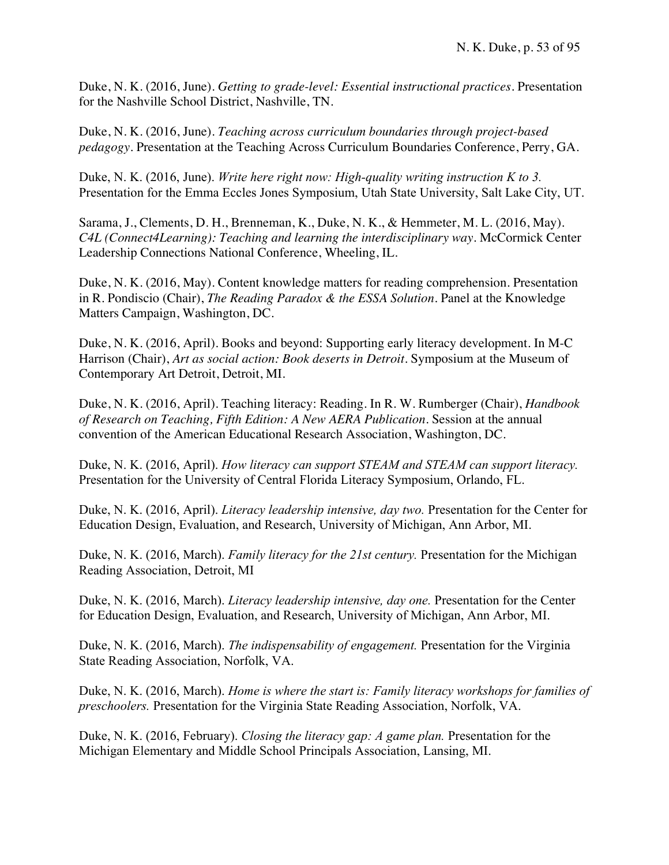Duke, N. K. (2016, June). *Getting to grade-level: Essential instructional practices.* Presentation for the Nashville School District, Nashville, TN.

Duke, N. K. (2016, June). *Teaching across curriculum boundaries through project-based pedagogy*. Presentation at the Teaching Across Curriculum Boundaries Conference, Perry, GA.

Duke, N. K. (2016, June). *Write here right now: High-quality writing instruction K to 3.* Presentation for the Emma Eccles Jones Symposium, Utah State University, Salt Lake City, UT.

Sarama, J., Clements, D. H., Brenneman, K., Duke, N. K., & Hemmeter, M. L. (2016, May). *C4L (Connect4Learning): Teaching and learning the interdisciplinary way*. McCormick Center Leadership Connections National Conference, Wheeling, IL.

Duke, N. K. (2016, May). Content knowledge matters for reading comprehension. Presentation in R. Pondiscio (Chair), *The Reading Paradox & the ESSA Solution.* Panel at the Knowledge Matters Campaign, Washington, DC.

Duke, N. K. (2016, April). Books and beyond: Supporting early literacy development. In M-C Harrison (Chair), *Art as social action: Book deserts in Detroit.* Symposium at the Museum of Contemporary Art Detroit, Detroit, MI.

Duke, N. K. (2016, April). Teaching literacy: Reading. In R. W. Rumberger (Chair), *Handbook of Research on Teaching, Fifth Edition: A New AERA Publication.* Session at the annual convention of the American Educational Research Association, Washington, DC.

Duke, N. K. (2016, April). *How literacy can support STEAM and STEAM can support literacy.* Presentation for the University of Central Florida Literacy Symposium, Orlando, FL.

Duke, N. K. (2016, April). *Literacy leadership intensive, day two.* Presentation for the Center for Education Design, Evaluation, and Research, University of Michigan, Ann Arbor, MI.

Duke, N. K. (2016, March). *Family literacy for the 21st century.* Presentation for the Michigan Reading Association, Detroit, MI

Duke, N. K. (2016, March). *Literacy leadership intensive, day one.* Presentation for the Center for Education Design, Evaluation, and Research, University of Michigan, Ann Arbor, MI.

Duke, N. K. (2016, March). *The indispensability of engagement.* Presentation for the Virginia State Reading Association, Norfolk, VA.

Duke, N. K. (2016, March). *Home is where the start is: Family literacy workshops for families of preschoolers.* Presentation for the Virginia State Reading Association, Norfolk, VA.

Duke, N. K. (2016, February). *Closing the literacy gap: A game plan.* Presentation for the Michigan Elementary and Middle School Principals Association, Lansing, MI.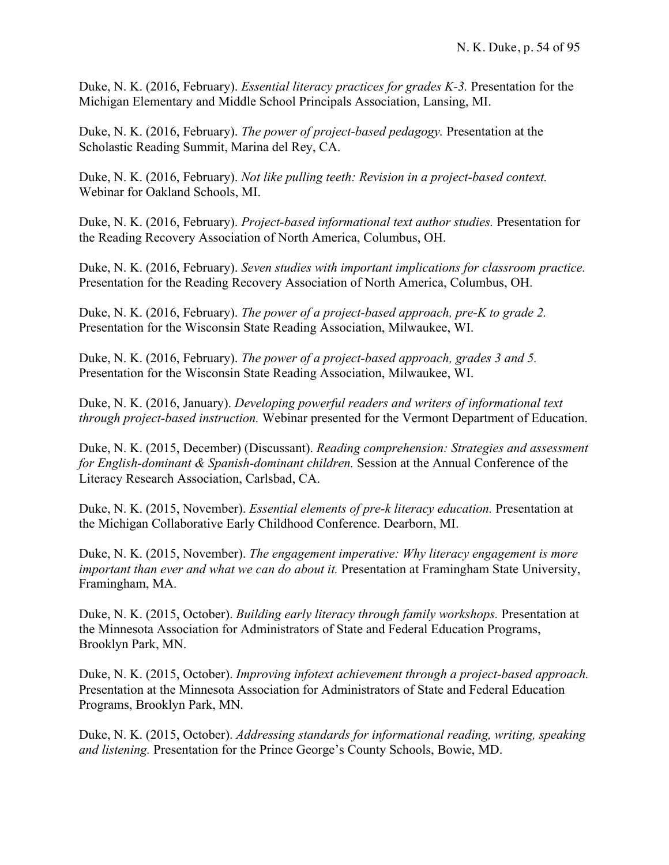Duke, N. K. (2016, February). *Essential literacy practices for grades K-3.* Presentation for the Michigan Elementary and Middle School Principals Association, Lansing, MI.

Duke, N. K. (2016, February). *The power of project-based pedagogy.* Presentation at the Scholastic Reading Summit, Marina del Rey, CA.

Duke, N. K. (2016, February). *Not like pulling teeth: Revision in a project-based context.* Webinar for Oakland Schools, MI.

Duke, N. K. (2016, February). *Project-based informational text author studies.* Presentation for the Reading Recovery Association of North America, Columbus, OH.

Duke, N. K. (2016, February). *Seven studies with important implications for classroom practice.*  Presentation for the Reading Recovery Association of North America, Columbus, OH.

Duke, N. K. (2016, February). *The power of a project-based approach, pre-K to grade 2.*  Presentation for the Wisconsin State Reading Association, Milwaukee, WI.

Duke, N. K. (2016, February). *The power of a project-based approach, grades 3 and 5.*  Presentation for the Wisconsin State Reading Association, Milwaukee, WI.

Duke, N. K. (2016, January). *Developing powerful readers and writers of informational text through project-based instruction.* Webinar presented for the Vermont Department of Education.

Duke, N. K. (2015, December) (Discussant). *Reading comprehension: Strategies and assessment for English-dominant & Spanish-dominant children.* Session at the Annual Conference of the Literacy Research Association, Carlsbad, CA.

Duke, N. K. (2015, November). *Essential elements of pre-k literacy education.* Presentation at the Michigan Collaborative Early Childhood Conference. Dearborn, MI.

Duke, N. K. (2015, November). *The engagement imperative: Why literacy engagement is more important than ever and what we can do about it.* Presentation at Framingham State University, Framingham, MA.

Duke, N. K. (2015, October). *Building early literacy through family workshops.* Presentation at the Minnesota Association for Administrators of State and Federal Education Programs, Brooklyn Park, MN.

Duke, N. K. (2015, October). *Improving infotext achievement through a project-based approach.* Presentation at the Minnesota Association for Administrators of State and Federal Education Programs, Brooklyn Park, MN.

Duke, N. K. (2015, October). *Addressing standards for informational reading, writing, speaking and listening.* Presentation for the Prince George's County Schools, Bowie, MD.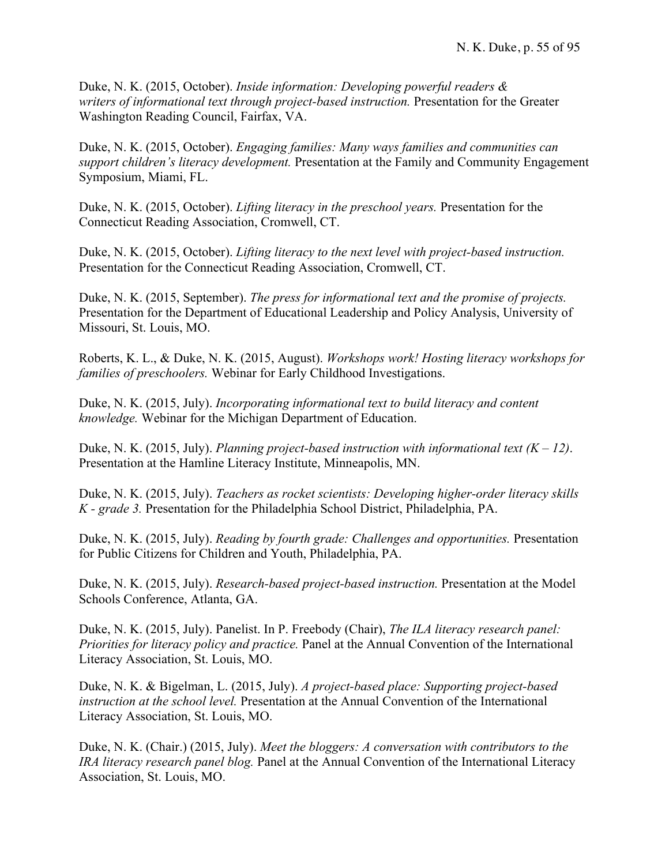Duke, N. K. (2015, October). *Inside information: Developing powerful readers & writers of informational text through project-based instruction.* Presentation for the Greater Washington Reading Council, Fairfax, VA.

Duke, N. K. (2015, October). *Engaging families: Many ways families and communities can support children's literacy development.* Presentation at the Family and Community Engagement Symposium, Miami, FL.

Duke, N. K. (2015, October). *Lifting literacy in the preschool years.* Presentation for the Connecticut Reading Association, Cromwell, CT.

Duke, N. K. (2015, October). *Lifting literacy to the next level with project-based instruction.*  Presentation for the Connecticut Reading Association, Cromwell, CT.

Duke, N. K. (2015, September). *The press for informational text and the promise of projects.* Presentation for the Department of Educational Leadership and Policy Analysis, University of Missouri, St. Louis, MO.

Roberts, K. L., & Duke, N. K. (2015, August). *Workshops work! Hosting literacy workshops for families of preschoolers.* Webinar for Early Childhood Investigations.

Duke, N. K. (2015, July). *Incorporating informational text to build literacy and content knowledge.* Webinar for the Michigan Department of Education.

Duke, N. K. (2015, July). *Planning project-based instruction with informational text*  $(K - 12)$ . Presentation at the Hamline Literacy Institute, Minneapolis, MN.

Duke, N. K. (2015, July). *Teachers as rocket scientists: Developing higher-order literacy skills K - grade 3.* Presentation for the Philadelphia School District, Philadelphia, PA.

Duke, N. K. (2015, July). *Reading by fourth grade: Challenges and opportunities.* Presentation for Public Citizens for Children and Youth, Philadelphia, PA.

Duke, N. K. (2015, July). *Research-based project-based instruction.* Presentation at the Model Schools Conference, Atlanta, GA.

Duke, N. K. (2015, July). Panelist. In P. Freebody (Chair), *The ILA literacy research panel: Priorities for literacy policy and practice.* Panel at the Annual Convention of the International Literacy Association, St. Louis, MO.

Duke, N. K. & Bigelman, L. (2015, July). *A project-based place: Supporting project-based instruction at the school level.* Presentation at the Annual Convention of the International Literacy Association, St. Louis, MO.

Duke, N. K. (Chair.) (2015, July). *Meet the bloggers: A conversation with contributors to the IRA literacy research panel blog.* Panel at the Annual Convention of the International Literacy Association, St. Louis, MO.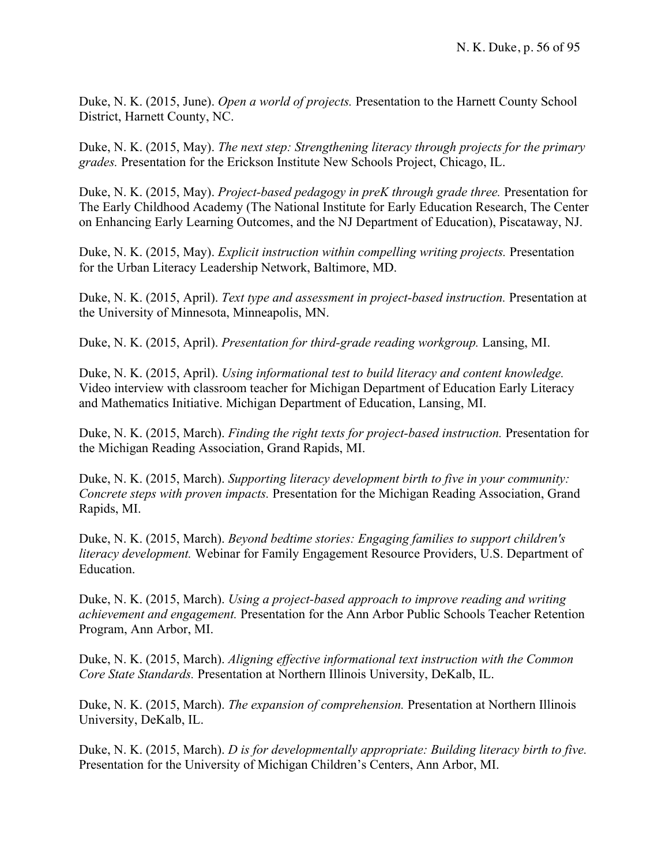Duke, N. K. (2015, June). *Open a world of projects.* Presentation to the Harnett County School District, Harnett County, NC.

Duke, N. K. (2015, May). *The next step: Strengthening literacy through projects for the primary grades.* Presentation for the Erickson Institute New Schools Project, Chicago, IL.

Duke, N. K. (2015, May). *Project-based pedagogy in preK through grade three.* Presentation for The Early Childhood Academy (The National Institute for Early Education Research, The Center on Enhancing Early Learning Outcomes, and the NJ Department of Education), Piscataway, NJ.

Duke, N. K. (2015, May). *Explicit instruction within compelling writing projects.* Presentation for the Urban Literacy Leadership Network, Baltimore, MD.

Duke, N. K. (2015, April). *Text type and assessment in project-based instruction.* Presentation at the University of Minnesota, Minneapolis, MN.

Duke, N. K. (2015, April). *Presentation for third-grade reading workgroup.* Lansing, MI.

Duke, N. K. (2015, April). *Using informational test to build literacy and content knowledge.* Video interview with classroom teacher for Michigan Department of Education Early Literacy and Mathematics Initiative. Michigan Department of Education, Lansing, MI.

Duke, N. K. (2015, March). *Finding the right texts for project-based instruction.* Presentation for the Michigan Reading Association, Grand Rapids, MI.

Duke, N. K. (2015, March). *Supporting literacy development birth to five in your community: Concrete steps with proven impacts.* Presentation for the Michigan Reading Association, Grand Rapids, MI.

Duke, N. K. (2015, March). *Beyond bedtime stories: Engaging families to support children's literacy development.* Webinar for Family Engagement Resource Providers, U.S. Department of Education.

Duke, N. K. (2015, March). *Using a project-based approach to improve reading and writing achievement and engagement.* Presentation for the Ann Arbor Public Schools Teacher Retention Program, Ann Arbor, MI.

Duke, N. K. (2015, March). *Aligning effective informational text instruction with the Common Core State Standards.* Presentation at Northern Illinois University, DeKalb, IL.

Duke, N. K. (2015, March). *The expansion of comprehension.* Presentation at Northern Illinois University, DeKalb, IL.

Duke, N. K. (2015, March). *D is for developmentally appropriate: Building literacy birth to five.* Presentation for the University of Michigan Children's Centers, Ann Arbor, MI.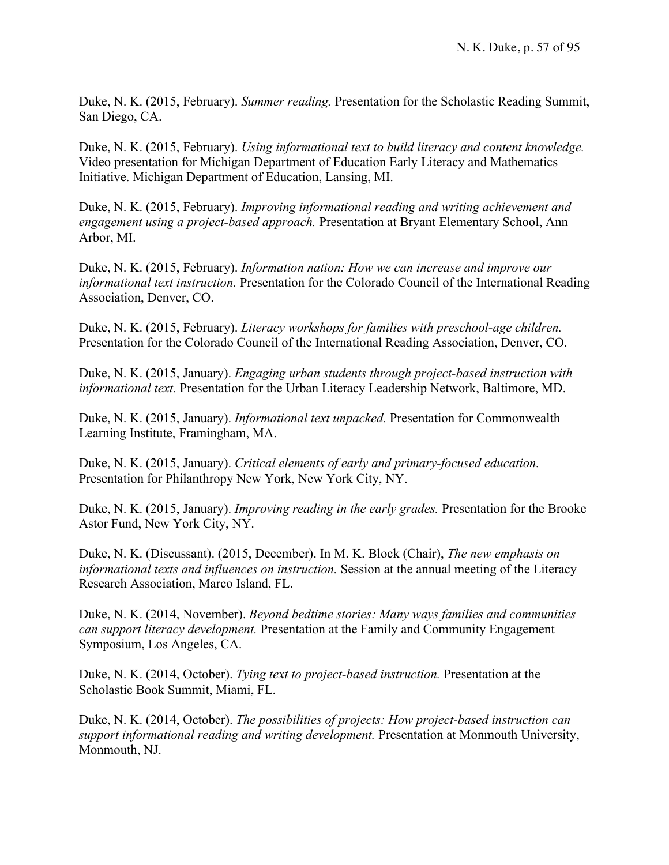Duke, N. K. (2015, February). *Summer reading.* Presentation for the Scholastic Reading Summit, San Diego, CA.

Duke, N. K. (2015, February). *Using informational text to build literacy and content knowledge.* Video presentation for Michigan Department of Education Early Literacy and Mathematics Initiative. Michigan Department of Education, Lansing, MI.

Duke, N. K. (2015, February). *Improving informational reading and writing achievement and engagement using a project-based approach.* Presentation at Bryant Elementary School, Ann Arbor, MI.

Duke, N. K. (2015, February). *Information nation: How we can increase and improve our informational text instruction.* Presentation for the Colorado Council of the International Reading Association, Denver, CO.

Duke, N. K. (2015, February). *Literacy workshops for families with preschool-age children.* Presentation for the Colorado Council of the International Reading Association, Denver, CO.

Duke, N. K. (2015, January). *Engaging urban students through project-based instruction with informational text.* Presentation for the Urban Literacy Leadership Network, Baltimore, MD.

Duke, N. K. (2015, January). *Informational text unpacked.* Presentation for Commonwealth Learning Institute, Framingham, MA.

Duke, N. K. (2015, January). *Critical elements of early and primary-focused education.* Presentation for Philanthropy New York, New York City, NY.

Duke, N. K. (2015, January). *Improving reading in the early grades.* Presentation for the Brooke Astor Fund, New York City, NY.

Duke, N. K. (Discussant). (2015, December). In M. K. Block (Chair), *The new emphasis on informational texts and influences on instruction.* Session at the annual meeting of the Literacy Research Association, Marco Island, FL.

Duke, N. K. (2014, November). *Beyond bedtime stories: Many ways families and communities can support literacy development.* Presentation at the Family and Community Engagement Symposium, Los Angeles, CA.

Duke, N. K. (2014, October). *Tying text to project-based instruction.* Presentation at the Scholastic Book Summit, Miami, FL.

Duke, N. K. (2014, October). *The possibilities of projects: How project-based instruction can support informational reading and writing development.* Presentation at Monmouth University, Monmouth, NJ.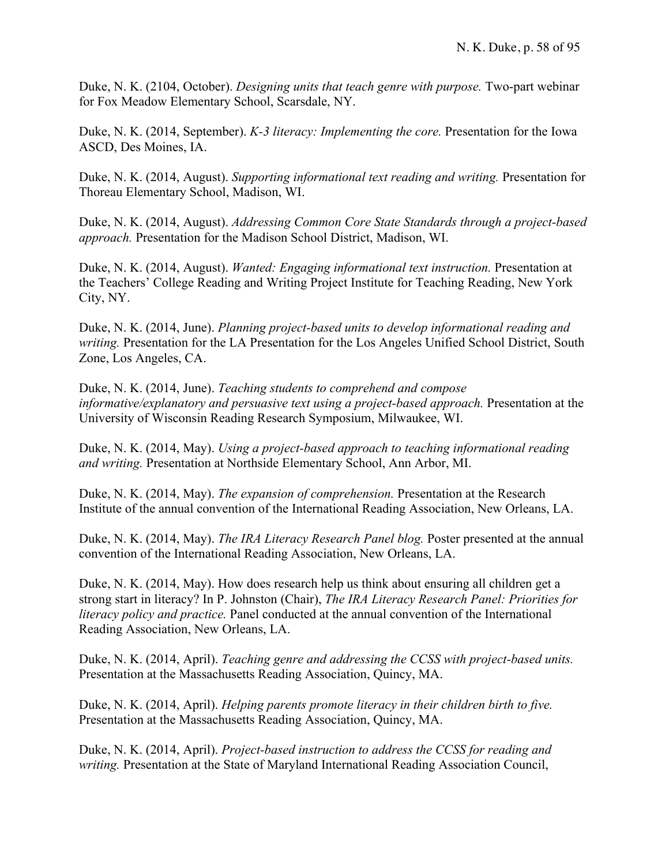Duke, N. K. (2104, October). *Designing units that teach genre with purpose.* Two-part webinar for Fox Meadow Elementary School, Scarsdale, NY.

Duke, N. K. (2014, September). *K-3 literacy: Implementing the core.* Presentation for the Iowa ASCD, Des Moines, IA.

Duke, N. K. (2014, August). *Supporting informational text reading and writing.* Presentation for Thoreau Elementary School, Madison, WI.

Duke, N. K. (2014, August). *Addressing Common Core State Standards through a project-based approach.* Presentation for the Madison School District, Madison, WI.

Duke, N. K. (2014, August). *Wanted: Engaging informational text instruction.* Presentation at the Teachers' College Reading and Writing Project Institute for Teaching Reading, New York City, NY.

Duke, N. K. (2014, June). *Planning project-based units to develop informational reading and writing.* Presentation for the LA Presentation for the Los Angeles Unified School District, South Zone, Los Angeles, CA.

Duke, N. K. (2014, June). *Teaching students to comprehend and compose informative/explanatory and persuasive text using a project-based approach.* Presentation at the University of Wisconsin Reading Research Symposium, Milwaukee, WI.

Duke, N. K. (2014, May). *Using a project-based approach to teaching informational reading and writing.* Presentation at Northside Elementary School, Ann Arbor, MI.

Duke, N. K. (2014, May). *The expansion of comprehension.* Presentation at the Research Institute of the annual convention of the International Reading Association, New Orleans, LA.

Duke, N. K. (2014, May). *The IRA Literacy Research Panel blog.* Poster presented at the annual convention of the International Reading Association, New Orleans, LA.

Duke, N. K. (2014, May). How does research help us think about ensuring all children get a strong start in literacy? In P. Johnston (Chair), *The IRA Literacy Research Panel: Priorities for literacy policy and practice.* Panel conducted at the annual convention of the International Reading Association, New Orleans, LA.

Duke, N. K. (2014, April). *Teaching genre and addressing the CCSS with project-based units.*  Presentation at the Massachusetts Reading Association, Quincy, MA.

Duke, N. K. (2014, April). *Helping parents promote literacy in their children birth to five.* Presentation at the Massachusetts Reading Association, Quincy, MA.

Duke, N. K. (2014, April). *Project-based instruction to address the CCSS for reading and writing.* Presentation at the State of Maryland International Reading Association Council,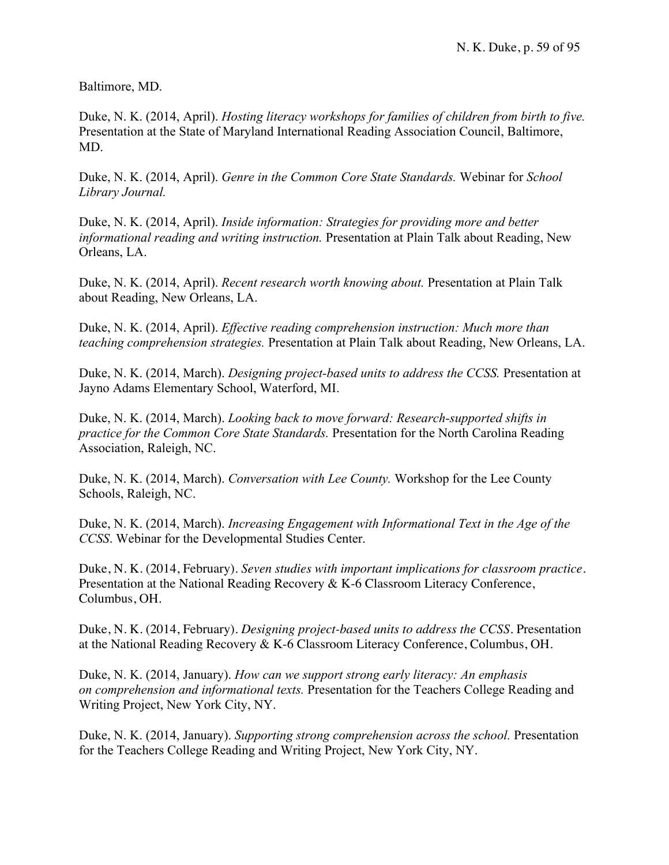Baltimore, MD.

Duke, N. K. (2014, April). *Hosting literacy workshops for families of children from birth to five.* Presentation at the State of Maryland International Reading Association Council, Baltimore, MD.

Duke, N. K. (2014, April). *Genre in the Common Core State Standards.* Webinar for *School Library Journal.* 

Duke, N. K. (2014, April). *Inside information: Strategies for providing more and better informational reading and writing instruction.* Presentation at Plain Talk about Reading, New Orleans, LA.

Duke, N. K. (2014, April). *Recent research worth knowing about.* Presentation at Plain Talk about Reading, New Orleans, LA.

Duke, N. K. (2014, April). *Effective reading comprehension instruction: Much more than teaching comprehension strategies.* Presentation at Plain Talk about Reading, New Orleans, LA.

Duke, N. K. (2014, March). *Designing project-based units to address the CCSS.* Presentation at Jayno Adams Elementary School, Waterford, MI.

Duke, N. K. (2014, March). *Looking back to move forward: Research-supported shifts in practice for the Common Core State Standards.* Presentation for the North Carolina Reading Association, Raleigh, NC.

Duke, N. K. (2014, March). *Conversation with Lee County.* Workshop for the Lee County Schools, Raleigh, NC.

Duke, N. K. (2014, March). *Increasing Engagement with Informational Text in the Age of the CCSS*. Webinar for the Developmental Studies Center.

Duke, N. K. (2014, February). *Seven studies with important implications for classroom practice.* Presentation at the National Reading Recovery & K-6 Classroom Literacy Conference, Columbus, OH.

Duke, N. K. (2014, February). *Designing project-based units to address the CCSS.* Presentation at the National Reading Recovery & K-6 Classroom Literacy Conference, Columbus, OH.

Duke, N. K. (2014, January). *How can we support strong early literacy: An emphasis on comprehension and informational texts.* Presentation for the Teachers College Reading and Writing Project, New York City, NY.

Duke, N. K. (2014, January). *Supporting strong comprehension across the school.* Presentation for the Teachers College Reading and Writing Project, New York City, NY.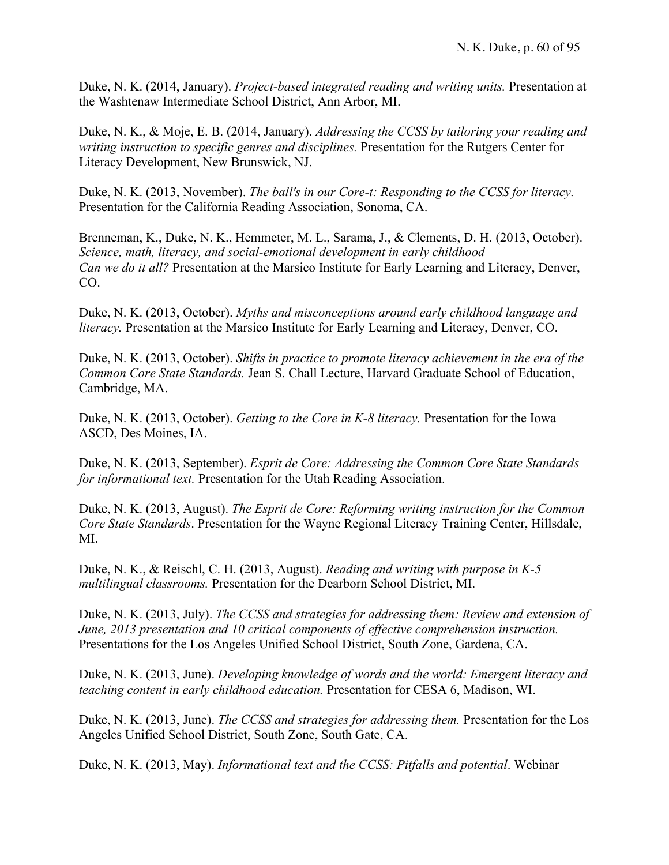Duke, N. K. (2014, January). *Project-based integrated reading and writing units.* Presentation at the Washtenaw Intermediate School District, Ann Arbor, MI.

Duke, N. K., & Moje, E. B. (2014, January). *Addressing the CCSS by tailoring your reading and writing instruction to specific genres and disciplines.* Presentation for the Rutgers Center for Literacy Development, New Brunswick, NJ.

Duke, N. K. (2013, November). *The ball's in our Core-t: Responding to the CCSS for literacy.* Presentation for the California Reading Association, Sonoma, CA.

Brenneman, K., Duke, N. K., Hemmeter, M. L., Sarama, J., & Clements, D. H. (2013, October). *Science, math, literacy, and social-emotional development in early childhood— Can we do it all?* Presentation at the Marsico Institute for Early Learning and Literacy, Denver, CO.

Duke, N. K. (2013, October). *Myths and misconceptions around early childhood language and literacy.* Presentation at the Marsico Institute for Early Learning and Literacy, Denver, CO.

Duke, N. K. (2013, October). *Shifts in practice to promote literacy achievement in the era of the Common Core State Standards.* Jean S. Chall Lecture, Harvard Graduate School of Education, Cambridge, MA.

Duke, N. K. (2013, October). *Getting to the Core in K-8 literacy.* Presentation for the Iowa ASCD, Des Moines, IA.

Duke, N. K. (2013, September). *Esprit de Core: Addressing the Common Core State Standards for informational text.* Presentation for the Utah Reading Association.

Duke, N. K. (2013, August). *The Esprit de Core: Reforming writing instruction for the Common Core State Standards*. Presentation for the Wayne Regional Literacy Training Center, Hillsdale, MI.

Duke, N. K., & Reischl, C. H. (2013, August). *Reading and writing with purpose in K-5 multilingual classrooms.* Presentation for the Dearborn School District, MI.

Duke, N. K. (2013, July). *The CCSS and strategies for addressing them: Review and extension of June, 2013 presentation and 10 critical components of effective comprehension instruction.* Presentations for the Los Angeles Unified School District, South Zone, Gardena, CA.

Duke, N. K. (2013, June). *Developing knowledge of words and the world: Emergent literacy and teaching content in early childhood education.* Presentation for CESA 6, Madison, WI.

Duke, N. K. (2013, June). *The CCSS and strategies for addressing them.* Presentation for the Los Angeles Unified School District, South Zone, South Gate, CA.

Duke, N. K. (2013, May). *Informational text and the CCSS: Pitfalls and potential*. Webinar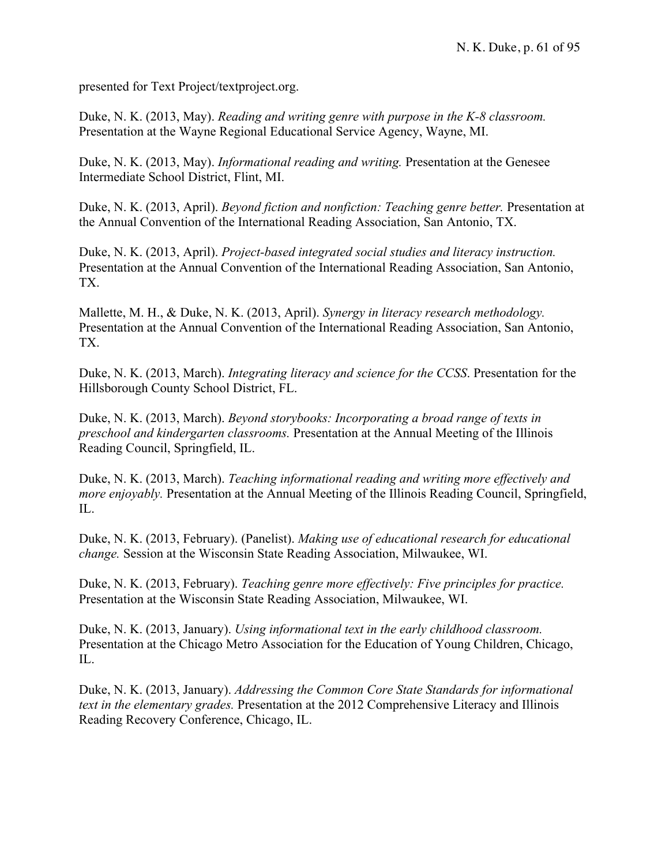presented for Text Project/textproject.org.

Duke, N. K. (2013, May). *Reading and writing genre with purpose in the K-8 classroom.* Presentation at the Wayne Regional Educational Service Agency, Wayne, MI.

Duke, N. K. (2013, May). *Informational reading and writing.* Presentation at the Genesee Intermediate School District, Flint, MI.

Duke, N. K. (2013, April). *Beyond fiction and nonfiction: Teaching genre better.* Presentation at the Annual Convention of the International Reading Association, San Antonio, TX.

Duke, N. K. (2013, April). *Project-based integrated social studies and literacy instruction.*  Presentation at the Annual Convention of the International Reading Association, San Antonio, TX.

Mallette, M. H., & Duke, N. K. (2013, April). *Synergy in literacy research methodology.* Presentation at the Annual Convention of the International Reading Association, San Antonio, TX.

Duke, N. K. (2013, March). *Integrating literacy and science for the CCSS*. Presentation for the Hillsborough County School District, FL.

Duke, N. K. (2013, March). *Beyond storybooks: Incorporating a broad range of texts in preschool and kindergarten classrooms.* Presentation at the Annual Meeting of the Illinois Reading Council, Springfield, IL.

Duke, N. K. (2013, March). *Teaching informational reading and writing more effectively and more enjoyably.* Presentation at the Annual Meeting of the Illinois Reading Council, Springfield, IL.

Duke, N. K. (2013, February). (Panelist). *Making use of educational research for educational change.* Session at the Wisconsin State Reading Association, Milwaukee, WI.

Duke, N. K. (2013, February). *Teaching genre more effectively: Five principles for practice.* Presentation at the Wisconsin State Reading Association, Milwaukee, WI.

Duke, N. K. (2013, January). *Using informational text in the early childhood classroom.* Presentation at the Chicago Metro Association for the Education of Young Children, Chicago, IL.

Duke, N. K. (2013, January). *Addressing the Common Core State Standards for informational text in the elementary grades.* Presentation at the 2012 Comprehensive Literacy and Illinois Reading Recovery Conference, Chicago, IL.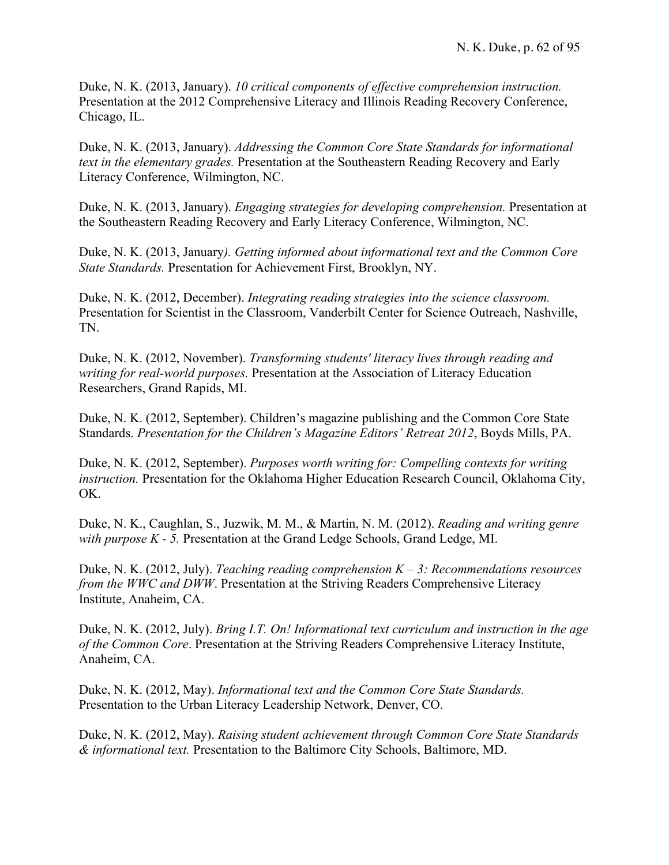Duke, N. K. (2013, January). *10 critical components of effective comprehension instruction.* Presentation at the 2012 Comprehensive Literacy and Illinois Reading Recovery Conference, Chicago, IL.

Duke, N. K. (2013, January). *Addressing the Common Core State Standards for informational text in the elementary grades.* Presentation at the Southeastern Reading Recovery and Early Literacy Conference, Wilmington, NC.

Duke, N. K. (2013, January). *Engaging strategies for developing comprehension.* Presentation at the Southeastern Reading Recovery and Early Literacy Conference, Wilmington, NC.

Duke, N. K. (2013, January*). Getting informed about informational text and the Common Core State Standards.* Presentation for Achievement First, Brooklyn, NY.

Duke, N. K. (2012, December). *Integrating reading strategies into the science classroom.* Presentation for Scientist in the Classroom, Vanderbilt Center for Science Outreach, Nashville, TN.

Duke, N. K. (2012, November). *Transforming students' literacy lives through reading and writing for real-world purposes.* Presentation at the Association of Literacy Education Researchers, Grand Rapids, MI.

Duke, N. K. (2012, September). Children's magazine publishing and the Common Core State Standards. *Presentation for the Children's Magazine Editors' Retreat 2012*, Boyds Mills, PA.

Duke, N. K. (2012, September). *Purposes worth writing for: Compelling contexts for writing instruction.* Presentation for the Oklahoma Higher Education Research Council, Oklahoma City, OK.

Duke, N. K., Caughlan, S., Juzwik, M. M., & Martin, N. M. (2012). *Reading and writing genre with purpose K - 5.* Presentation at the Grand Ledge Schools, Grand Ledge, MI.

Duke, N. K. (2012, July). *Teaching reading comprehension K – 3: Recommendations resources from the WWC and DWW*. Presentation at the Striving Readers Comprehensive Literacy Institute, Anaheim, CA.

Duke, N. K. (2012, July). *Bring I.T. On! Informational text curriculum and instruction in the age of the Common Core*. Presentation at the Striving Readers Comprehensive Literacy Institute, Anaheim, CA.

Duke, N. K. (2012, May). *Informational text and the Common Core State Standards.* Presentation to the Urban Literacy Leadership Network, Denver, CO.

Duke, N. K. (2012, May). *Raising student achievement through Common Core State Standards & informational text.* Presentation to the Baltimore City Schools, Baltimore, MD.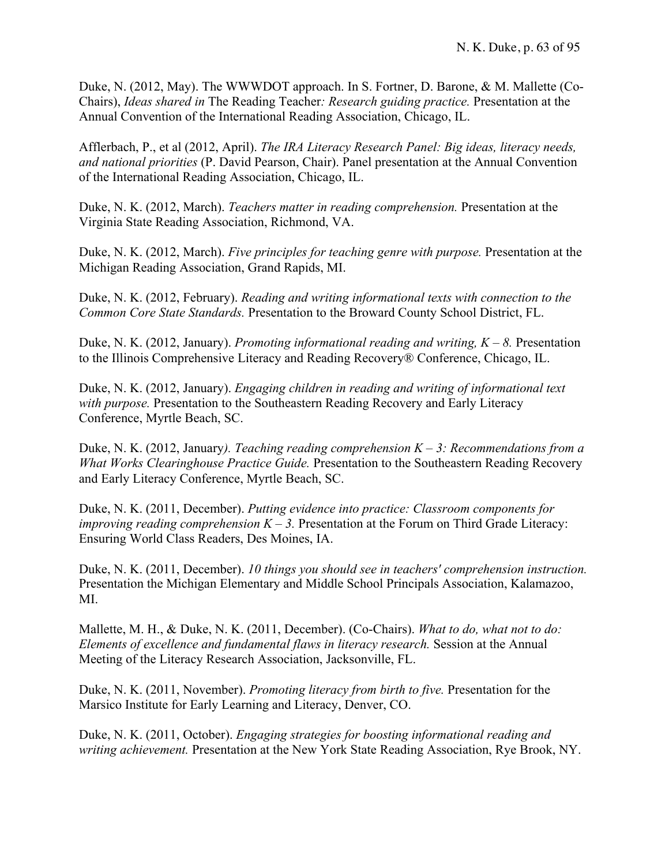Duke, N. (2012, May). The WWWDOT approach. In S. Fortner, D. Barone, & M. Mallette (Co-Chairs), *Ideas shared in* The Reading Teacher*: Research guiding practice.* Presentation at the Annual Convention of the International Reading Association, Chicago, IL.

Afflerbach, P., et al (2012, April). *The IRA Literacy Research Panel: Big ideas, literacy needs, and national priorities* (P. David Pearson, Chair). Panel presentation at the Annual Convention of the International Reading Association, Chicago, IL.

Duke, N. K. (2012, March). *Teachers matter in reading comprehension.* Presentation at the Virginia State Reading Association, Richmond, VA.

Duke, N. K. (2012, March). *Five principles for teaching genre with purpose.* Presentation at the Michigan Reading Association, Grand Rapids, MI.

Duke, N. K. (2012, February). *Reading and writing informational texts with connection to the Common Core State Standards.* Presentation to the Broward County School District, FL.

Duke, N. K. (2012, January). *Promoting informational reading and writing, K – 8.* Presentation to the Illinois Comprehensive Literacy and Reading Recovery® Conference, Chicago, IL.

Duke, N. K. (2012, January). *Engaging children in reading and writing of informational text with purpose.* Presentation to the Southeastern Reading Recovery and Early Literacy Conference, Myrtle Beach, SC.

Duke, N. K. (2012, January*). Teaching reading comprehension K – 3: Recommendations from a What Works Clearinghouse Practice Guide.* Presentation to the Southeastern Reading Recovery and Early Literacy Conference, Myrtle Beach, SC.

Duke, N. K. (2011, December). *Putting evidence into practice: Classroom components for improving reading comprehension K – 3.* Presentation at the Forum on Third Grade Literacy: Ensuring World Class Readers, Des Moines, IA.

Duke, N. K. (2011, December). *10 things you should see in teachers' comprehension instruction.* Presentation the Michigan Elementary and Middle School Principals Association, Kalamazoo, MI.

Mallette, M. H., & Duke, N. K. (2011, December). (Co-Chairs). *What to do, what not to do: Elements of excellence and fundamental flaws in literacy research.* Session at the Annual Meeting of the Literacy Research Association, Jacksonville, FL.

Duke, N. K. (2011, November). *Promoting literacy from birth to five.* Presentation for the Marsico Institute for Early Learning and Literacy, Denver, CO.

Duke, N. K. (2011, October). *Engaging strategies for boosting informational reading and writing achievement.* Presentation at the New York State Reading Association, Rye Brook, NY.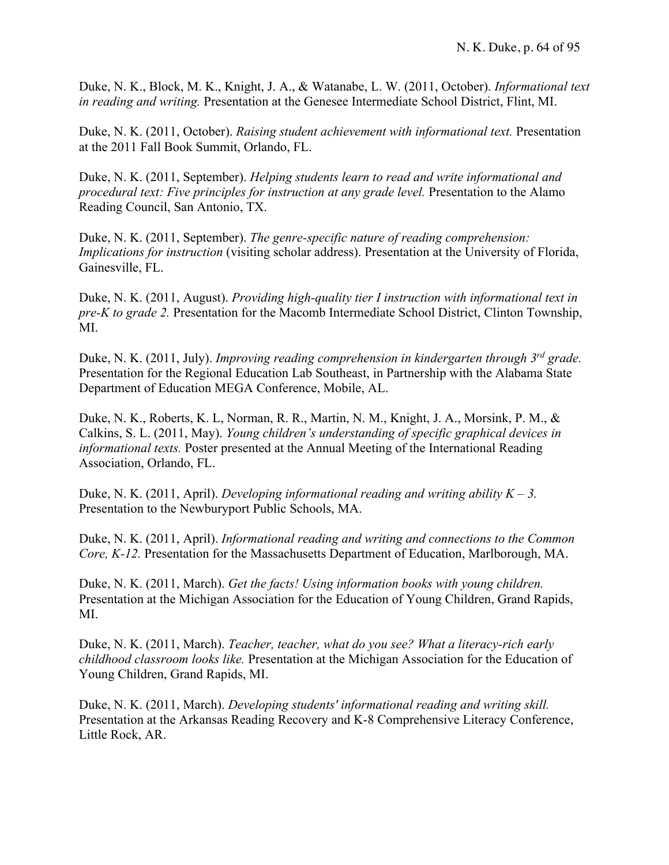Duke, N. K., Block, M. K., Knight, J. A., & Watanabe, L. W. (2011, October). *Informational text in reading and writing.* Presentation at the Genesee Intermediate School District, Flint, MI.

Duke, N. K. (2011, October). *Raising student achievement with informational text.* Presentation at the 2011 Fall Book Summit, Orlando, FL.

Duke, N. K. (2011, September). *Helping students learn to read and write informational and procedural text: Five principles for instruction at any grade level.* Presentation to the Alamo Reading Council, San Antonio, TX.

Duke, N. K. (2011, September). *The genre-specific nature of reading comprehension: Implications for instruction* (visiting scholar address). Presentation at the University of Florida, Gainesville, FL.

Duke, N. K. (2011, August). *Providing high-quality tier I instruction with informational text in pre-K to grade 2.* Presentation for the Macomb Intermediate School District, Clinton Township, MI.

Duke, N. K. (2011, July). *Improving reading comprehension in kindergarten through 3rd grade.* Presentation for the Regional Education Lab Southeast, in Partnership with the Alabama State Department of Education MEGA Conference, Mobile, AL.

Duke, N. K., Roberts, K. L, Norman, R. R., Martin, N. M., Knight, J. A., Morsink, P. M., & Calkins, S. L. (2011, May). *Young children's understanding of specific graphical devices in informational texts.* Poster presented at the Annual Meeting of the International Reading Association, Orlando, FL.

Duke, N. K. (2011, April). *Developing informational reading and writing ability K – 3.* Presentation to the Newburyport Public Schools, MA.

Duke, N. K. (2011, April). *Informational reading and writing and connections to the Common Core, K-12.* Presentation for the Massachusetts Department of Education, Marlborough, MA.

Duke, N. K. (2011, March). *Get the facts! Using information books with young children.* Presentation at the Michigan Association for the Education of Young Children, Grand Rapids, MI.

Duke, N. K. (2011, March). *Teacher, teacher, what do you see? What a literacy-rich early childhood classroom looks like.* Presentation at the Michigan Association for the Education of Young Children, Grand Rapids, MI.

Duke, N. K. (2011, March). *Developing students' informational reading and writing skill.*  Presentation at the Arkansas Reading Recovery and K-8 Comprehensive Literacy Conference, Little Rock, AR.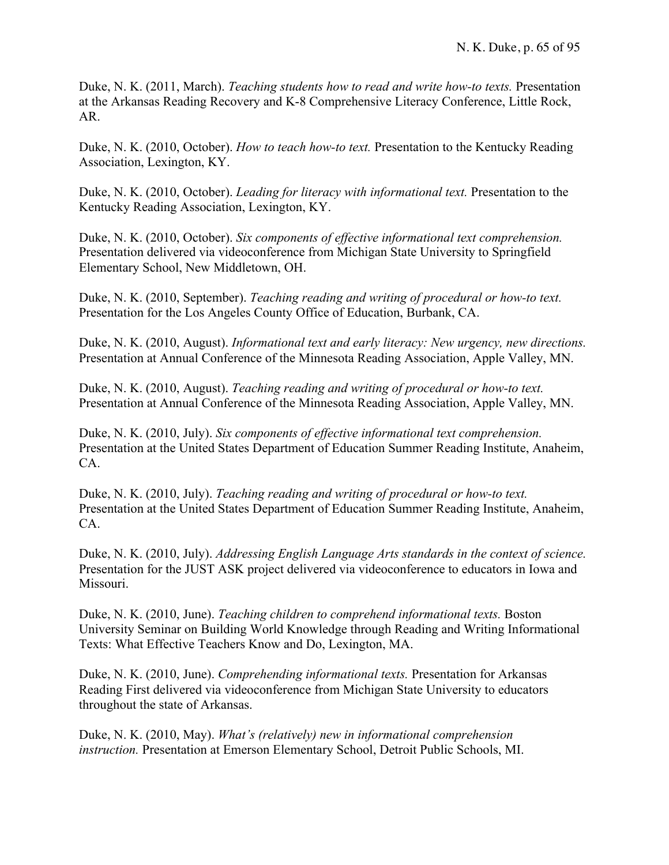Duke, N. K. (2011, March). *Teaching students how to read and write how-to texts.* Presentation at the Arkansas Reading Recovery and K-8 Comprehensive Literacy Conference, Little Rock, AR.

Duke, N. K. (2010, October). *How to teach how-to text.* Presentation to the Kentucky Reading Association, Lexington, KY.

Duke, N. K. (2010, October). *Leading for literacy with informational text.* Presentation to the Kentucky Reading Association, Lexington, KY.

Duke, N. K. (2010, October). *Six components of effective informational text comprehension.* Presentation delivered via videoconference from Michigan State University to Springfield Elementary School, New Middletown, OH.

Duke, N. K. (2010, September). *Teaching reading and writing of procedural or how-to text.* Presentation for the Los Angeles County Office of Education, Burbank, CA.

Duke, N. K. (2010, August). *Informational text and early literacy: New urgency, new directions.* Presentation at Annual Conference of the Minnesota Reading Association, Apple Valley, MN.

Duke, N. K. (2010, August). *Teaching reading and writing of procedural or how-to text.* Presentation at Annual Conference of the Minnesota Reading Association, Apple Valley, MN.

Duke, N. K. (2010, July). *Six components of effective informational text comprehension.* Presentation at the United States Department of Education Summer Reading Institute, Anaheim, CA.

Duke, N. K. (2010, July). *Teaching reading and writing of procedural or how-to text.* Presentation at the United States Department of Education Summer Reading Institute, Anaheim, CA.

Duke, N. K. (2010, July). *Addressing English Language Arts standards in the context of science.* Presentation for the JUST ASK project delivered via videoconference to educators in Iowa and Missouri.

Duke, N. K. (2010, June). *Teaching children to comprehend informational texts.* Boston University Seminar on Building World Knowledge through Reading and Writing Informational Texts: What Effective Teachers Know and Do, Lexington, MA.

Duke, N. K. (2010, June). *Comprehending informational texts.* Presentation for Arkansas Reading First delivered via videoconference from Michigan State University to educators throughout the state of Arkansas.

Duke, N. K. (2010, May). *What's (relatively) new in informational comprehension instruction.* Presentation at Emerson Elementary School, Detroit Public Schools, MI.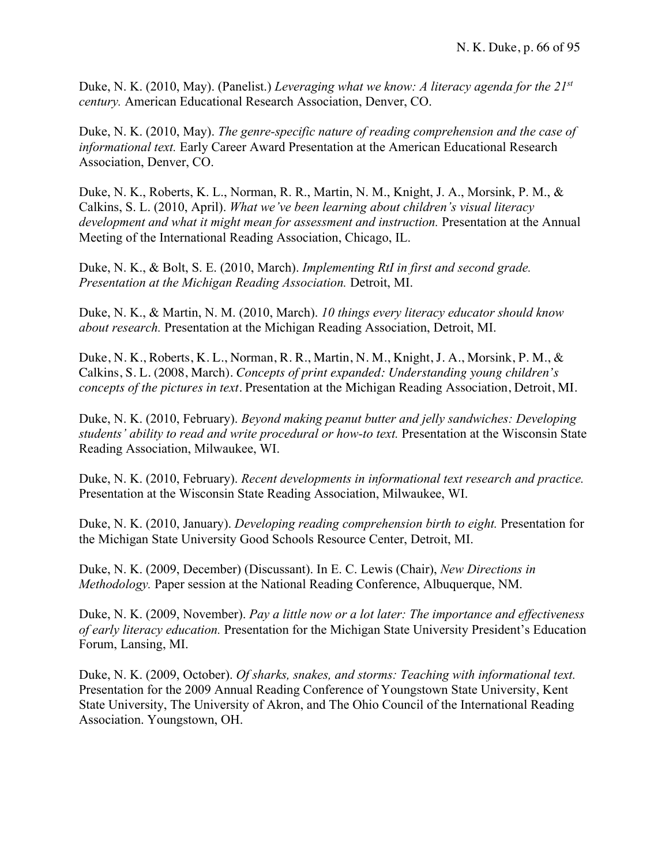Duke, N. K. (2010, May). (Panelist.) *Leveraging what we know: A literacy agenda for the 21st century.* American Educational Research Association, Denver, CO.

Duke, N. K. (2010, May). *The genre-specific nature of reading comprehension and the case of informational text.* Early Career Award Presentation at the American Educational Research Association, Denver, CO.

Duke, N. K., Roberts, K. L., Norman, R. R., Martin, N. M., Knight, J. A., Morsink, P. M., & Calkins, S. L. (2010, April). *What we've been learning about children's visual literacy development and what it might mean for assessment and instruction.* Presentation at the Annual Meeting of the International Reading Association, Chicago, IL.

Duke, N. K., & Bolt, S. E. (2010, March). *Implementing RtI in first and second grade. Presentation at the Michigan Reading Association.* Detroit, MI.

Duke, N. K., & Martin, N. M. (2010, March). *10 things every literacy educator should know about research.* Presentation at the Michigan Reading Association, Detroit, MI.

Duke, N. K., Roberts, K. L., Norman, R. R., Martin, N. M., Knight, J. A., Morsink, P. M., & Calkins, S. L. (2008, March). *Concepts of print expanded: Understanding young children's concepts of the pictures in text.* Presentation at the Michigan Reading Association, Detroit, MI.

Duke, N. K. (2010, February). *Beyond making peanut butter and jelly sandwiches: Developing students' ability to read and write procedural or how-to text.* Presentation at the Wisconsin State Reading Association, Milwaukee, WI.

Duke, N. K. (2010, February). *Recent developments in informational text research and practice.* Presentation at the Wisconsin State Reading Association, Milwaukee, WI.

Duke, N. K. (2010, January). *Developing reading comprehension birth to eight.* Presentation for the Michigan State University Good Schools Resource Center, Detroit, MI.

Duke, N. K. (2009, December) (Discussant). In E. C. Lewis (Chair), *New Directions in Methodology.* Paper session at the National Reading Conference, Albuquerque, NM.

Duke, N. K. (2009, November). *Pay a little now or a lot later: The importance and effectiveness of early literacy education.* Presentation for the Michigan State University President's Education Forum, Lansing, MI.

Duke, N. K. (2009, October). *Of sharks, snakes, and storms: Teaching with informational text.* Presentation for the 2009 Annual Reading Conference of Youngstown State University, Kent State University, The University of Akron, and The Ohio Council of the International Reading Association. Youngstown, OH.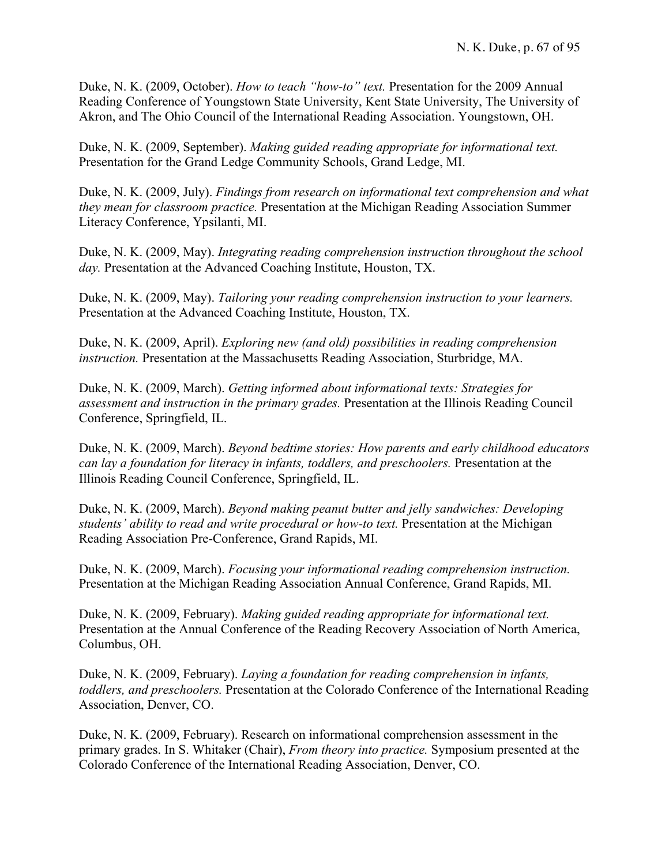Duke, N. K. (2009, October). *How to teach "how-to" text.* Presentation for the 2009 Annual Reading Conference of Youngstown State University, Kent State University, The University of Akron, and The Ohio Council of the International Reading Association. Youngstown, OH.

Duke, N. K. (2009, September). *Making guided reading appropriate for informational text.*  Presentation for the Grand Ledge Community Schools, Grand Ledge, MI.

Duke, N. K. (2009, July). *Findings from research on informational text comprehension and what they mean for classroom practice.* Presentation at the Michigan Reading Association Summer Literacy Conference, Ypsilanti, MI.

Duke, N. K. (2009, May). *Integrating reading comprehension instruction throughout the school day.* Presentation at the Advanced Coaching Institute, Houston, TX.

Duke, N. K. (2009, May). *Tailoring your reading comprehension instruction to your learners.* Presentation at the Advanced Coaching Institute, Houston, TX.

Duke, N. K. (2009, April). *Exploring new (and old) possibilities in reading comprehension instruction.* Presentation at the Massachusetts Reading Association, Sturbridge, MA.

Duke, N. K. (2009, March). *Getting informed about informational texts: Strategies for assessment and instruction in the primary grades.* Presentation at the Illinois Reading Council Conference, Springfield, IL.

Duke, N. K. (2009, March). *Beyond bedtime stories: How parents and early childhood educators can lay a foundation for literacy in infants, toddlers, and preschoolers.* Presentation at the Illinois Reading Council Conference, Springfield, IL.

Duke, N. K. (2009, March). *Beyond making peanut butter and jelly sandwiches: Developing students' ability to read and write procedural or how-to text.* Presentation at the Michigan Reading Association Pre-Conference, Grand Rapids, MI.

Duke, N. K. (2009, March). *Focusing your informational reading comprehension instruction.*  Presentation at the Michigan Reading Association Annual Conference, Grand Rapids, MI.

Duke, N. K. (2009, February). *Making guided reading appropriate for informational text.*  Presentation at the Annual Conference of the Reading Recovery Association of North America, Columbus, OH.

Duke, N. K. (2009, February). *Laying a foundation for reading comprehension in infants, toddlers, and preschoolers.* Presentation at the Colorado Conference of the International Reading Association, Denver, CO.

Duke, N. K. (2009, February). Research on informational comprehension assessment in the primary grades. In S. Whitaker (Chair), *From theory into practice.* Symposium presented at the Colorado Conference of the International Reading Association, Denver, CO.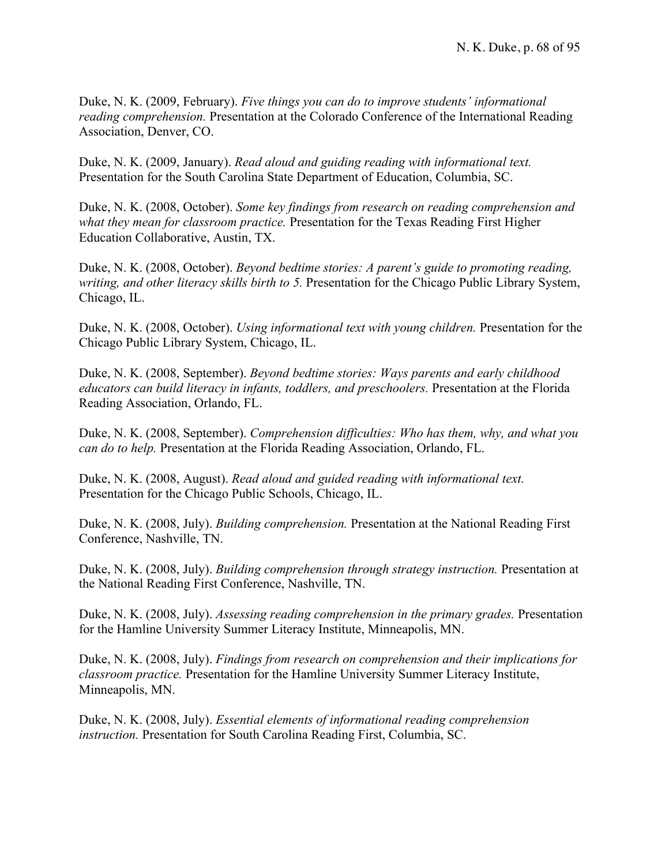Duke, N. K. (2009, February). *Five things you can do to improve students' informational reading comprehension.* Presentation at the Colorado Conference of the International Reading Association, Denver, CO.

Duke, N. K. (2009, January). *Read aloud and guiding reading with informational text.* Presentation for the South Carolina State Department of Education, Columbia, SC.

Duke, N. K. (2008, October). *Some key findings from research on reading comprehension and what they mean for classroom practice.* Presentation for the Texas Reading First Higher Education Collaborative, Austin, TX.

Duke, N. K. (2008, October). *Beyond bedtime stories: A parent's guide to promoting reading, writing, and other literacy skills birth to 5.* Presentation for the Chicago Public Library System, Chicago, IL.

Duke, N. K. (2008, October). *Using informational text with young children.* Presentation for the Chicago Public Library System, Chicago, IL.

Duke, N. K. (2008, September). *Beyond bedtime stories: Ways parents and early childhood educators can build literacy in infants, toddlers, and preschoolers.* Presentation at the Florida Reading Association, Orlando, FL.

Duke, N. K. (2008, September). *Comprehension difficulties: Who has them, why, and what you can do to help.* Presentation at the Florida Reading Association, Orlando, FL.

Duke, N. K. (2008, August). *Read aloud and guided reading with informational text.* Presentation for the Chicago Public Schools, Chicago, IL.

Duke, N. K. (2008, July). *Building comprehension.* Presentation at the National Reading First Conference, Nashville, TN.

Duke, N. K. (2008, July). *Building comprehension through strategy instruction.* Presentation at the National Reading First Conference, Nashville, TN.

Duke, N. K. (2008, July). *Assessing reading comprehension in the primary grades.* Presentation for the Hamline University Summer Literacy Institute, Minneapolis, MN.

Duke, N. K. (2008, July). *Findings from research on comprehension and their implications for classroom practice.* Presentation for the Hamline University Summer Literacy Institute, Minneapolis, MN.

Duke, N. K. (2008, July). *Essential elements of informational reading comprehension instruction.* Presentation for South Carolina Reading First, Columbia, SC.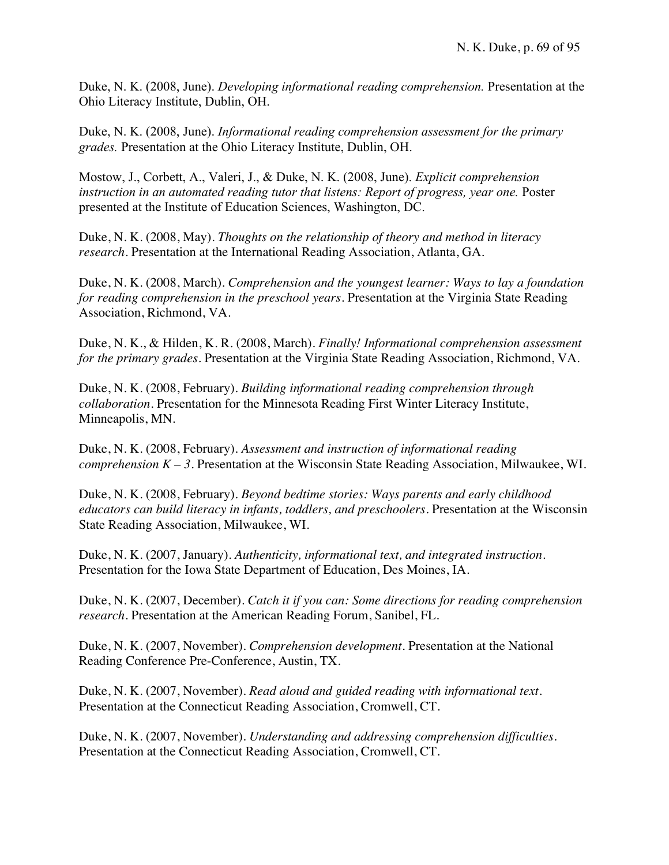Duke, N. K. (2008, June). *Developing informational reading comprehension.* Presentation at the Ohio Literacy Institute, Dublin, OH.

Duke, N. K. (2008, June). *Informational reading comprehension assessment for the primary grades.* Presentation at the Ohio Literacy Institute, Dublin, OH.

Mostow, J., Corbett, A., Valeri, J., & Duke, N. K. (2008, June). *Explicit comprehension instruction in an automated reading tutor that listens: Report of progress, year one.* Poster presented at the Institute of Education Sciences, Washington, DC.

Duke, N. K. (2008, May). *Thoughts on the relationship of theory and method in literacy research.* Presentation at the International Reading Association, Atlanta, GA.

Duke, N. K. (2008, March). *Comprehension and the youngest learner: Ways to lay a foundation for reading comprehension in the preschool years.* Presentation at the Virginia State Reading Association, Richmond, VA.

Duke, N. K., & Hilden, K. R. (2008, March). *Finally! Informational comprehension assessment for the primary grades.* Presentation at the Virginia State Reading Association, Richmond, VA.

Duke, N. K. (2008, February). *Building informational reading comprehension through collaboration.* Presentation for the Minnesota Reading First Winter Literacy Institute, Minneapolis, MN.

Duke, N. K. (2008, February). *Assessment and instruction of informational reading comprehension K – 3*. Presentation at the Wisconsin State Reading Association, Milwaukee, WI.

Duke, N. K. (2008, February). *Beyond bedtime stories: Ways parents and early childhood educators can build literacy in infants, toddlers, and preschoolers*. Presentation at the Wisconsin State Reading Association, Milwaukee, WI.

Duke, N. K. (2007, January). *Authenticity, informational text, and integrated instruction.* Presentation for the Iowa State Department of Education, Des Moines, IA.

Duke, N. K. (2007, December). *Catch it if you can: Some directions for reading comprehension research.* Presentation at the American Reading Forum, Sanibel, FL.

Duke, N. K. (2007, November). *Comprehension development.* Presentation at the National Reading Conference Pre-Conference, Austin, TX.

Duke, N. K. (2007, November). *Read aloud and guided reading with informational text.* Presentation at the Connecticut Reading Association, Cromwell, CT.

Duke, N. K. (2007, November). *Understanding and addressing comprehension difficulties.* Presentation at the Connecticut Reading Association, Cromwell, CT.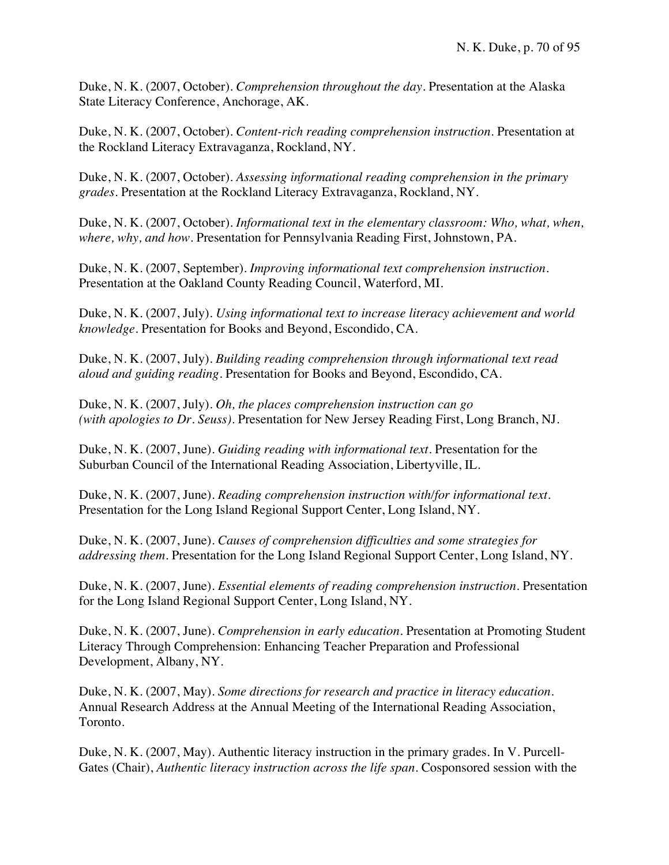Duke, N. K. (2007, October). *Comprehension throughout the day.* Presentation at the Alaska State Literacy Conference, Anchorage, AK.

Duke, N. K. (2007, October). *Content-rich reading comprehension instruction.* Presentation at the Rockland Literacy Extravaganza, Rockland, NY.

Duke, N. K. (2007, October). *Assessing informational reading comprehension in the primary grades.* Presentation at the Rockland Literacy Extravaganza, Rockland, NY.

Duke, N. K. (2007, October). *Informational text in the elementary classroom: Who, what, when, where, why, and how.* Presentation for Pennsylvania Reading First, Johnstown, PA.

Duke, N. K. (2007, September). *Improving informational text comprehension instruction.* Presentation at the Oakland County Reading Council, Waterford, MI.

Duke, N. K. (2007, July). *Using informational text to increase literacy achievement and world knowledge.* Presentation for Books and Beyond, Escondido, CA.

Duke, N. K. (2007, July). *Building reading comprehension through informational text read aloud and guiding reading.* Presentation for Books and Beyond, Escondido, CA.

Duke, N. K. (2007, July). *Oh, the places comprehension instruction can go (with apologies to Dr. Seuss)*. Presentation for New Jersey Reading First, Long Branch, NJ.

Duke, N. K. (2007, June). *Guiding reading with informational text.* Presentation for the Suburban Council of the International Reading Association, Libertyville, IL.

Duke, N. K. (2007, June). *Reading comprehension instruction with/for informational text.* Presentation for the Long Island Regional Support Center, Long Island, NY.

Duke, N. K. (2007, June). *Causes of comprehension difficulties and some strategies for addressing them.* Presentation for the Long Island Regional Support Center, Long Island, NY.

Duke, N. K. (2007, June). *Essential elements of reading comprehension instruction.* Presentation for the Long Island Regional Support Center, Long Island, NY.

Duke, N. K. (2007, June). *Comprehension in early education.* Presentation at Promoting Student Literacy Through Comprehension: Enhancing Teacher Preparation and Professional Development, Albany, NY.

Duke, N. K. (2007, May). *Some directions for research and practice in literacy education.* Annual Research Address at the Annual Meeting of the International Reading Association, Toronto.

Duke, N. K. (2007, May). Authentic literacy instruction in the primary grades*.* In V. Purcell-Gates (Chair), *Authentic literacy instruction across the life span*. Cosponsored session with the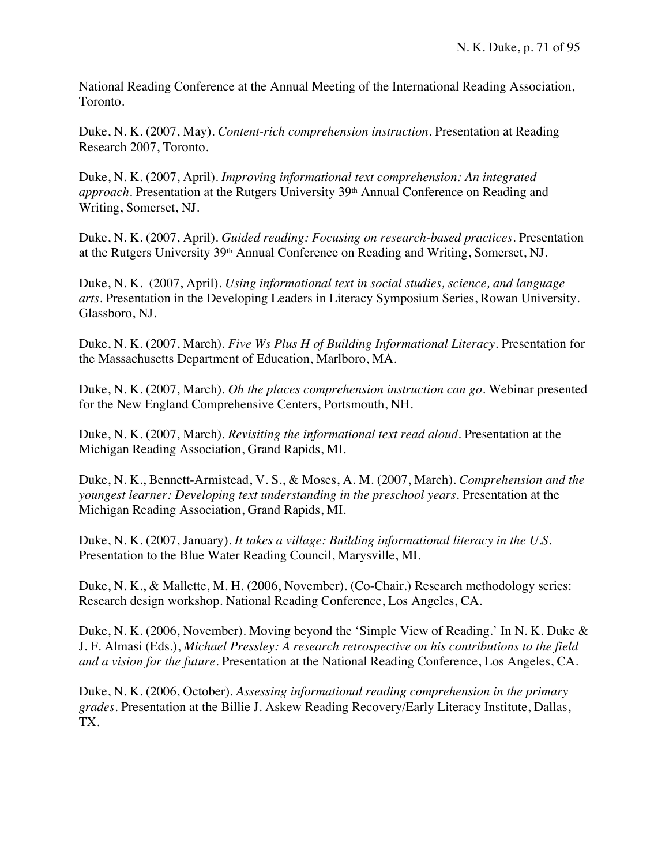National Reading Conference at the Annual Meeting of the International Reading Association, Toronto.

Duke, N. K. (2007, May). *Content-rich comprehension instruction.* Presentation at Reading Research 2007, Toronto.

Duke, N. K. (2007, April). *Improving informational text comprehension: An integrated approach*. Presentation at the Rutgers University 39<sup>th</sup> Annual Conference on Reading and Writing, Somerset, NJ.

Duke, N. K. (2007, April). *Guided reading: Focusing on research-based practices.* Presentation at the Rutgers University 39th Annual Conference on Reading and Writing, Somerset, NJ.

Duke, N. K. (2007, April). *Using informational text in social studies, science, and language arts.* Presentation in the Developing Leaders in Literacy Symposium Series, Rowan University. Glassboro, NJ.

Duke, N. K. (2007, March). *Five Ws Plus H of Building Informational Literacy.* Presentation for the Massachusetts Department of Education, Marlboro, MA.

Duke, N. K. (2007, March). *Oh the places comprehension instruction can go.* Webinar presented for the New England Comprehensive Centers, Portsmouth, NH.

Duke, N. K. (2007, March). *Revisiting the informational text read aloud.* Presentation at the Michigan Reading Association, Grand Rapids, MI.

Duke, N. K., Bennett-Armistead, V. S., & Moses, A. M. (2007, March). *Comprehension and the youngest learner: Developing text understanding in the preschool years.* Presentation at the Michigan Reading Association, Grand Rapids, MI.

Duke, N. K. (2007, January). *It takes a village: Building informational literacy in the U.S.* Presentation to the Blue Water Reading Council, Marysville, MI.

Duke, N. K., & Mallette, M. H. (2006, November). (Co-Chair.) Research methodology series: Research design workshop. National Reading Conference, Los Angeles, CA.

Duke, N. K. (2006, November). Moving beyond the 'Simple View of Reading.' In N. K. Duke & J. F. Almasi (Eds.), *Michael Pressley: A research retrospective on his contributions to the field and a vision for the future.* Presentation at the National Reading Conference, Los Angeles, CA.

Duke, N. K. (2006, October). *Assessing informational reading comprehension in the primary grades.* Presentation at the Billie J. Askew Reading Recovery/Early Literacy Institute, Dallas, TX.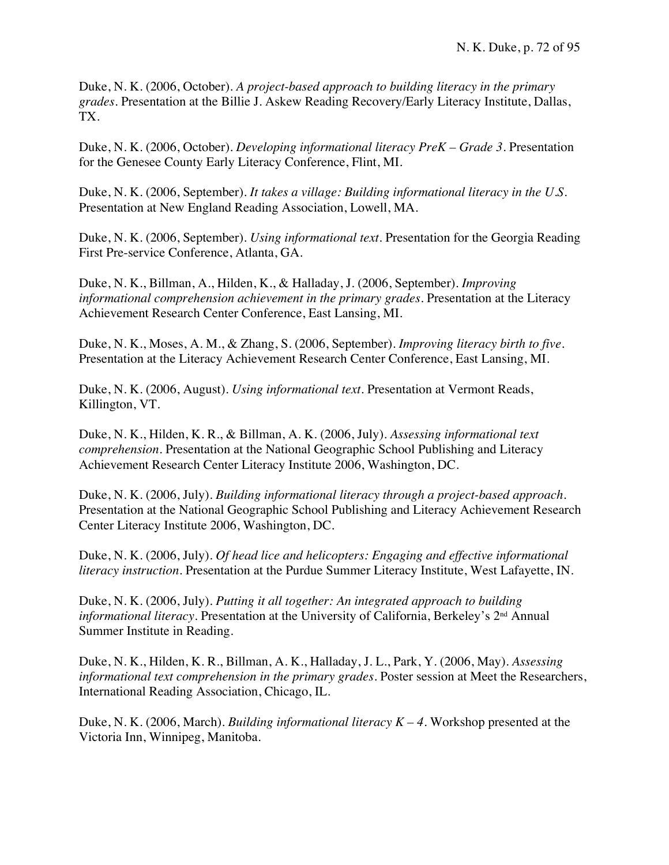Duke, N. K. (2006, October). *A project-based approach to building literacy in the primary grades.* Presentation at the Billie J. Askew Reading Recovery/Early Literacy Institute, Dallas, TX.

Duke, N. K. (2006, October). *Developing informational literacy PreK – Grade 3.* Presentation for the Genesee County Early Literacy Conference, Flint, MI.

Duke, N. K. (2006, September). *It takes a village: Building informational literacy in the U.S.* Presentation at New England Reading Association, Lowell, MA.

Duke, N. K. (2006, September). *Using informational text.* Presentation for the Georgia Reading First Pre-service Conference, Atlanta, GA.

Duke, N. K., Billman, A., Hilden, K., & Halladay, J. (2006, September). *Improving informational comprehension achievement in the primary grades.* Presentation at the Literacy Achievement Research Center Conference, East Lansing, MI.

Duke, N. K., Moses, A. M., & Zhang, S. (2006, September). *Improving literacy birth to five.* Presentation at the Literacy Achievement Research Center Conference, East Lansing, MI.

Duke, N. K. (2006, August). *Using informational text.* Presentation at Vermont Reads, Killington, VT.

Duke, N. K., Hilden, K. R., & Billman, A. K. (2006, July). *Assessing informational text comprehension.* Presentation at the National Geographic School Publishing and Literacy Achievement Research Center Literacy Institute 2006, Washington, DC.

Duke, N. K. (2006, July). *Building informational literacy through a project-based approach.* Presentation at the National Geographic School Publishing and Literacy Achievement Research Center Literacy Institute 2006, Washington, DC.

Duke, N. K. (2006, July). *Of head lice and helicopters: Engaging and effective informational literacy instruction.* Presentation at the Purdue Summer Literacy Institute, West Lafayette, IN.

Duke, N. K. (2006, July). *Putting it all together: An integrated approach to building informational literacy.* Presentation at the University of California, Berkeley's 2<sup>nd</sup> Annual Summer Institute in Reading.

Duke, N. K., Hilden, K. R., Billman, A. K., Halladay, J. L., Park, Y. (2006, May). *Assessing informational text comprehension in the primary grades.* Poster session at Meet the Researchers, International Reading Association, Chicago, IL.

Duke, N. K. (2006, March). *Building informational literacy K – 4.* Workshop presented at the Victoria Inn, Winnipeg, Manitoba.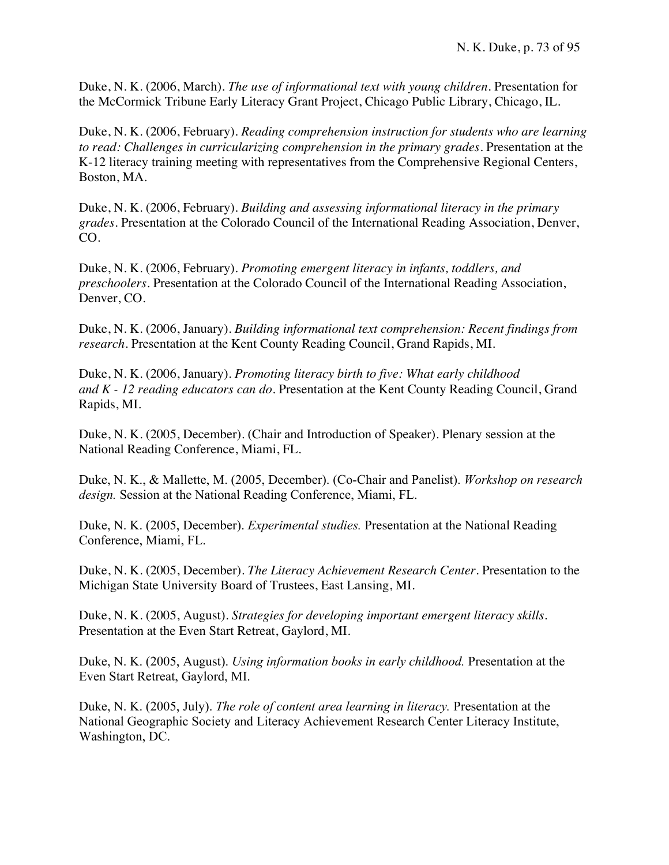Duke, N. K. (2006, March). *The use of informational text with young children.* Presentation for the McCormick Tribune Early Literacy Grant Project, Chicago Public Library, Chicago, IL.

Duke, N. K. (2006, February). *Reading comprehension instruction for students who are learning to read: Challenges in curricularizing comprehension in the primary grades.* Presentation at the K-12 literacy training meeting with representatives from the Comprehensive Regional Centers, Boston, MA.

Duke, N. K. (2006, February). *Building and assessing informational literacy in the primary grades.* Presentation at the Colorado Council of the International Reading Association, Denver, CO.

Duke, N. K. (2006, February). *Promoting emergent literacy in infants, toddlers, and preschoolers.* Presentation at the Colorado Council of the International Reading Association, Denver, CO.

Duke, N. K. (2006, January). *Building informational text comprehension: Recent findings from research.* Presentation at the Kent County Reading Council, Grand Rapids, MI.

Duke, N. K. (2006, January). *Promoting literacy birth to five: What early childhood and K - 12 reading educators can do.* Presentation at the Kent County Reading Council, Grand Rapids, MI.

Duke, N. K. (2005, December). (Chair and Introduction of Speaker). Plenary session at the National Reading Conference, Miami, FL.

Duke, N. K., & Mallette, M. (2005, December). (Co-Chair and Panelist). *Workshop on research design.* Session at the National Reading Conference, Miami, FL.

Duke, N. K. (2005, December). *Experimental studies.* Presentation at the National Reading Conference, Miami, FL.

Duke, N. K. (2005, December). *The Literacy Achievement Research Center.* Presentation to the Michigan State University Board of Trustees, East Lansing, MI.

Duke, N. K. (2005, August). *Strategies for developing important emergent literacy skills.* Presentation at the Even Start Retreat, Gaylord, MI.

Duke, N. K. (2005, August). *Using information books in early childhood.* Presentation at the Even Start Retreat, Gaylord, MI.

Duke, N. K. (2005, July). *The role of content area learning in literacy.* Presentation at the National Geographic Society and Literacy Achievement Research Center Literacy Institute, Washington, DC.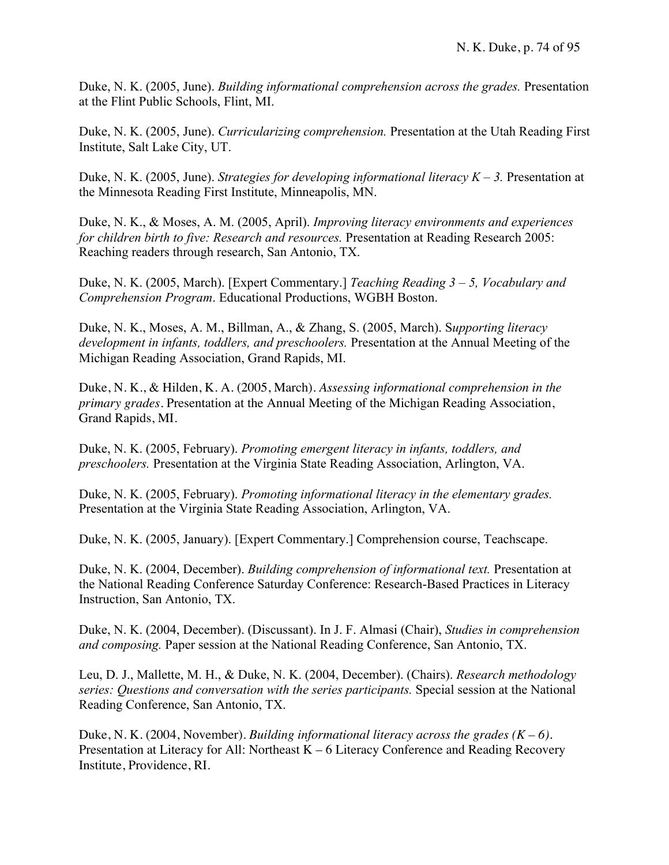Duke, N. K. (2005, June). *Building informational comprehension across the grades.* Presentation at the Flint Public Schools, Flint, MI.

Duke, N. K. (2005, June). *Curricularizing comprehension.* Presentation at the Utah Reading First Institute, Salt Lake City, UT.

Duke, N. K. (2005, June). *Strategies for developing informational literacy K – 3.* Presentation at the Minnesota Reading First Institute, Minneapolis, MN.

Duke, N. K., & Moses, A. M. (2005, April). *Improving literacy environments and experiences for children birth to five: Research and resources.* Presentation at Reading Research 2005: Reaching readers through research, San Antonio, TX.

Duke, N. K. (2005, March). [Expert Commentary.] *Teaching Reading 3 – 5, Vocabulary and Comprehension Program*. Educational Productions, WGBH Boston.

Duke, N. K., Moses, A. M., Billman, A., & Zhang, S. (2005, March). S*upporting literacy development in infants, toddlers, and preschoolers.* Presentation at the Annual Meeting of the Michigan Reading Association, Grand Rapids, MI.

Duke, N. K., & Hilden, K. A. (2005, March). *Assessing informational comprehension in the primary grades.* Presentation at the Annual Meeting of the Michigan Reading Association, Grand Rapids, MI.

Duke, N. K. (2005, February). *Promoting emergent literacy in infants, toddlers, and preschoolers.* Presentation at the Virginia State Reading Association, Arlington, VA.

Duke, N. K. (2005, February). *Promoting informational literacy in the elementary grades.* Presentation at the Virginia State Reading Association, Arlington, VA.

Duke, N. K. (2005, January). [Expert Commentary.] Comprehension course, Teachscape.

Duke, N. K. (2004, December). *Building comprehension of informational text.* Presentation at the National Reading Conference Saturday Conference: Research-Based Practices in Literacy Instruction, San Antonio, TX.

Duke, N. K. (2004, December). (Discussant). In J. F. Almasi (Chair), *Studies in comprehension and composing.* Paper session at the National Reading Conference, San Antonio, TX.

Leu, D. J., Mallette, M. H., & Duke, N. K. (2004, December). (Chairs). *Research methodology series: Questions and conversation with the series participants.* Special session at the National Reading Conference, San Antonio, TX.

Duke, N. K. (2004, November). *Building informational literacy across the grades (K – 6).* Presentation at Literacy for All: Northeast K – 6 Literacy Conference and Reading Recovery Institute, Providence, RI.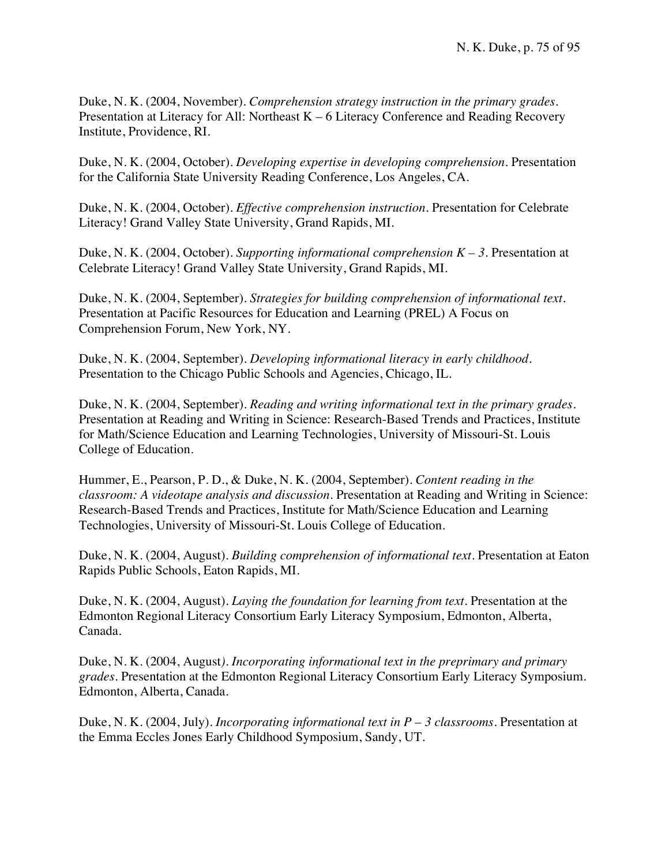Duke, N. K. (2004, November). *Comprehension strategy instruction in the primary grades.* Presentation at Literacy for All: Northeast K – 6 Literacy Conference and Reading Recovery Institute, Providence, RI.

Duke, N. K. (2004, October). *Developing expertise in developing comprehension.* Presentation for the California State University Reading Conference, Los Angeles, CA.

Duke, N. K. (2004, October). *Effective comprehension instruction.* Presentation for Celebrate Literacy! Grand Valley State University, Grand Rapids, MI.

Duke, N. K. (2004, October). *Supporting informational comprehension K – 3.* Presentation at Celebrate Literacy! Grand Valley State University, Grand Rapids, MI.

Duke, N. K. (2004, September). *Strategies for building comprehension of informational text.* Presentation at Pacific Resources for Education and Learning (PREL) A Focus on Comprehension Forum, New York, NY.

Duke, N. K. (2004, September). *Developing informational literacy in early childhood.* Presentation to the Chicago Public Schools and Agencies, Chicago, IL.

Duke, N. K. (2004, September). *Reading and writing informational text in the primary grades.* Presentation at Reading and Writing in Science: Research-Based Trends and Practices, Institute for Math/Science Education and Learning Technologies, University of Missouri-St. Louis College of Education.

Hummer, E., Pearson, P. D., & Duke, N. K. (2004, September). *Content reading in the classroom: A videotape analysis and discussion.* Presentation at Reading and Writing in Science: Research-Based Trends and Practices, Institute for Math/Science Education and Learning Technologies, University of Missouri-St. Louis College of Education.

Duke, N. K. (2004, August). *Building comprehension of informational text.* Presentation at Eaton Rapids Public Schools, Eaton Rapids, MI.

Duke, N. K. (2004, August). *Laying the foundation for learning from text.* Presentation at the Edmonton Regional Literacy Consortium Early Literacy Symposium, Edmonton, Alberta, Canada.

Duke, N. K. (2004, August*). Incorporating informational text in the preprimary and primary grades.* Presentation at the Edmonton Regional Literacy Consortium Early Literacy Symposium. Edmonton, Alberta, Canada.

Duke, N. K. (2004, July). *Incorporating informational text in P – 3 classrooms.* Presentation at the Emma Eccles Jones Early Childhood Symposium, Sandy, UT.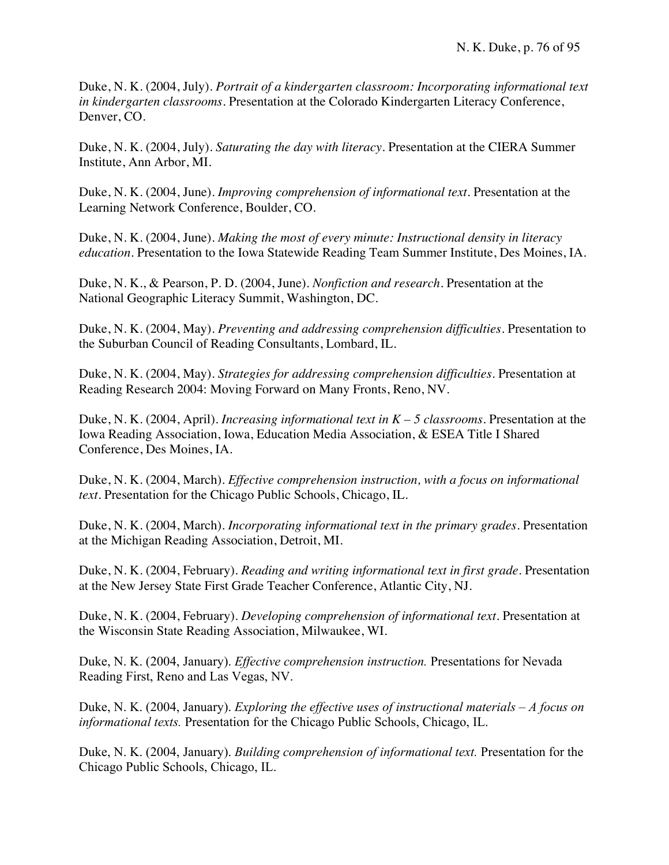Duke, N. K. (2004, July). *Portrait of a kindergarten classroom: Incorporating informational text in kindergarten classrooms.* Presentation at the Colorado Kindergarten Literacy Conference, Denver, CO.

Duke, N. K. (2004, July). *Saturating the day with literacy.* Presentation at the CIERA Summer Institute, Ann Arbor, MI.

Duke, N. K. (2004, June). *Improving comprehension of informational text.* Presentation at the Learning Network Conference, Boulder, CO.

Duke, N. K. (2004, June). *Making the most of every minute: Instructional density in literacy education.* Presentation to the Iowa Statewide Reading Team Summer Institute, Des Moines, IA.

Duke, N. K., & Pearson, P. D. (2004, June). *Nonfiction and research.* Presentation at the National Geographic Literacy Summit, Washington, DC.

Duke, N. K. (2004, May). *Preventing and addressing comprehension difficulties.* Presentation to the Suburban Council of Reading Consultants, Lombard, IL.

Duke, N. K. (2004, May). *Strategies for addressing comprehension difficulties.* Presentation at Reading Research 2004: Moving Forward on Many Fronts, Reno, NV.

Duke, N. K. (2004, April). *Increasing informational text in K – 5 classrooms.* Presentation at the Iowa Reading Association, Iowa, Education Media Association, & ESEA Title I Shared Conference, Des Moines, IA.

Duke, N. K. (2004, March). *Effective comprehension instruction, with a focus on informational text.* Presentation for the Chicago Public Schools, Chicago, IL.

Duke, N. K. (2004, March). *Incorporating informational text in the primary grades.* Presentation at the Michigan Reading Association, Detroit, MI.

Duke, N. K. (2004, February). *Reading and writing informational text in first grade.* Presentation at the New Jersey State First Grade Teacher Conference, Atlantic City, NJ.

Duke, N. K. (2004, February). *Developing comprehension of informational text.* Presentation at the Wisconsin State Reading Association, Milwaukee, WI.

Duke, N. K. (2004, January). *Effective comprehension instruction.* Presentations for Nevada Reading First, Reno and Las Vegas, NV.

Duke, N. K. (2004, January). *Exploring the effective uses of instructional materials – A focus on informational texts.* Presentation for the Chicago Public Schools, Chicago, IL.

Duke, N. K. (2004, January). *Building comprehension of informational text.* Presentation for the Chicago Public Schools, Chicago, IL.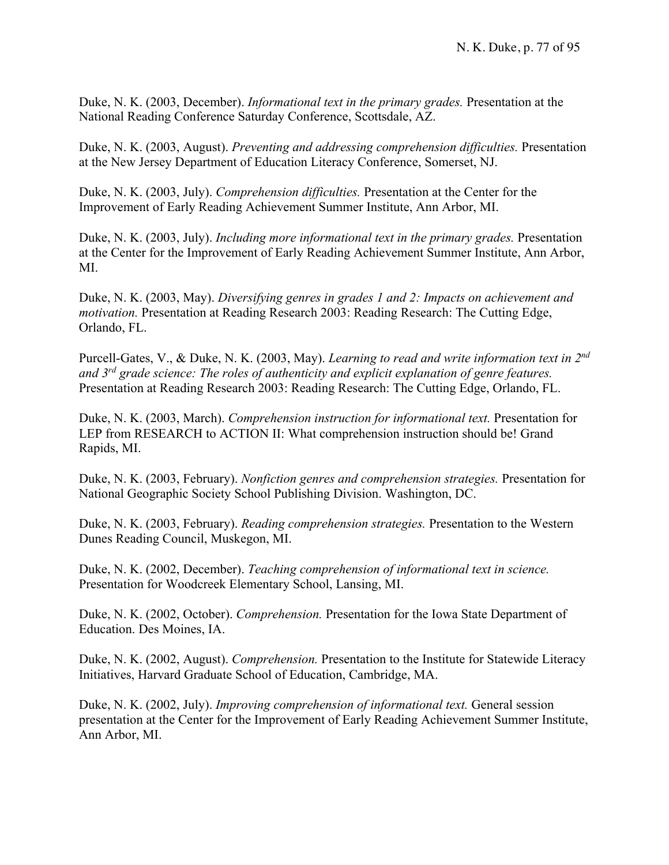Duke, N. K. (2003, December). *Informational text in the primary grades.* Presentation at the National Reading Conference Saturday Conference, Scottsdale, AZ.

Duke, N. K. (2003, August). *Preventing and addressing comprehension difficulties.* Presentation at the New Jersey Department of Education Literacy Conference, Somerset, NJ.

Duke, N. K. (2003, July). *Comprehension difficulties.* Presentation at the Center for the Improvement of Early Reading Achievement Summer Institute, Ann Arbor, MI.

Duke, N. K. (2003, July). *Including more informational text in the primary grades.* Presentation at the Center for the Improvement of Early Reading Achievement Summer Institute, Ann Arbor, MI.

Duke, N. K. (2003, May). *Diversifying genres in grades 1 and 2: Impacts on achievement and motivation.* Presentation at Reading Research 2003: Reading Research: The Cutting Edge, Orlando, FL.

Purcell-Gates, V., & Duke, N. K. (2003, May). *Learning to read and write information text in 2nd and 3rd grade science: The roles of authenticity and explicit explanation of genre features.* Presentation at Reading Research 2003: Reading Research: The Cutting Edge, Orlando, FL.

Duke, N. K. (2003, March). *Comprehension instruction for informational text.* Presentation for LEP from RESEARCH to ACTION II: What comprehension instruction should be! Grand Rapids, MI.

Duke, N. K. (2003, February). *Nonfiction genres and comprehension strategies.* Presentation for National Geographic Society School Publishing Division. Washington, DC.

Duke, N. K. (2003, February). *Reading comprehension strategies.* Presentation to the Western Dunes Reading Council, Muskegon, MI.

Duke, N. K. (2002, December). *Teaching comprehension of informational text in science.* Presentation for Woodcreek Elementary School, Lansing, MI.

Duke, N. K. (2002, October). *Comprehension.* Presentation for the Iowa State Department of Education. Des Moines, IA.

Duke, N. K. (2002, August). *Comprehension.* Presentation to the Institute for Statewide Literacy Initiatives, Harvard Graduate School of Education, Cambridge, MA.

Duke, N. K. (2002, July). *Improving comprehension of informational text.* General session presentation at the Center for the Improvement of Early Reading Achievement Summer Institute, Ann Arbor, MI.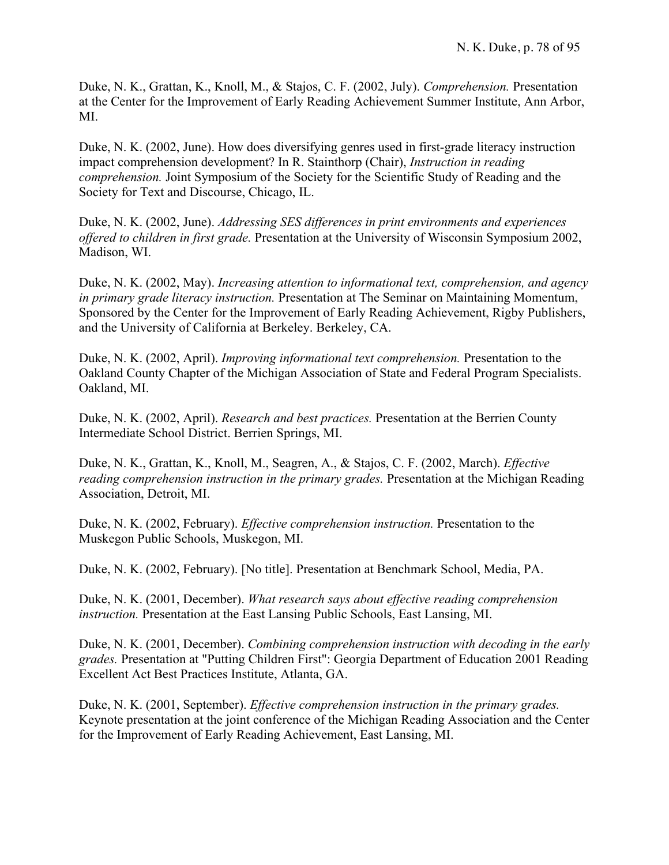Duke, N. K., Grattan, K., Knoll, M., & Stajos, C. F. (2002, July). *Comprehension.* Presentation at the Center for the Improvement of Early Reading Achievement Summer Institute, Ann Arbor, MI.

Duke, N. K. (2002, June). How does diversifying genres used in first-grade literacy instruction impact comprehension development? In R. Stainthorp (Chair), *Instruction in reading comprehension.* Joint Symposium of the Society for the Scientific Study of Reading and the Society for Text and Discourse, Chicago, IL.

Duke, N. K. (2002, June). *Addressing SES differences in print environments and experiences offered to children in first grade.* Presentation at the University of Wisconsin Symposium 2002, Madison, WI.

Duke, N. K. (2002, May). *Increasing attention to informational text, comprehension, and agency in primary grade literacy instruction.* Presentation at The Seminar on Maintaining Momentum, Sponsored by the Center for the Improvement of Early Reading Achievement, Rigby Publishers, and the University of California at Berkeley. Berkeley, CA.

Duke, N. K. (2002, April). *Improving informational text comprehension.* Presentation to the Oakland County Chapter of the Michigan Association of State and Federal Program Specialists. Oakland, MI.

Duke, N. K. (2002, April). *Research and best practices.* Presentation at the Berrien County Intermediate School District. Berrien Springs, MI.

Duke, N. K., Grattan, K., Knoll, M., Seagren, A., & Stajos, C. F. (2002, March). *Effective reading comprehension instruction in the primary grades.* Presentation at the Michigan Reading Association, Detroit, MI.

Duke, N. K. (2002, February). *Effective comprehension instruction.* Presentation to the Muskegon Public Schools, Muskegon, MI.

Duke, N. K. (2002, February). [No title]. Presentation at Benchmark School, Media, PA.

Duke, N. K. (2001, December). *What research says about effective reading comprehension instruction.* Presentation at the East Lansing Public Schools, East Lansing, MI.

Duke, N. K. (2001, December). *Combining comprehension instruction with decoding in the early grades.* Presentation at "Putting Children First": Georgia Department of Education 2001 Reading Excellent Act Best Practices Institute, Atlanta, GA.

Duke, N. K. (2001, September). *Effective comprehension instruction in the primary grades.* Keynote presentation at the joint conference of the Michigan Reading Association and the Center for the Improvement of Early Reading Achievement, East Lansing, MI.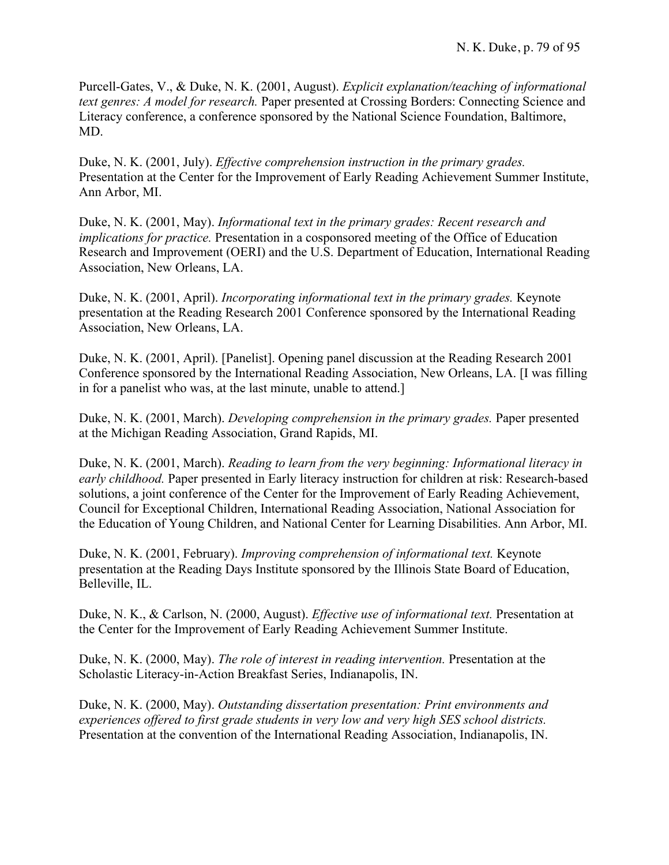Purcell-Gates, V., & Duke, N. K. (2001, August). *Explicit explanation/teaching of informational text genres: A model for research.* Paper presented at Crossing Borders: Connecting Science and Literacy conference, a conference sponsored by the National Science Foundation, Baltimore, MD.

Duke, N. K. (2001, July). *Effective comprehension instruction in the primary grades.* Presentation at the Center for the Improvement of Early Reading Achievement Summer Institute, Ann Arbor, MI.

Duke, N. K. (2001, May). *Informational text in the primary grades: Recent research and implications for practice.* Presentation in a cosponsored meeting of the Office of Education Research and Improvement (OERI) and the U.S. Department of Education, International Reading Association, New Orleans, LA.

Duke, N. K. (2001, April). *Incorporating informational text in the primary grades.* Keynote presentation at the Reading Research 2001 Conference sponsored by the International Reading Association, New Orleans, LA.

Duke, N. K. (2001, April). [Panelist]. Opening panel discussion at the Reading Research 2001 Conference sponsored by the International Reading Association, New Orleans, LA. [I was filling in for a panelist who was, at the last minute, unable to attend.]

Duke, N. K. (2001, March). *Developing comprehension in the primary grades.* Paper presented at the Michigan Reading Association, Grand Rapids, MI.

Duke, N. K. (2001, March). *Reading to learn from the very beginning: Informational literacy in early childhood.* Paper presented in Early literacy instruction for children at risk: Research-based solutions, a joint conference of the Center for the Improvement of Early Reading Achievement, Council for Exceptional Children, International Reading Association, National Association for the Education of Young Children, and National Center for Learning Disabilities. Ann Arbor, MI.

Duke, N. K. (2001, February). *Improving comprehension of informational text.* Keynote presentation at the Reading Days Institute sponsored by the Illinois State Board of Education, Belleville, IL.

Duke, N. K., & Carlson, N. (2000, August). *Effective use of informational text.* Presentation at the Center for the Improvement of Early Reading Achievement Summer Institute.

Duke, N. K. (2000, May). *The role of interest in reading intervention.* Presentation at the Scholastic Literacy-in-Action Breakfast Series, Indianapolis, IN.

Duke, N. K. (2000, May). *Outstanding dissertation presentation: Print environments and experiences offered to first grade students in very low and very high SES school districts.* Presentation at the convention of the International Reading Association, Indianapolis, IN.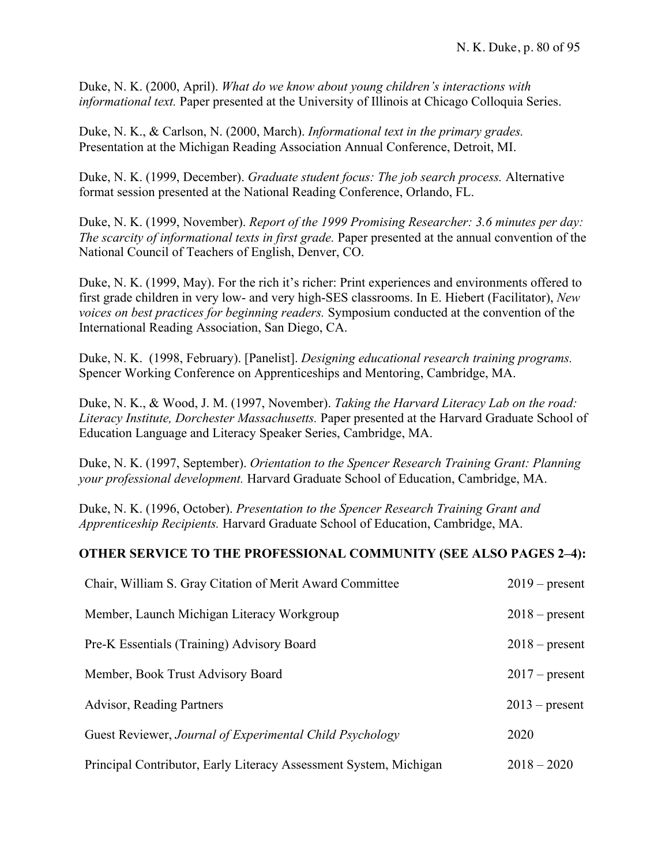Duke, N. K. (2000, April). *What do we know about young children's interactions with informational text.* Paper presented at the University of Illinois at Chicago Colloquia Series.

Duke, N. K., & Carlson, N. (2000, March). *Informational text in the primary grades.* Presentation at the Michigan Reading Association Annual Conference, Detroit, MI.

Duke, N. K. (1999, December). *Graduate student focus: The job search process.* Alternative format session presented at the National Reading Conference, Orlando, FL.

Duke, N. K. (1999, November). *Report of the 1999 Promising Researcher: 3.6 minutes per day: The scarcity of informational texts in first grade.* Paper presented at the annual convention of the National Council of Teachers of English, Denver, CO.

Duke, N. K. (1999, May). For the rich it's richer: Print experiences and environments offered to first grade children in very low- and very high-SES classrooms. In E. Hiebert (Facilitator), *New voices on best practices for beginning readers.* Symposium conducted at the convention of the International Reading Association, San Diego, CA.

Duke, N. K. (1998, February). [Panelist]. *Designing educational research training programs.* Spencer Working Conference on Apprenticeships and Mentoring, Cambridge, MA.

Duke, N. K., & Wood, J. M. (1997, November). *Taking the Harvard Literacy Lab on the road: Literacy Institute, Dorchester Massachusetts.* Paper presented at the Harvard Graduate School of Education Language and Literacy Speaker Series, Cambridge, MA.

Duke, N. K. (1997, September). *Orientation to the Spencer Research Training Grant: Planning your professional development.* Harvard Graduate School of Education, Cambridge, MA.

Duke, N. K. (1996, October). *Presentation to the Spencer Research Training Grant and Apprenticeship Recipients.* Harvard Graduate School of Education, Cambridge, MA.

## **OTHER SERVICE TO THE PROFESSIONAL COMMUNITY (SEE ALSO PAGES 2–4):**

| Chair, William S. Gray Citation of Merit Award Committee          | $2019$ – present |
|-------------------------------------------------------------------|------------------|
| Member, Launch Michigan Literacy Workgroup                        | $2018$ – present |
| Pre-K Essentials (Training) Advisory Board                        | $2018$ – present |
| Member, Book Trust Advisory Board                                 | $2017$ – present |
| <b>Advisor, Reading Partners</b>                                  | $2013$ – present |
| Guest Reviewer, Journal of Experimental Child Psychology          | 2020             |
| Principal Contributor, Early Literacy Assessment System, Michigan | $2018 - 2020$    |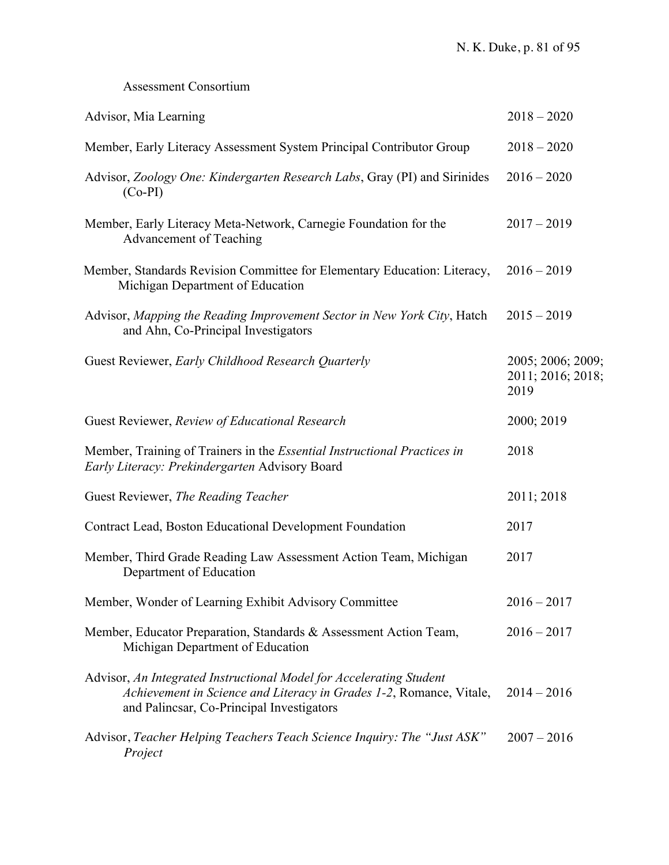# Assessment Consortium

| Advisor, Mia Learning                                                                                                                                                                   | $2018 - 2020$                                  |
|-----------------------------------------------------------------------------------------------------------------------------------------------------------------------------------------|------------------------------------------------|
| Member, Early Literacy Assessment System Principal Contributor Group                                                                                                                    | $2018 - 2020$                                  |
| Advisor, Zoology One: Kindergarten Research Labs, Gray (PI) and Sirinides<br>$(Co-PI)$                                                                                                  | $2016 - 2020$                                  |
| Member, Early Literacy Meta-Network, Carnegie Foundation for the<br>Advancement of Teaching                                                                                             | $2017 - 2019$                                  |
| Member, Standards Revision Committee for Elementary Education: Literacy,<br>Michigan Department of Education                                                                            | $2016 - 2019$                                  |
| Advisor, Mapping the Reading Improvement Sector in New York City, Hatch<br>and Ahn, Co-Principal Investigators                                                                          | $2015 - 2019$                                  |
| Guest Reviewer, Early Childhood Research Quarterly                                                                                                                                      | 2005; 2006; 2009;<br>2011; 2016; 2018;<br>2019 |
| Guest Reviewer, Review of Educational Research                                                                                                                                          | 2000; 2019                                     |
| Member, Training of Trainers in the <i>Essential Instructional Practices in</i><br>Early Literacy: Prekindergarten Advisory Board                                                       | 2018                                           |
| Guest Reviewer, The Reading Teacher                                                                                                                                                     | 2011; 2018                                     |
| Contract Lead, Boston Educational Development Foundation                                                                                                                                | 2017                                           |
| Member, Third Grade Reading Law Assessment Action Team, Michigan<br>Department of Education                                                                                             | 2017                                           |
| Member, Wonder of Learning Exhibit Advisory Committee                                                                                                                                   | $2016 - 2017$                                  |
| Member, Educator Preparation, Standards & Assessment Action Team,<br>Michigan Department of Education                                                                                   | $2016 - 2017$                                  |
| Advisor, An Integrated Instructional Model for Accelerating Student<br>Achievement in Science and Literacy in Grades 1-2, Romance, Vitale,<br>and Palincsar, Co-Principal Investigators | $2014 - 2016$                                  |
| Advisor, Teacher Helping Teachers Teach Science Inquiry: The "Just ASK"<br>Project                                                                                                      | $2007 - 2016$                                  |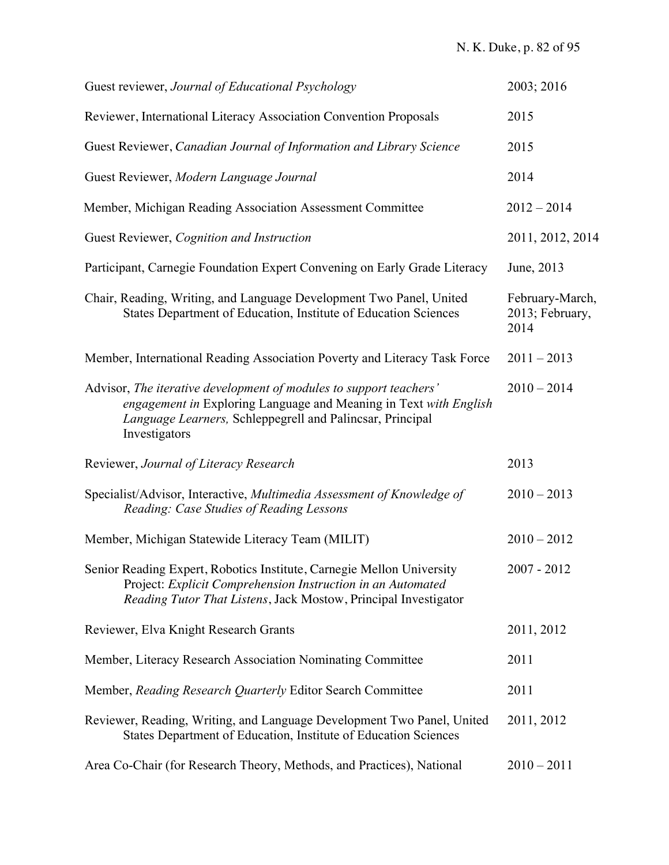| Guest reviewer, Journal of Educational Psychology                                                                                                                                                                     | 2003; 2016                                 |
|-----------------------------------------------------------------------------------------------------------------------------------------------------------------------------------------------------------------------|--------------------------------------------|
| Reviewer, International Literacy Association Convention Proposals                                                                                                                                                     | 2015                                       |
| Guest Reviewer, Canadian Journal of Information and Library Science                                                                                                                                                   | 2015                                       |
| Guest Reviewer, Modern Language Journal                                                                                                                                                                               | 2014                                       |
| Member, Michigan Reading Association Assessment Committee                                                                                                                                                             | $2012 - 2014$                              |
| Guest Reviewer, Cognition and Instruction                                                                                                                                                                             | 2011, 2012, 2014                           |
| Participant, Carnegie Foundation Expert Convening on Early Grade Literacy                                                                                                                                             | June, 2013                                 |
| Chair, Reading, Writing, and Language Development Two Panel, United<br>States Department of Education, Institute of Education Sciences                                                                                | February-March,<br>2013; February,<br>2014 |
| Member, International Reading Association Poverty and Literacy Task Force                                                                                                                                             | $2011 - 2013$                              |
| Advisor, The iterative development of modules to support teachers'<br>engagement in Exploring Language and Meaning in Text with English<br>Language Learners, Schleppegrell and Palincsar, Principal<br>Investigators | $2010 - 2014$                              |
| Reviewer, Journal of Literacy Research                                                                                                                                                                                | 2013                                       |
| Specialist/Advisor, Interactive, Multimedia Assessment of Knowledge of<br>Reading: Case Studies of Reading Lessons                                                                                                    | $2010 - 2013$                              |
| Member, Michigan Statewide Literacy Team (MILIT)                                                                                                                                                                      | $2010 - 2012$                              |
| Senior Reading Expert, Robotics Institute, Carnegie Mellon University<br>Project: Explicit Comprehension Instruction in an Automated<br>Reading Tutor That Listens, Jack Mostow, Principal Investigator               | $2007 - 2012$                              |
| Reviewer, Elva Knight Research Grants                                                                                                                                                                                 | 2011, 2012                                 |
| Member, Literacy Research Association Nominating Committee                                                                                                                                                            | 2011                                       |
| Member, Reading Research Quarterly Editor Search Committee                                                                                                                                                            | 2011                                       |
| Reviewer, Reading, Writing, and Language Development Two Panel, United<br>States Department of Education, Institute of Education Sciences                                                                             | 2011, 2012                                 |
| Area Co-Chair (for Research Theory, Methods, and Practices), National                                                                                                                                                 | $2010 - 2011$                              |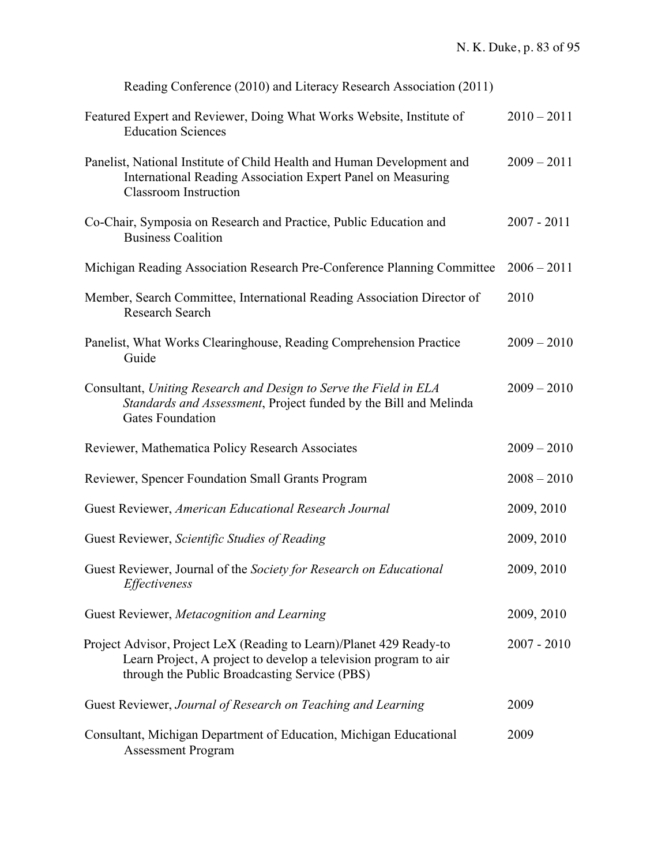| Reading Conference (2010) and Literacy Research Association (2011)                                                                                                                      |               |
|-----------------------------------------------------------------------------------------------------------------------------------------------------------------------------------------|---------------|
| Featured Expert and Reviewer, Doing What Works Website, Institute of<br><b>Education Sciences</b>                                                                                       | $2010 - 2011$ |
| Panelist, National Institute of Child Health and Human Development and<br>International Reading Association Expert Panel on Measuring<br><b>Classroom</b> Instruction                   | $2009 - 2011$ |
| Co-Chair, Symposia on Research and Practice, Public Education and<br><b>Business Coalition</b>                                                                                          | $2007 - 2011$ |
| Michigan Reading Association Research Pre-Conference Planning Committee                                                                                                                 | $2006 - 2011$ |
| Member, Search Committee, International Reading Association Director of<br>Research Search                                                                                              | 2010          |
| Panelist, What Works Clearinghouse, Reading Comprehension Practice<br>Guide                                                                                                             | $2009 - 2010$ |
| Consultant, Uniting Research and Design to Serve the Field in ELA<br>Standards and Assessment, Project funded by the Bill and Melinda<br><b>Gates Foundation</b>                        | $2009 - 2010$ |
| Reviewer, Mathematica Policy Research Associates                                                                                                                                        | $2009 - 2010$ |
| Reviewer, Spencer Foundation Small Grants Program                                                                                                                                       | $2008 - 2010$ |
| Guest Reviewer, American Educational Research Journal                                                                                                                                   | 2009, 2010    |
| Guest Reviewer, Scientific Studies of Reading                                                                                                                                           | 2009, 2010    |
| Guest Reviewer, Journal of the Society for Research on Educational<br>Effectiveness                                                                                                     | 2009, 2010    |
| Guest Reviewer, Metacognition and Learning                                                                                                                                              | 2009, 2010    |
| Project Advisor, Project LeX (Reading to Learn)/Planet 429 Ready-to<br>Learn Project, A project to develop a television program to air<br>through the Public Broadcasting Service (PBS) | $2007 - 2010$ |
| Guest Reviewer, Journal of Research on Teaching and Learning                                                                                                                            | 2009          |
| Consultant, Michigan Department of Education, Michigan Educational<br><b>Assessment Program</b>                                                                                         | 2009          |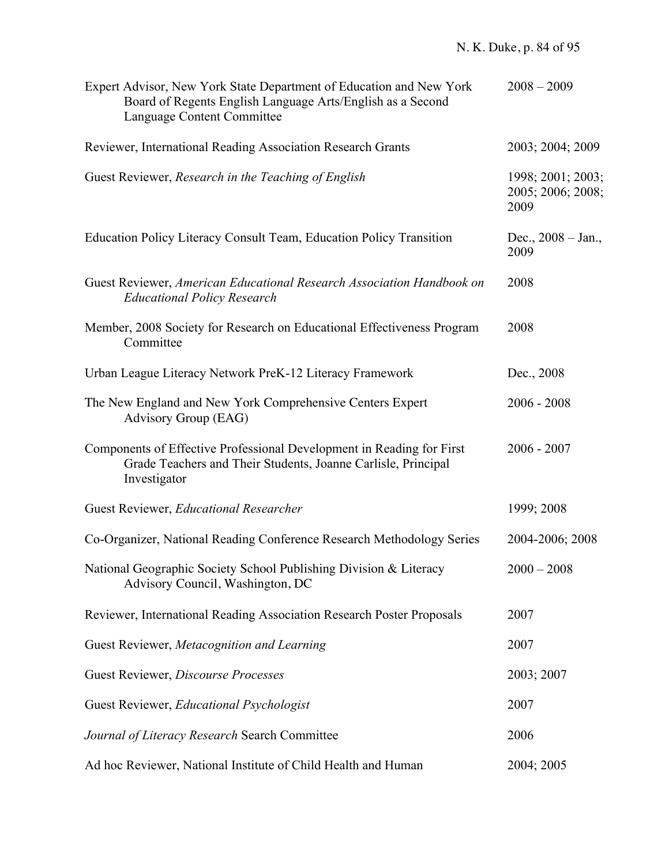| Expert Advisor, New York State Department of Education and New York<br>Board of Regents English Language Arts/English as a Second<br>Language Content Committee | $2008 - 2009$                                  |
|-----------------------------------------------------------------------------------------------------------------------------------------------------------------|------------------------------------------------|
| Reviewer, International Reading Association Research Grants                                                                                                     | 2003; 2004; 2009                               |
| Guest Reviewer, Research in the Teaching of English                                                                                                             | 1998; 2001; 2003;<br>2005; 2006; 2008;<br>2009 |
| Education Policy Literacy Consult Team, Education Policy Transition                                                                                             | Dec., $2008 - Jan.$<br>2009                    |
| Guest Reviewer, American Educational Research Association Handbook on<br><b>Educational Policy Research</b>                                                     | 2008                                           |
| Member, 2008 Society for Research on Educational Effectiveness Program<br>Committee                                                                             | 2008                                           |
| Urban League Literacy Network PreK-12 Literacy Framework                                                                                                        | Dec., 2008                                     |
| The New England and New York Comprehensive Centers Expert<br>Advisory Group (EAG)                                                                               | $2006 - 2008$                                  |
| Components of Effective Professional Development in Reading for First<br>Grade Teachers and Their Students, Joanne Carlisle, Principal<br>Investigator          | $2006 - 2007$                                  |
| Guest Reviewer, Educational Researcher                                                                                                                          | 1999; 2008                                     |
| Co-Organizer, National Reading Conference Research Methodology Series                                                                                           | 2004-2006; 2008                                |
| National Geographic Society School Publishing Division & Literacy<br>Advisory Council, Washington, DC                                                           | $2000 - 2008$                                  |
| Reviewer, International Reading Association Research Poster Proposals                                                                                           | 2007                                           |
| Guest Reviewer, Metacognition and Learning                                                                                                                      | 2007                                           |
| Guest Reviewer, Discourse Processes                                                                                                                             | 2003; 2007                                     |
| Guest Reviewer, Educational Psychologist                                                                                                                        | 2007                                           |
| Journal of Literacy Research Search Committee                                                                                                                   | 2006                                           |
| Ad hoc Reviewer, National Institute of Child Health and Human                                                                                                   | 2004; 2005                                     |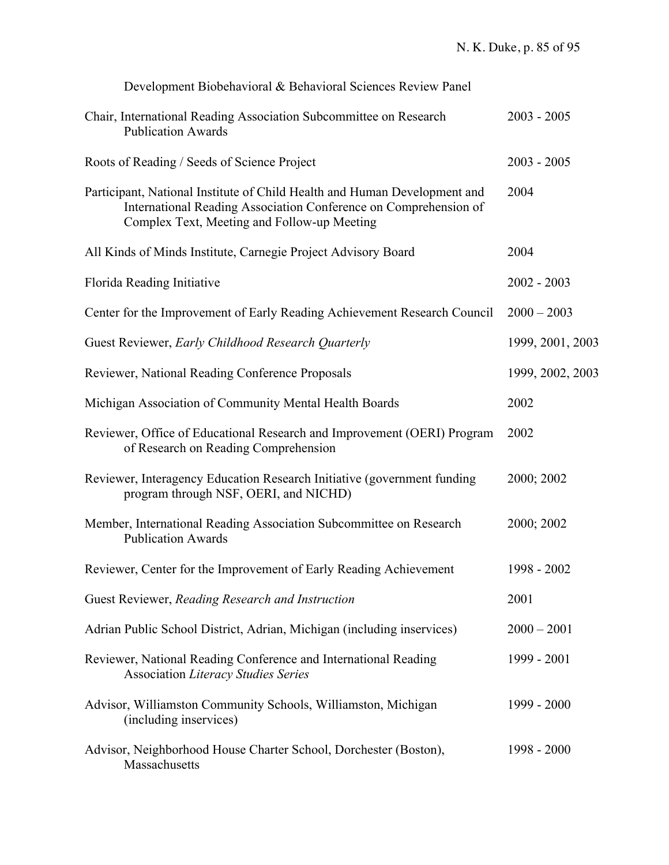| Development Biobehavioral & Behavioral Sciences Review Panel                                                                                                                                 |                  |
|----------------------------------------------------------------------------------------------------------------------------------------------------------------------------------------------|------------------|
| Chair, International Reading Association Subcommittee on Research<br><b>Publication Awards</b>                                                                                               | $2003 - 2005$    |
| Roots of Reading / Seeds of Science Project                                                                                                                                                  | $2003 - 2005$    |
| Participant, National Institute of Child Health and Human Development and<br>International Reading Association Conference on Comprehension of<br>Complex Text, Meeting and Follow-up Meeting | 2004             |
| All Kinds of Minds Institute, Carnegie Project Advisory Board                                                                                                                                | 2004             |
| Florida Reading Initiative                                                                                                                                                                   | $2002 - 2003$    |
| Center for the Improvement of Early Reading Achievement Research Council                                                                                                                     | $2000 - 2003$    |
| Guest Reviewer, Early Childhood Research Quarterly                                                                                                                                           | 1999, 2001, 2003 |
| Reviewer, National Reading Conference Proposals                                                                                                                                              | 1999, 2002, 2003 |
| Michigan Association of Community Mental Health Boards                                                                                                                                       | 2002             |
| Reviewer, Office of Educational Research and Improvement (OERI) Program<br>of Research on Reading Comprehension                                                                              | 2002             |
| Reviewer, Interagency Education Research Initiative (government funding<br>program through NSF, OERI, and NICHD)                                                                             | 2000; 2002       |
| Member, International Reading Association Subcommittee on Research<br><b>Publication Awards</b>                                                                                              | 2000; 2002       |
| Reviewer, Center for the Improvement of Early Reading Achievement                                                                                                                            | 1998 - 2002      |
| Guest Reviewer, Reading Research and Instruction                                                                                                                                             | 2001             |
| Adrian Public School District, Adrian, Michigan (including inservices)                                                                                                                       | $2000 - 2001$    |
| Reviewer, National Reading Conference and International Reading<br><b>Association Literacy Studies Series</b>                                                                                | 1999 - 2001      |
| Advisor, Williamston Community Schools, Williamston, Michigan<br>(including inservices)                                                                                                      | 1999 - 2000      |
| Advisor, Neighborhood House Charter School, Dorchester (Boston),<br>Massachusetts                                                                                                            | 1998 - 2000      |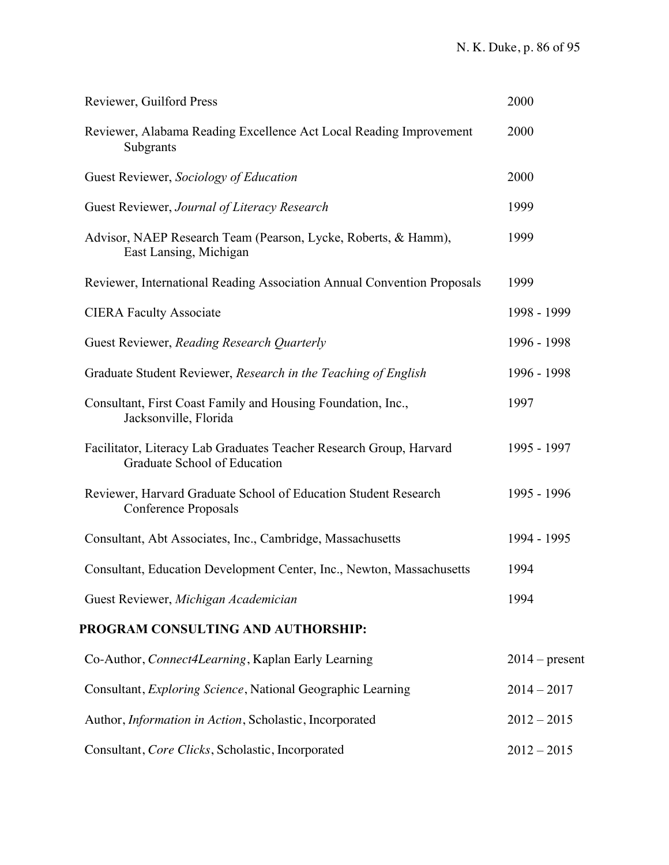| Reviewer, Guilford Press                                                                            | 2000             |
|-----------------------------------------------------------------------------------------------------|------------------|
| Reviewer, Alabama Reading Excellence Act Local Reading Improvement<br>Subgrants                     | 2000             |
| Guest Reviewer, Sociology of Education                                                              | 2000             |
| Guest Reviewer, Journal of Literacy Research                                                        | 1999             |
| Advisor, NAEP Research Team (Pearson, Lycke, Roberts, & Hamm),<br>East Lansing, Michigan            | 1999             |
| Reviewer, International Reading Association Annual Convention Proposals                             | 1999             |
| <b>CIERA Faculty Associate</b>                                                                      | 1998 - 1999      |
| Guest Reviewer, Reading Research Quarterly                                                          | 1996 - 1998      |
| Graduate Student Reviewer, Research in the Teaching of English                                      | 1996 - 1998      |
| Consultant, First Coast Family and Housing Foundation, Inc.,<br>Jacksonville, Florida               | 1997             |
| Facilitator, Literacy Lab Graduates Teacher Research Group, Harvard<br>Graduate School of Education | 1995 - 1997      |
| Reviewer, Harvard Graduate School of Education Student Research<br>Conference Proposals             | 1995 - 1996      |
| Consultant, Abt Associates, Inc., Cambridge, Massachusetts                                          | 1994 - 1995      |
| Consultant, Education Development Center, Inc., Newton, Massachusetts                               | 1994             |
| Guest Reviewer, Michigan Academician                                                                | 1994             |
| PROGRAM CONSULTING AND AUTHORSHIP:                                                                  |                  |
| Co-Author, Connect4Learning, Kaplan Early Learning                                                  | $2014$ – present |
| Consultant, <i>Exploring Science</i> , National Geographic Learning                                 | $2014 - 2017$    |
| Author, Information in Action, Scholastic, Incorporated                                             | $2012 - 2015$    |
| Consultant, Core Clicks, Scholastic, Incorporated                                                   | $2012 - 2015$    |
|                                                                                                     |                  |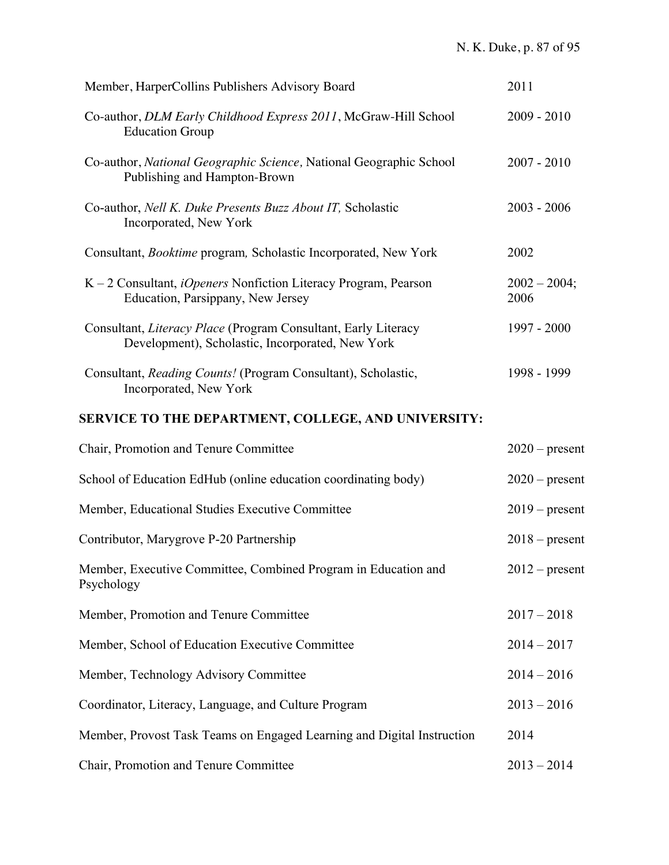| Member, HarperCollins Publishers Advisory Board                                                                    | 2011                   |
|--------------------------------------------------------------------------------------------------------------------|------------------------|
| Co-author, DLM Early Childhood Express 2011, McGraw-Hill School<br><b>Education Group</b>                          | $2009 - 2010$          |
| Co-author, National Geographic Science, National Geographic School<br>Publishing and Hampton-Brown                 | $2007 - 2010$          |
| Co-author, Nell K. Duke Presents Buzz About IT, Scholastic<br>Incorporated, New York                               | $2003 - 2006$          |
| Consultant, Booktime program, Scholastic Incorporated, New York                                                    | 2002                   |
| $K - 2$ Consultant, <i>iOpeners</i> Nonfiction Literacy Program, Pearson<br>Education, Parsippany, New Jersey      | $2002 - 2004;$<br>2006 |
| Consultant, Literacy Place (Program Consultant, Early Literacy<br>Development), Scholastic, Incorporated, New York | 1997 - 2000            |
| Consultant, Reading Counts! (Program Consultant), Scholastic,<br>Incorporated, New York                            | 1998 - 1999            |
| SERVICE TO THE DEPARTMENT, COLLEGE, AND UNIVERSITY:                                                                |                        |
| Chair, Promotion and Tenure Committee                                                                              | $2020$ – present       |
| School of Education EdHub (online education coordinating body)                                                     | $2020$ – present       |
| Member, Educational Studies Executive Committee                                                                    | $2019$ – present       |
| Contributor, Marygrove P-20 Partnership                                                                            | $2018$ – present       |
| Member, Executive Committee, Combined Program in Education and<br>Psychology                                       | $2012$ – present       |
| Member, Promotion and Tenure Committee                                                                             | $2017 - 2018$          |
| Member, School of Education Executive Committee                                                                    | $2014 - 2017$          |
| Member, Technology Advisory Committee                                                                              | $2014 - 2016$          |
| Coordinator, Literacy, Language, and Culture Program                                                               | $2013 - 2016$          |
| Member, Provost Task Teams on Engaged Learning and Digital Instruction                                             | 2014                   |
| Chair, Promotion and Tenure Committee                                                                              | $2013 - 2014$          |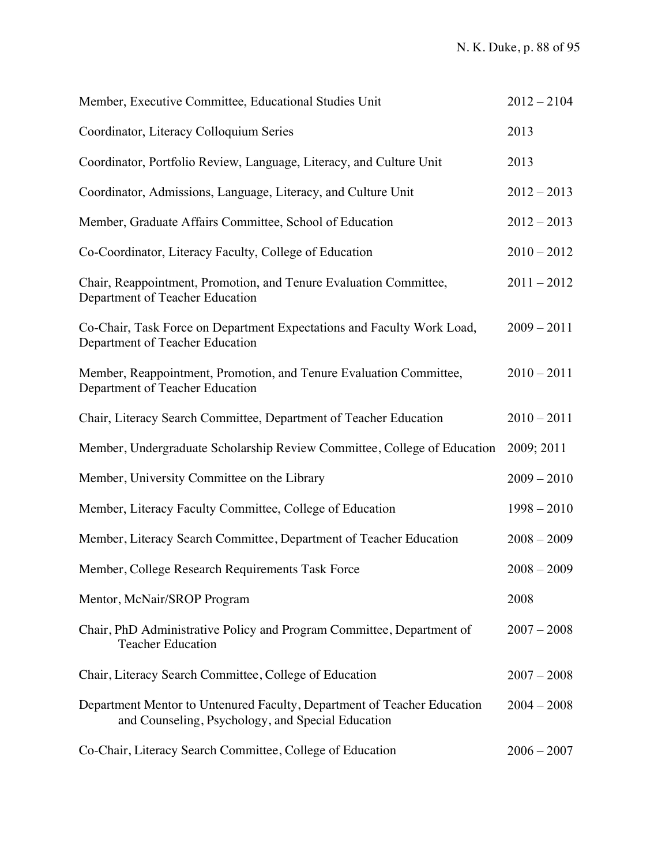| Member, Executive Committee, Educational Studies Unit                                                                        | $2012 - 2104$ |
|------------------------------------------------------------------------------------------------------------------------------|---------------|
| Coordinator, Literacy Colloquium Series                                                                                      | 2013          |
| Coordinator, Portfolio Review, Language, Literacy, and Culture Unit                                                          | 2013          |
| Coordinator, Admissions, Language, Literacy, and Culture Unit                                                                | $2012 - 2013$ |
| Member, Graduate Affairs Committee, School of Education                                                                      | $2012 - 2013$ |
| Co-Coordinator, Literacy Faculty, College of Education                                                                       | $2010 - 2012$ |
| Chair, Reappointment, Promotion, and Tenure Evaluation Committee,<br>Department of Teacher Education                         | $2011 - 2012$ |
| Co-Chair, Task Force on Department Expectations and Faculty Work Load,<br>Department of Teacher Education                    | $2009 - 2011$ |
| Member, Reappointment, Promotion, and Tenure Evaluation Committee,<br>Department of Teacher Education                        | $2010 - 2011$ |
| Chair, Literacy Search Committee, Department of Teacher Education                                                            | $2010 - 2011$ |
| Member, Undergraduate Scholarship Review Committee, College of Education                                                     | 2009; 2011    |
| Member, University Committee on the Library                                                                                  | $2009 - 2010$ |
| Member, Literacy Faculty Committee, College of Education                                                                     | $1998 - 2010$ |
| Member, Literacy Search Committee, Department of Teacher Education                                                           | $2008 - 2009$ |
| Member, College Research Requirements Task Force                                                                             | $2008 - 2009$ |
| Mentor, McNair/SROP Program                                                                                                  | 2008          |
| Chair, PhD Administrative Policy and Program Committee, Department of<br><b>Teacher Education</b>                            | $2007 - 2008$ |
| Chair, Literacy Search Committee, College of Education                                                                       | $2007 - 2008$ |
| Department Mentor to Untenured Faculty, Department of Teacher Education<br>and Counseling, Psychology, and Special Education | $2004 - 2008$ |
| Co-Chair, Literacy Search Committee, College of Education                                                                    | $2006 - 2007$ |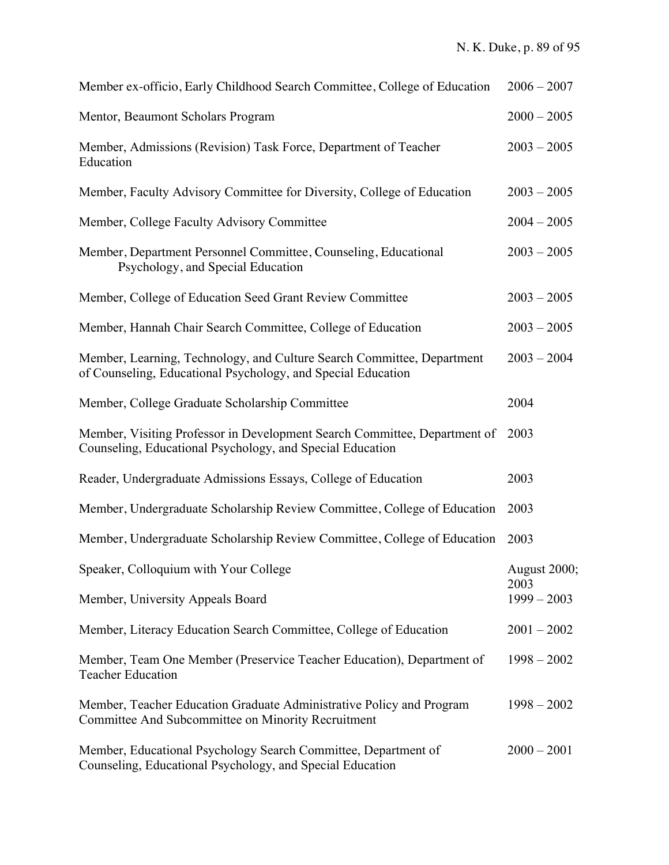| Member ex-officio, Early Childhood Search Committee, College of Education                                                              | $2006 - 2007$         |
|----------------------------------------------------------------------------------------------------------------------------------------|-----------------------|
| Mentor, Beaumont Scholars Program                                                                                                      | $2000 - 2005$         |
| Member, Admissions (Revision) Task Force, Department of Teacher<br>Education                                                           | $2003 - 2005$         |
| Member, Faculty Advisory Committee for Diversity, College of Education                                                                 | $2003 - 2005$         |
| Member, College Faculty Advisory Committee                                                                                             | $2004 - 2005$         |
| Member, Department Personnel Committee, Counseling, Educational<br>Psychology, and Special Education                                   | $2003 - 2005$         |
| Member, College of Education Seed Grant Review Committee                                                                               | $2003 - 2005$         |
| Member, Hannah Chair Search Committee, College of Education                                                                            | $2003 - 2005$         |
| Member, Learning, Technology, and Culture Search Committee, Department<br>of Counseling, Educational Psychology, and Special Education | $2003 - 2004$         |
| Member, College Graduate Scholarship Committee                                                                                         | 2004                  |
| Member, Visiting Professor in Development Search Committee, Department of<br>Counseling, Educational Psychology, and Special Education | 2003                  |
| Reader, Undergraduate Admissions Essays, College of Education                                                                          | 2003                  |
| Member, Undergraduate Scholarship Review Committee, College of Education                                                               | 2003                  |
| Member, Undergraduate Scholarship Review Committee, College of Education                                                               | 2003                  |
| Speaker, Colloquium with Your College                                                                                                  | August 2000;          |
| Member, University Appeals Board                                                                                                       | 2003<br>$1999 - 2003$ |
| Member, Literacy Education Search Committee, College of Education                                                                      | $2001 - 2002$         |
| Member, Team One Member (Preservice Teacher Education), Department of<br><b>Teacher Education</b>                                      | $1998 - 2002$         |
| Member, Teacher Education Graduate Administrative Policy and Program<br>Committee And Subcommittee on Minority Recruitment             | $1998 - 2002$         |
| Member, Educational Psychology Search Committee, Department of<br>Counseling, Educational Psychology, and Special Education            | $2000 - 2001$         |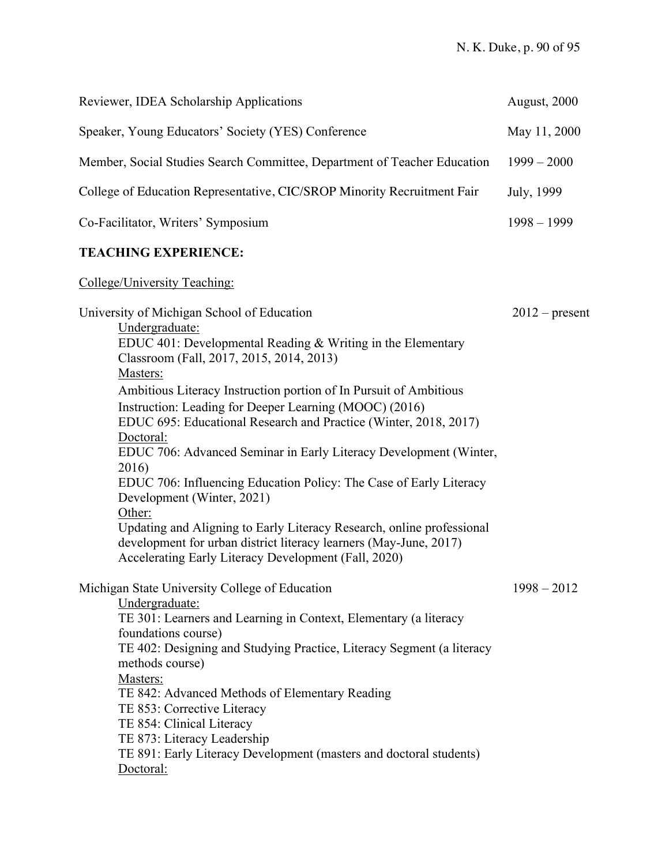| Reviewer, IDEA Scholarship Applications                                                                                                                                                                                                                                                                                                                                                                                                                                                                                                                                                                                                                                                                                                                                                               | August, 2000     |
|-------------------------------------------------------------------------------------------------------------------------------------------------------------------------------------------------------------------------------------------------------------------------------------------------------------------------------------------------------------------------------------------------------------------------------------------------------------------------------------------------------------------------------------------------------------------------------------------------------------------------------------------------------------------------------------------------------------------------------------------------------------------------------------------------------|------------------|
| Speaker, Young Educators' Society (YES) Conference                                                                                                                                                                                                                                                                                                                                                                                                                                                                                                                                                                                                                                                                                                                                                    | May 11, 2000     |
| Member, Social Studies Search Committee, Department of Teacher Education                                                                                                                                                                                                                                                                                                                                                                                                                                                                                                                                                                                                                                                                                                                              | $1999 - 2000$    |
| College of Education Representative, CIC/SROP Minority Recruitment Fair                                                                                                                                                                                                                                                                                                                                                                                                                                                                                                                                                                                                                                                                                                                               | July, 1999       |
| Co-Facilitator, Writers' Symposium                                                                                                                                                                                                                                                                                                                                                                                                                                                                                                                                                                                                                                                                                                                                                                    | $1998 - 1999$    |
| <b>TEACHING EXPERIENCE:</b>                                                                                                                                                                                                                                                                                                                                                                                                                                                                                                                                                                                                                                                                                                                                                                           |                  |
| College/University Teaching:                                                                                                                                                                                                                                                                                                                                                                                                                                                                                                                                                                                                                                                                                                                                                                          |                  |
| University of Michigan School of Education<br>Undergraduate:<br>EDUC 401: Developmental Reading & Writing in the Elementary<br>Classroom (Fall, 2017, 2015, 2014, 2013)<br>Masters:<br>Ambitious Literacy Instruction portion of In Pursuit of Ambitious<br>Instruction: Leading for Deeper Learning (MOOC) (2016)<br>EDUC 695: Educational Research and Practice (Winter, 2018, 2017)<br>Doctoral:<br>EDUC 706: Advanced Seminar in Early Literacy Development (Winter,<br>2016)<br>EDUC 706: Influencing Education Policy: The Case of Early Literacy<br>Development (Winter, 2021)<br>Other:<br>Updating and Aligning to Early Literacy Research, online professional<br>development for urban district literacy learners (May-June, 2017)<br>Accelerating Early Literacy Development (Fall, 2020) | $2012$ – present |
| Michigan State University College of Education<br>Undergraduate:<br>TE 301: Learners and Learning in Context, Elementary (a literacy<br>foundations course)<br>TE 402: Designing and Studying Practice, Literacy Segment (a literacy<br>methods course)<br>Masters:<br>TE 842: Advanced Methods of Elementary Reading<br>TE 853: Corrective Literacy<br>TE 854: Clinical Literacy<br>TE 873: Literacy Leadership<br>TE 891: Early Literacy Development (masters and doctoral students)<br>Doctoral:                                                                                                                                                                                                                                                                                                   | $1998 - 2012$    |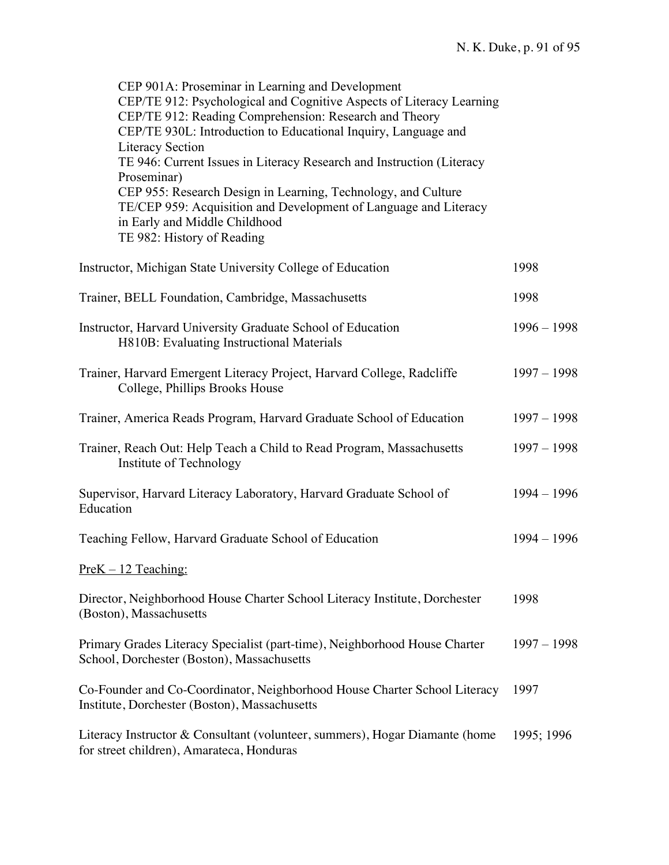| CEP 901A: Proseminar in Learning and Development<br>CEP/TE 912: Psychological and Cognitive Aspects of Literacy Learning<br>CEP/TE 912: Reading Comprehension: Research and Theory<br>CEP/TE 930L: Introduction to Educational Inquiry, Language and<br><b>Literacy Section</b> |               |
|---------------------------------------------------------------------------------------------------------------------------------------------------------------------------------------------------------------------------------------------------------------------------------|---------------|
| TE 946: Current Issues in Literacy Research and Instruction (Literacy<br>Proseminar)<br>CEP 955: Research Design in Learning, Technology, and Culture                                                                                                                           |               |
| TE/CEP 959: Acquisition and Development of Language and Literacy<br>in Early and Middle Childhood<br>TE 982: History of Reading                                                                                                                                                 |               |
| Instructor, Michigan State University College of Education                                                                                                                                                                                                                      | 1998          |
| Trainer, BELL Foundation, Cambridge, Massachusetts                                                                                                                                                                                                                              | 1998          |
| Instructor, Harvard University Graduate School of Education<br>H810B: Evaluating Instructional Materials                                                                                                                                                                        | $1996 - 1998$ |
| Trainer, Harvard Emergent Literacy Project, Harvard College, Radcliffe<br>College, Phillips Brooks House                                                                                                                                                                        | $1997 - 1998$ |
| Trainer, America Reads Program, Harvard Graduate School of Education                                                                                                                                                                                                            | $1997 - 1998$ |
| Trainer, Reach Out: Help Teach a Child to Read Program, Massachusetts<br>Institute of Technology                                                                                                                                                                                | $1997 - 1998$ |
| Supervisor, Harvard Literacy Laboratory, Harvard Graduate School of<br>Education                                                                                                                                                                                                | $1994 - 1996$ |
| Teaching Fellow, Harvard Graduate School of Education                                                                                                                                                                                                                           | $1994 - 1996$ |
| $PreK - 12$ Teaching:                                                                                                                                                                                                                                                           |               |
| Director, Neighborhood House Charter School Literacy Institute, Dorchester<br>(Boston), Massachusetts                                                                                                                                                                           | 1998          |
| Primary Grades Literacy Specialist (part-time), Neighborhood House Charter<br>School, Dorchester (Boston), Massachusetts                                                                                                                                                        | $1997 - 1998$ |
| Co-Founder and Co-Coordinator, Neighborhood House Charter School Literacy<br>Institute, Dorchester (Boston), Massachusetts                                                                                                                                                      | 1997          |
| Literacy Instructor & Consultant (volunteer, summers), Hogar Diamante (home<br>for street children), Amarateca, Honduras                                                                                                                                                        | 1995; 1996    |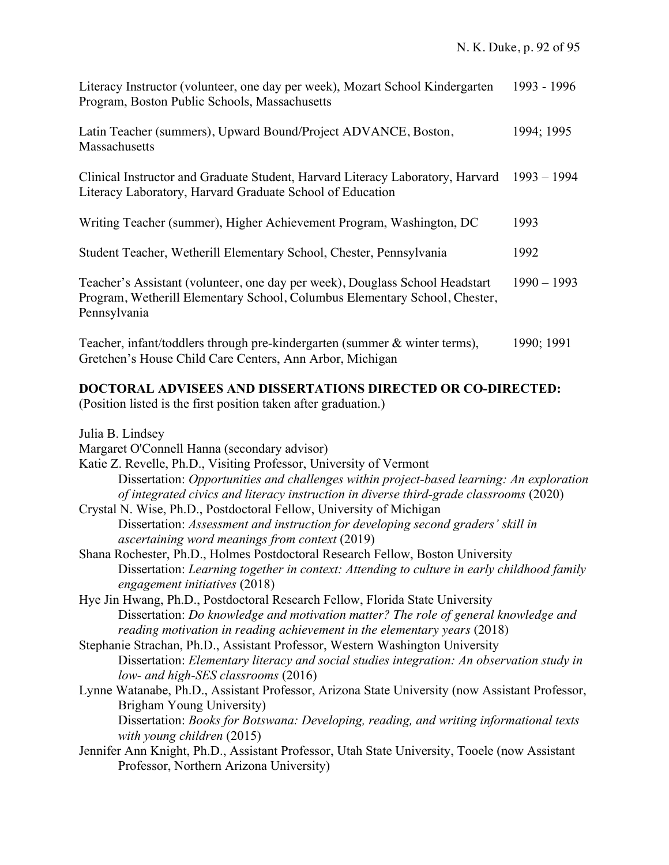| Literacy Instructor (volunteer, one day per week), Mozart School Kindergarten<br>Program, Boston Public Schools, Massachusetts                                             | 1993 - 1996   |
|----------------------------------------------------------------------------------------------------------------------------------------------------------------------------|---------------|
| Latin Teacher (summers), Upward Bound/Project ADVANCE, Boston,<br>Massachusetts                                                                                            | 1994; 1995    |
| Clinical Instructor and Graduate Student, Harvard Literacy Laboratory, Harvard<br>Literacy Laboratory, Harvard Graduate School of Education                                | $1993 - 1994$ |
| Writing Teacher (summer), Higher Achievement Program, Washington, DC                                                                                                       | 1993          |
| Student Teacher, Wetherill Elementary School, Chester, Pennsylvania                                                                                                        | 1992          |
| Teacher's Assistant (volunteer, one day per week), Douglass School Headstart<br>Program, Wetherill Elementary School, Columbus Elementary School, Chester,<br>Pennsylvania | $1990 - 1993$ |
| Teacher, infant/toddlers through pre-kindergarten (summer & winter terms),<br>Gretchen's House Child Care Centers, Ann Arbor, Michigan                                     | 1990; 1991    |

### **DOCTORAL ADVISEES AND DISSERTATIONS DIRECTED OR CO-DIRECTED:**

(Position listed is the first position taken after graduation.)

Julia B. Lindsey

- Margaret O'Connell Hanna (secondary advisor)
- Katie Z. Revelle, Ph.D., Visiting Professor, University of Vermont Dissertation: *Opportunities and challenges within project-based learning: An exploration of integrated civics and literacy instruction in diverse third-grade classrooms* (2020)
- Crystal N. Wise, Ph.D., Postdoctoral Fellow, University of Michigan Dissertation: *Assessment and instruction for developing second graders' skill in ascertaining word meanings from context* (2019)
- Shana Rochester, Ph.D., Holmes Postdoctoral Research Fellow, Boston University Dissertation: *Learning together in context: Attending to culture in early childhood family engagement initiatives* (2018)
- Hye Jin Hwang, Ph.D., Postdoctoral Research Fellow, Florida State University Dissertation: *Do knowledge and motivation matter? The role of general knowledge and reading motivation in reading achievement in the elementary years* (2018)
- Stephanie Strachan, Ph.D., Assistant Professor, Western Washington University Dissertation: *Elementary literacy and social studies integration: An observation study in low- and high-SES classrooms* (2016)
- Lynne Watanabe, Ph.D., Assistant Professor, Arizona State University (now Assistant Professor, Brigham Young University) Dissertation: *Books for Botswana: Developing, reading, and writing informational texts with young children* (2015)
- Jennifer Ann Knight, Ph.D., Assistant Professor, Utah State University, Tooele (now Assistant Professor, Northern Arizona University)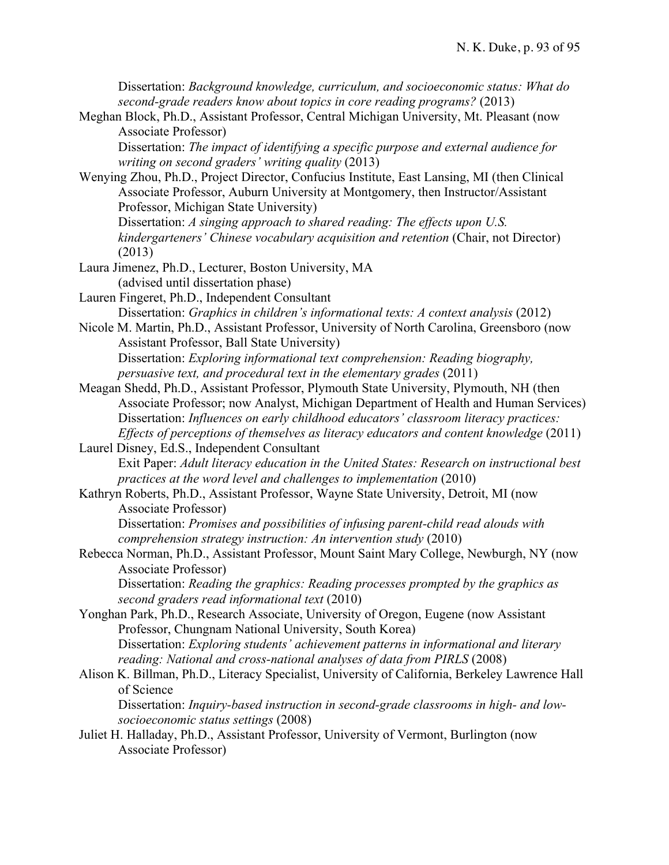Dissertation: *Background knowledge, curriculum, and socioeconomic status: What do second-grade readers know about topics in core reading programs?* (2013)

Meghan Block, Ph.D., Assistant Professor, Central Michigan University, Mt. Pleasant (now Associate Professor)

Dissertation: *The impact of identifying a specific purpose and external audience for writing on second graders' writing quality* (2013)

Wenying Zhou, Ph.D., Project Director, Confucius Institute, East Lansing, MI (then Clinical Associate Professor, Auburn University at Montgomery, then Instructor/Assistant Professor, Michigan State University)

Dissertation: *A singing approach to shared reading: The effects upon U.S. kindergarteners' Chinese vocabulary acquisition and retention* (Chair, not Director) (2013)

- Laura Jimenez, Ph.D., Lecturer, Boston University, MA (advised until dissertation phase)
- Lauren Fingeret, Ph.D., Independent Consultant Dissertation: *Graphics in children's informational texts: A context analysis* (2012)
- Nicole M. Martin, Ph.D., Assistant Professor, University of North Carolina, Greensboro (now Assistant Professor, Ball State University) Dissertation: *Exploring informational text comprehension: Reading biography, persuasive text, and procedural text in the elementary grades* (2011)
- Meagan Shedd, Ph.D., Assistant Professor, Plymouth State University, Plymouth, NH (then Associate Professor; now Analyst, Michigan Department of Health and Human Services) Dissertation: *Influences on early childhood educators' classroom literacy practices: Effects of perceptions of themselves as literacy educators and content knowledge* (2011)
- Laurel Disney, Ed.S., Independent Consultant Exit Paper: *Adult literacy education in the United States: Research on instructional best practices at the word level and challenges to implementation* (2010)
- Kathryn Roberts, Ph.D., Assistant Professor, Wayne State University, Detroit, MI (now Associate Professor)

Dissertation: *Promises and possibilities of infusing parent-child read alouds with comprehension strategy instruction: An intervention study* (2010)

Rebecca Norman, Ph.D., Assistant Professor, Mount Saint Mary College, Newburgh, NY (now Associate Professor)

Dissertation: *Reading the graphics: Reading processes prompted by the graphics as second graders read informational text* (2010)

- Yonghan Park, Ph.D., Research Associate, University of Oregon, Eugene (now Assistant Professor, Chungnam National University, South Korea) Dissertation: *Exploring students' achievement patterns in informational and literary reading: National and cross-national analyses of data from PIRLS* (2008)
- Alison K. Billman, Ph.D., Literacy Specialist, University of California, Berkeley Lawrence Hall of Science

Dissertation: *Inquiry-based instruction in second-grade classrooms in high- and lowsocioeconomic status settings* (2008)

Juliet H. Halladay, Ph.D., Assistant Professor, University of Vermont, Burlington (now Associate Professor)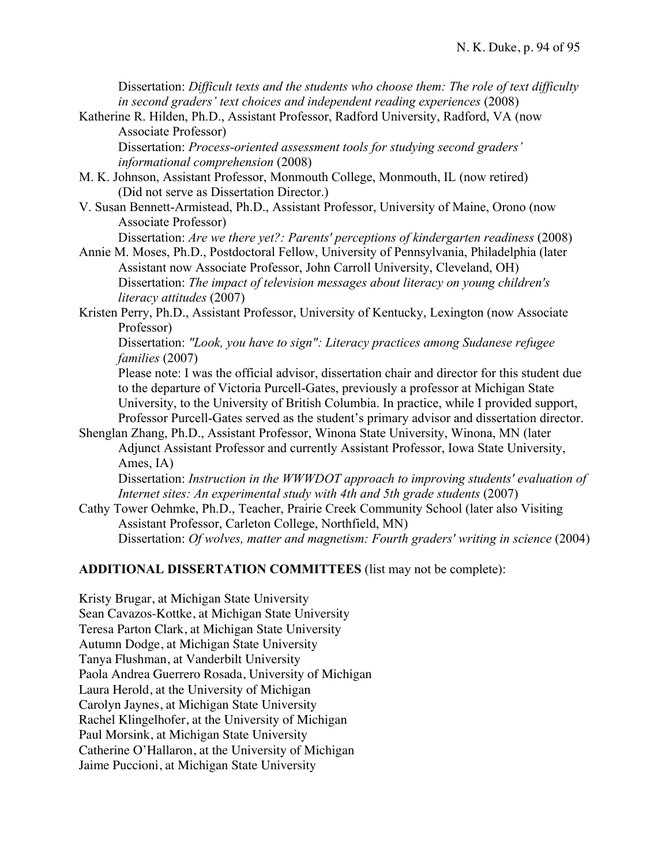Dissertation: *Difficult texts and the students who choose them: The role of text difficulty in second graders' text choices and independent reading experiences* (2008)

Katherine R. Hilden, Ph.D., Assistant Professor, Radford University, Radford, VA (now Associate Professor)

Dissertation: *Process-oriented assessment tools for studying second graders' informational comprehension* (2008)

- M. K. Johnson, Assistant Professor, Monmouth College, Monmouth, IL (now retired) (Did not serve as Dissertation Director.)
- V. Susan Bennett-Armistead, Ph.D., Assistant Professor, University of Maine, Orono (now Associate Professor)

Dissertation: *Are we there yet?: Parents' perceptions of kindergarten readiness* (2008)

- Annie M. Moses, Ph.D., Postdoctoral Fellow, University of Pennsylvania, Philadelphia (later Assistant now Associate Professor, John Carroll University, Cleveland, OH) Dissertation: *The impact of television messages about literacy on young children's literacy attitudes* (2007)
- Kristen Perry, Ph.D., Assistant Professor, University of Kentucky, Lexington (now Associate Professor)

Dissertation: *"Look, you have to sign": Literacy practices among Sudanese refugee families* (2007)

Please note: I was the official advisor, dissertation chair and director for this student due to the departure of Victoria Purcell-Gates, previously a professor at Michigan State University, to the University of British Columbia. In practice, while I provided support, Professor Purcell-Gates served as the student's primary advisor and dissertation director.

Shenglan Zhang, Ph.D., Assistant Professor, Winona State University, Winona, MN (later Adjunct Assistant Professor and currently Assistant Professor, Iowa State University, Ames, IA)

Dissertation: *Instruction in the WWWDOT approach to improving students' evaluation of Internet sites: An experimental study with 4th and 5th grade students* (2007)

Cathy Tower Oehmke, Ph.D., Teacher, Prairie Creek Community School (later also Visiting Assistant Professor, Carleton College, Northfield, MN)

Dissertation: *Of wolves, matter and magnetism: Fourth graders' writing in science* (2004)

## **ADDITIONAL DISSERTATION COMMITTEES** (list may not be complete):

Kristy Brugar, at Michigan State University Sean Cavazos-Kottke, at Michigan State University Teresa Parton Clark, at Michigan State University Autumn Dodge, at Michigan State University Tanya Flushman, at Vanderbilt University Paola Andrea Guerrero Rosada, University of Michigan Laura Herold, at the University of Michigan Carolyn Jaynes, at Michigan State University Rachel Klingelhofer, at the University of Michigan Paul Morsink, at Michigan State University Catherine O'Hallaron, at the University of Michigan Jaime Puccioni, at Michigan State University